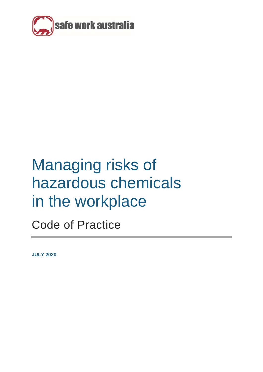

# Managing risks of hazardous chemicals in the workplace

Code of Practice

**JULY 2020**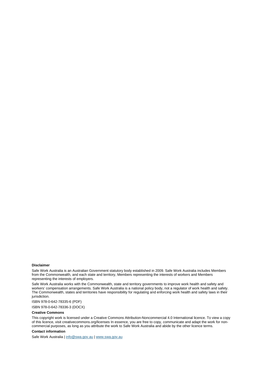#### **Disclaimer**

Safe Work Australia is an Australian Government statutory body established in 2009. Safe Work Australia includes Members from the Commonwealth, and each state and territory, Members representing the interests of workers and Members representing the interests of employers.

Safe Work Australia works with the Commonwealth, state and territory governments to improve work health and safety and workers' compensation arrangements. Safe Work Australia is a national policy body, not a regulator of work health and safety. The Commonwealth, states and territories have responsibility for regulating and enforcing work health and safety laws in their jurisdiction.

ISBN 978-0-642-78335-6 (PDF)

ISBN 978-0-642-78336-3 (DOCX)

#### **Creative Commons**

This copyright work is licensed under a Creative Commons Attribution-Noncommercial 4.0 International licence. To view a copy of this licence, visit creativecommons.org/licenses In essence, you are free to copy, communicate and adapt the work for noncommercial purposes, as long as you attribute the work to Safe Work Australia and abide by the other licence terms.

#### **Contact information**

Safe Work Australia | [info@swa.gov.au](mailto:info@swa.gov.au) | [www.swa.gov.au](http://www.swa.gov.au/)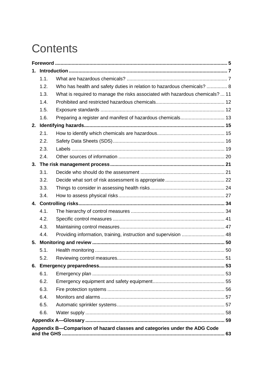# **Contents**

| 1.                                                                        |      |                                                                               |  |  |  |
|---------------------------------------------------------------------------|------|-------------------------------------------------------------------------------|--|--|--|
|                                                                           | 1.1. |                                                                               |  |  |  |
|                                                                           | 1.2. | Who has health and safety duties in relation to hazardous chemicals?  8       |  |  |  |
|                                                                           | 1.3. | What is required to manage the risks associated with hazardous chemicals?  11 |  |  |  |
|                                                                           | 1.4. |                                                                               |  |  |  |
|                                                                           | 1.5. |                                                                               |  |  |  |
|                                                                           | 1.6. |                                                                               |  |  |  |
| 2.                                                                        |      |                                                                               |  |  |  |
|                                                                           | 2.1. |                                                                               |  |  |  |
|                                                                           | 2.2. |                                                                               |  |  |  |
|                                                                           | 2.3. |                                                                               |  |  |  |
|                                                                           | 2.4. |                                                                               |  |  |  |
|                                                                           |      |                                                                               |  |  |  |
|                                                                           | 3.1. |                                                                               |  |  |  |
|                                                                           | 3.2. |                                                                               |  |  |  |
|                                                                           | 3.3. |                                                                               |  |  |  |
|                                                                           | 3.4. |                                                                               |  |  |  |
|                                                                           |      |                                                                               |  |  |  |
|                                                                           | 4.1. |                                                                               |  |  |  |
|                                                                           | 4.2. |                                                                               |  |  |  |
|                                                                           | 4.3. |                                                                               |  |  |  |
|                                                                           | 4.4. | Providing information, training, instruction and supervision  48              |  |  |  |
| 5.                                                                        |      |                                                                               |  |  |  |
|                                                                           | 5.1. |                                                                               |  |  |  |
|                                                                           | 5.2. |                                                                               |  |  |  |
|                                                                           |      |                                                                               |  |  |  |
|                                                                           | 6.1. |                                                                               |  |  |  |
|                                                                           | 6.2. |                                                                               |  |  |  |
|                                                                           | 6.3. |                                                                               |  |  |  |
|                                                                           | 6.4. |                                                                               |  |  |  |
|                                                                           | 6.5. |                                                                               |  |  |  |
|                                                                           | 6.6. |                                                                               |  |  |  |
|                                                                           |      |                                                                               |  |  |  |
| Appendix B-Comparison of hazard classes and categories under the ADG Code |      |                                                                               |  |  |  |
|                                                                           |      |                                                                               |  |  |  |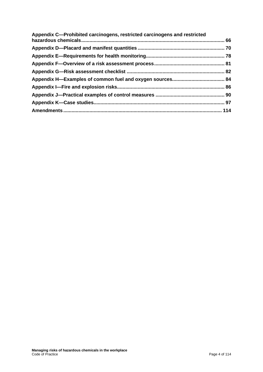| Appendix C-Prohibited carcinogens, restricted carcinogens and restricted |  |
|--------------------------------------------------------------------------|--|
|                                                                          |  |
|                                                                          |  |
|                                                                          |  |
|                                                                          |  |
|                                                                          |  |
|                                                                          |  |
|                                                                          |  |
|                                                                          |  |
|                                                                          |  |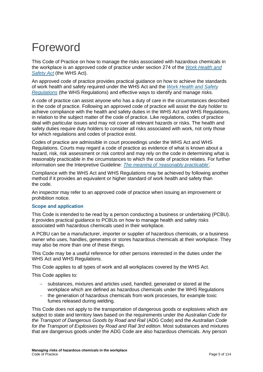# <span id="page-4-0"></span>Foreword

This Code of Practice on how to manage the risks associated with hazardous chemicals in the workplace is an approved code of practice under section 274 of the *[Work Health and](https://www.safeworkaustralia.gov.au/doc/model-work-health-and-safety-act)  Safety Act* [\(the WHS Act\).](https://www.safeworkaustralia.gov.au/doc/model-work-health-and-safety-act) 

An approved code of practice provides practical guidance on how to achieve the standards of work health and safety required under the WHS Act and the *[Work Health and Safety](https://www.safeworkaustralia.gov.au/doc/model-work-health-and-safety-regulations)  Regulations* [\(the WHS Regulations\) and effective ways to identify and manage risks.](https://www.safeworkaustralia.gov.au/doc/model-work-health-and-safety-regulations)

A code of practice can assist anyone who has a duty of care in the circumstances described in the code of practice. Following an approved code of practice will assist the duty holder to achieve compliance with the health and safety duties in the WHS Act and WHS Regulations, in relation to the subject matter of the code of practice. Like regulations, codes of practice deal with particular issues and may not cover all relevant hazards or risks. The health and safety duties require duty holders to consider all risks associated with work, not only those for which regulations and codes of practice exist.

Codes of practice are admissible in court proceedings under the WHS Act and WHS Regulations. Courts may regard a code of practice as evidence of what is known about a hazard, risk, risk assessment or risk control and may rely on the code in determining what is reasonably practicable in the circumstances to which the code of practice relates. For further information see the Interpretive Guideline: *[The meaning of 'reasonably practicable'.](https://www.safeworkaustralia.gov.au/doc/interpretive-guideline-model-work-health-and-safety-act-meaning-reasonably-practicable)*

Compliance with the WHS Act and WHS Regulations may be achieved by following another method if it provides an equivalent or higher standard of work health and safety than the code.

An inspector may refer to an approved code of practice when issuing an improvement or prohibition notice.

#### **Scope and application**

This Code is intended to be read by a person conducting a business or undertaking (PCBU). It provides practical guidance to PCBUs on how to manage health and safety risks associated with hazardous chemicals used in their workplace.

A PCBU can be a manufacturer, importer or supplier of hazardous chemicals, or a business owner who uses, handles, generates or stores hazardous chemicals at their workplace. They may also be more than one of these things.

This Code may be a useful reference for other persons interested in the duties under the WHS Act and WHS Regulations.

This Code applies to all types of work and all workplaces covered by the WHS Act.

This Code applies to:

- substances, mixtures and articles used, handled, generated or stored at the workplace which are defined as hazardous chemicals under the WHS Regulations
- the generation of hazardous chemicals from work processes, for example toxic fumes released during welding.

This Code does not apply to the transportation of dangerous goods or explosives which are subject to state and territory laws based on the requirements under the *Australian Code for the Transport of Dangerous Goods by Road and Rail* (ADG Code) and the *Australian Code for the Transport of Explosives by Road and Rail 3rd edition*. Most substances and mixtures that are dangerous goods under the ADG Code are also hazardous chemicals. Any person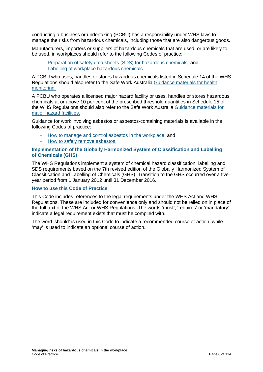conducting a business or undertaking (PCBU) has a responsibility under WHS laws to manage the risks from hazardous chemicals, including those that are also dangerous goods.

Manufacturers, importers or suppliers of hazardous chemicals that are used, or are likely to be used, in workplaces should refer to the following Codes of practice:

- [Preparation of safety data sheets \(SDS\) for hazardous chemicals,](https://www.safeworkaustralia.gov.au/doc/model-code-practice-preparation-safety-data-sheets-hazardous-chemicals) and
- [Labelling of workplace hazardous chemicals](https://www.safeworkaustralia.gov.au/doc/model-code-practice-labelling-workplace-hazardous-chemicals).

A PCBU who uses, handles or stores hazardous chemicals listed in Schedule 14 of the WHS Regulations should also refer to the Safe Work Australia [Guidance materials for health](https://www.safeworkaustralia.gov.au/topics/health-monitoring)  [monitoring.](https://www.safeworkaustralia.gov.au/topics/health-monitoring)

A PCBU who operates a licensed major hazard facility or uses, handles or stores hazardous chemicals at or above 10 per cent of the prescribed threshold quantities in Schedule 15 of the WHS Regulations should also refer to the Safe Work Australia [Guidance materials for](https://www.safeworkaustralia.gov.au/industry-and-business/major-hazard-facilities)  [major hazard facilities.](https://www.safeworkaustralia.gov.au/industry-and-business/major-hazard-facilities)

Guidance for work involving asbestos or asbestos-containing materials is available in the following Codes of practice:

- [How to manage and control asbestos in the workplace, and](https://www.safeworkaustralia.gov.au/doc/model-code-practice-how-manage-and-control-asbestos-workplace)
- [How to safely remove asbestos](https://www.safeworkaustralia.gov.au/doc/model-code-practice-how-safely-remove-asbestos).

#### **Implementation of the Globally Harmonized System of Classification and Labelling of Chemicals (GHS)**

The WHS Regulations implement a system of chemical hazard classification, labelling and SDS requirements based on the 7th revised edition of the Globally Harmonized System of Classification and Labelling of Chemicals (GHS). Transition to the GHS occurred over a fiveyear period from 1 January 2012 until 31 December 2016.

#### **How to use this Code of Practice**

This Code includes references to the legal requirements under the WHS Act and WHS Regulations. These are included for convenience only and should not be relied on in place of the full text of the WHS Act or WHS Regulations. The words 'must', 'requires' or 'mandatory' indicate a legal requirement exists that must be complied with.

The word 'should' is used in this Code to indicate a recommended course of action, while 'may' is used to indicate an optional course of action.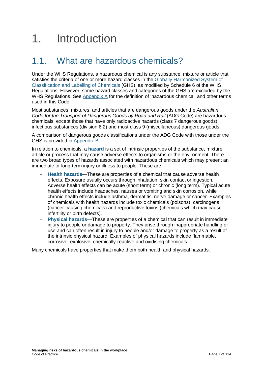# <span id="page-6-0"></span>1. Introduction

# <span id="page-6-1"></span>1.1. What are hazardous chemicals?

Under the WHS Regulations, a hazardous chemical is any substance, mixture or article that satisfies the criteria of one or more hazard classes in the Globally Harmonized System of Classification and Labelling of Chemicals (GHS), as modified by Schedule 6 of the WHS Regulations. However, some hazard classes and categories of the GHS are excluded by the WHS Regulations. See [Appendix A](#page-58-0) for the definition of 'hazardous chemical' and other terms used in this Code.

Most substances, mixtures, and articles that are dangerous goods under the *Australian Code for the Transport of Dangerous Goods by Road and Rail* (ADG Code) are hazardous chemicals, except those that have only radioactive hazards (class 7 dangerous goods), infectious substances (division 6.2) and most class 9 (miscellaneous) dangerous goods.

A comparison of dangerous goods classifications under the ADG Code with those under the GHS is provided in [Appendix B](#page-62-0).

In relation to chemicals, a **hazard** is a set of intrinsic properties of the substance, mixture, article or process that may cause adverse effects to organisms or the environment. There are two broad types of hazards associated with hazardous chemicals which may present an immediate or long-term injury or illness to people. These are:

- **Health hazards**—These are properties of a chemical that cause adverse health effects. Exposure usually occurs through inhalation, skin contact or ingestion. Adverse health effects can be acute (short term) or chronic (long term). Typical acute health effects include headaches, nausea or vomiting and skin corrosion, while chronic health effects include asthma, dermatitis, nerve damage or cancer. Examples of chemicals with health hazards include toxic chemicals (poisons), carcinogens (cancer-causing chemicals) and reproductive toxins (chemicals which may cause infertility or birth defects).
- **Physical hazards**—These are properties of a chemical that can result in immediate injury to people or damage to property. They arise through inappropriate handling or use and can often result in injury to people and/or damage to property as a result of the intrinsic physical hazard. Examples of physical hazards include flammable, corrosive, explosive, chemically-reactive and oxidising chemicals.

Many chemicals have properties that make them both health and physical hazards.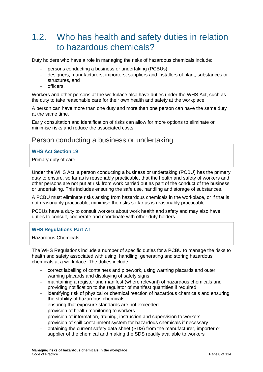# <span id="page-7-0"></span>1.2. Who has health and safety duties in relation to hazardous chemicals?

Duty holders who have a role in managing the risks of hazardous chemicals include:

- persons conducting a business or undertaking (PCBUs)
- designers, manufacturers, importers, suppliers and installers of plant, substances or structures, and
- officers.

Workers and other persons at the workplace also have duties under the WHS Act, such as the duty to take reasonable care for their own health and safety at the workplace.

A person can have more than one duty and more than one person can have the same duty at the same time.

Early consultation and identification of risks can allow for more options to eliminate or minimise risks and reduce the associated costs.

## Person conducting a business or undertaking

#### **WHS Act Section 19**

Primary duty of care

Under the WHS Act, a person conducting a business or undertaking (PCBU) has the primary duty to ensure, so far as is reasonably practicable, that the health and safety of workers and other persons are not put at risk from work carried out as part of the conduct of the business or undertaking. This includes ensuring the safe use, handling and storage of substances.

A PCBU must eliminate risks arising from hazardous chemicals in the workplace, or if that is not reasonably practicable, minimise the risks so far as is reasonably practicable.

PCBUs have a duty to consult workers about work health and safety and may also have duties to consult, cooperate and coordinate with other duty holders.

#### **WHS Regulations Part 7.1**

Hazardous Chemicals

The WHS Regulations include a number of specific duties for a PCBU to manage the risks to health and safety associated with using, handling, generating and storing hazardous chemicals at a workplace. The duties include:

- correct labelling of containers and pipework, using warning placards and outer warning placards and displaying of safety signs
- maintaining a register and manifest (where relevant) of hazardous chemicals and providing notification to the regulator of manifest quantities if required
- identifying risk of physical or chemical reaction of hazardous chemicals and ensuring the stability of hazardous chemicals
- ensuring that exposure standards are not exceeded
- provision of health monitoring to workers
- provision of information, training, instruction and supervision to workers
- provision of spill containment system for hazardous chemicals if necessary
- obtaining the current safety data sheet (SDS) from the manufacturer, importer or supplier of the chemical and making the SDS readily available to workers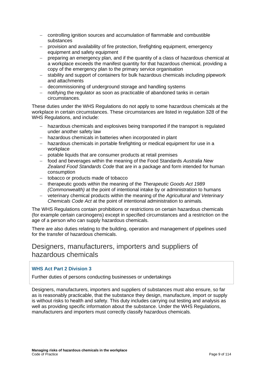- controlling ignition sources and accumulation of flammable and combustible substances
- provision and availability of fire protection, firefighting equipment, emergency equipment and safety equipment
- $-$  preparing an emergency plan, and if the quantity of a class of hazardous chemical at a workplace exceeds the manifest quantity for that hazardous chemical, providing a copy of the emergency plan to the primary service organisation
- stability and support of containers for bulk hazardous chemicals including pipework and attachments
- decommissioning of underground storage and handling systems
- notifying the regulator as soon as practicable of abandoned tanks in certain circumstances.

These duties under the WHS Regulations do not apply to some hazardous chemicals at the workplace in certain circumstances. These circumstances are listed in regulation 328 of the WHS Regulations, and include:

- hazardous chemicals and explosives being transported if the transport is regulated under another safety law
- hazardous chemicals in batteries when incorporated in plant
- hazardous chemicals in portable firefighting or medical equipment for use in a workplace
- potable liquids that are consumer products at retail premises
- food and beverages within the meaning of the Food Standards *Australia New Zealand Food Standards Code* that are in a package and form intended for human consumption
- tobacco or products made of tobacco
- therapeutic goods within the meaning of the *Therapeutic Goods Act 1989 (Commonwealth)* at the point of intentional intake by or administration to humans
- veterinary chemical products within the meaning of the *Agricultural and Veterinary Chemicals Code Act* at the point of intentional administration to animals.

The WHS Regulations contain prohibitions or restrictions on certain hazardous chemicals (for example certain carcinogens) except in specified circumstances and a restriction on the age of a person who can supply hazardous chemicals.

There are also duties relating to the building, operation and management of pipelines used for the transfer of hazardous chemicals.

# Designers, manufacturers, importers and suppliers of hazardous chemicals

#### **WHS Act Part 2 Division 3**

Further duties of persons conducting businesses or undertakings

Designers, manufacturers, importers and suppliers of substances must also ensure, so far as is reasonably practicable, that the substance they design, manufacture, import or supply is without risks to health and safety. This duty includes carrying out testing and analysis as well as providing specific information about the substance. Under the WHS Regulations, manufacturers and importers must correctly classify hazardous chemicals.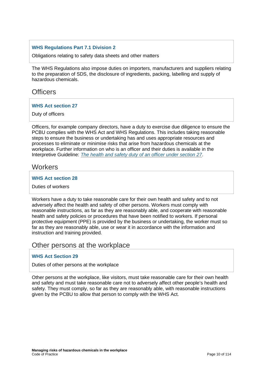#### **WHS Regulations Part 7.1 Division 2**

Obligations relating to safety data sheets and other matters

The WHS Regulations also impose duties on importers, manufacturers and suppliers relating to the preparation of SDS, the disclosure of ingredients, packing, labelling and supply of hazardous chemicals.

### **Officers**

**WHS Act section 27** 

Duty of officers

Officers, for example company directors, have a duty to exercise due diligence to ensure the PCBU complies with the WHS Act and WHS Regulations. This includes taking reasonable steps to ensure the business or undertaking has and uses appropriate resources and processes to eliminate or minimise risks that arise from hazardous chemicals at the workplace. Further information on who is an officer and their duties is available in the Interpretive Guideline: *[The health and safety duty of an officer under section 27](https://www.safeworkaustralia.gov.au/doc/interpretive-guideline-model-work-health-and-safety-act-health-and-safety-duty-officer-under)*.

### **Workers**

#### **WHS Act section 28**

Duties of workers

Workers have a duty to take reasonable care for their own health and safety and to not adversely affect the health and safety of other persons. Workers must comply with reasonable instructions, as far as they are reasonably able, and cooperate with reasonable health and safety policies or procedures that have been notified to workers. If personal protective equipment (PPE) is provided by the business or undertaking, the worker must so far as they are reasonably able, use or wear it in accordance with the information and instruction and training provided.

### Other persons at the workplace

#### **WHS Act Section 29**

Duties of other persons at the workplace

Other persons at the workplace, like visitors, must take reasonable care for their own health and safety and must take reasonable care not to adversely affect other people's health and safety. They must comply, so far as they are reasonably able, with reasonable instructions given by the PCBU to allow that person to comply with the WHS Act.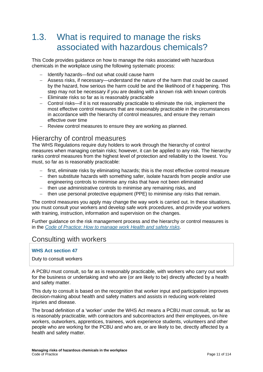# <span id="page-10-0"></span>1.3. What is required to manage the risks associated with hazardous chemicals?

This Code provides guidance on how to manage the risks associated with hazardous chemicals in the workplace using the following systematic process:

- Identify hazards—find out what could cause harm
- Assess risks, if necessary—understand the nature of the harm that could be caused by the hazard, how serious the harm could be and the likelihood of it happening. This step may not be necessary if you are dealing with a known risk with known controls
- Eliminate risks so far as is reasonably practicable
- Control risks—if it is not reasonably practicable to eliminate the risk, implement the most effective control measures that are reasonably practicable in the circumstances in accordance with the hierarchy of control measures, and ensure they remain effective over time
- Review control measures to ensure they are working as planned.

### Hierarchy of control measures

The WHS Regulations require duty holders to work through the hierarchy of control measures when managing certain risks; however, it can be applied to any risk. The hierarchy ranks control measures from the highest level of protection and reliability to the lowest. You must, so far as is reasonably practicable:

- first, eliminate risks by eliminating hazards; this is the most effective control measure
- then substitute hazards with something safer, isolate hazards from people and/or use engineering controls to minimise any risks that have not been eliminated
- then use administrative controls to minimise any remaining risks, and
- then use personal protective equipment (PPE) to minimise any risks that remain.

The control measures you apply may change the way work is carried out. In these situations, you must consult your workers and develop safe work procedures, and provide your workers with training, instruction, information and supervision on the changes.

Further guidance on the risk management process and the hierarchy or control measures is in the *[Code of Practice: How to manage work Health and safety risks](https://www.safeworkaustralia.gov.au/doc/model-code-practice-how-manage-work-health-and-safety-risks)*.

### Consulting with workers

#### **WHS Act section 47**

Duty to consult workers

A PCBU must consult, so far as is reasonably practicable, with workers who carry out work for the business or undertaking and who are (or are likely to be) directly affected by a health and safety matter.

This duty to consult is based on the recognition that worker input and participation improves decision-making about health and safety matters and assists in reducing work-related injuries and disease.

The broad definition of a 'worker' under the WHS Act means a PCBU must consult, so far as is reasonably practicable, with contractors and subcontractors and their employees, on-hire workers, outworkers, apprentices, trainees, work experience students, volunteers and other people who are working for the PCBU and who are, or are likely to be, directly affected by a health and safety matter.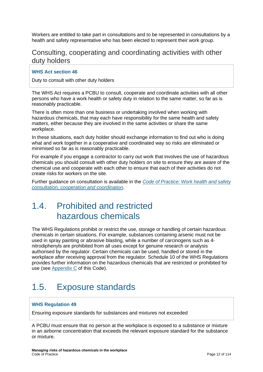Workers are entitled to take part in consultations and to be represented in consultations by a health and safety representative who has been elected to represent their work group.

## Consulting, cooperating and coordinating activities with other duty holders

#### **WHS Act section 46**

Duty to consult with other duty holders

The WHS Act requires a PCBU to consult, cooperate and coordinate activities with all other persons who have a work health or safety duty in relation to the same matter, so far as is reasonably practicable.

There is often more than one business or undertaking involved when working with hazardous chemicals, that may each have responsibility for the same health and safety matters, either because they are involved in the same activities or share the same workplace.

In these situations, each duty holder should exchange information to find out who is doing what and work together in a cooperative and coordinated way so risks are eliminated or minimised so far as is reasonably practicable.

For example if you engage a contractor to carry out work that involves the use of hazardous chemicals you should consult with other duty holders on site to ensure they are aware of the chemical use and cooperate with each other to ensure that each of their activities do not create risks for workers on the site.

Further guidance on consultation is available in the *[Code of Practice: Work health and safety](https://www.safeworkaustralia.gov.au/doc/model-code-practice-work-health-and-safety-consultation-co-operation-and-co-ordination)  [consultation, cooperation and coordination.](https://www.safeworkaustralia.gov.au/doc/model-code-practice-work-health-and-safety-consultation-co-operation-and-co-ordination)* 

# <span id="page-11-0"></span>1.4. Prohibited and restricted hazardous chemicals

The WHS Regulations prohibit or restrict the use, storage or handling of certain hazardous chemicals in certain situations. For example, substances containing arsenic must not be used in spray painting or abrasive blasting, while a number of carcinogens such as 4 nitrodiphenyls are prohibited from all uses except for genuine research or analysis authorised by the regulator. Certain chemicals can be used, handled or stored in the workplace after receiving approval from the regulator. Schedule 10 of the WHS Regulations provides further information on the hazardous chemicals that are restricted or prohibited for use (see [Appendix C](#page-65-0) of this Code).

# <span id="page-11-1"></span>1.5. Exposure standards

#### **WHS Regulation 49**

Ensuring exposure standards for substances and mixtures not exceeded

A PCBU must ensure that no person at the workplace is exposed to a substance or mixture in an airborne concentration that exceeds the relevant exposure standard for the substance or mixture.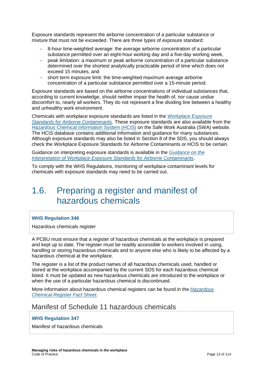Exposure standards represent the airborne concentration of a particular substance or mixture that must not be exceeded. There are three types of exposure standard:

- 8-hour time-weighted average: the average airborne concentration of a particular substance permitted over an eight-hour working day and a five-day working week,
- peak limitation: a maximum or peak airborne concentration of a particular substance determined over the shortest analytically practicable period of time which does not exceed 15 minutes, and
- short term exposure limit: the time-weighted maximum average airborne concentration of a particular substance permitted over a 15-minute period.

Exposure standards are based on the airborne concentrations of individual substances that, according to current knowledge, should neither impair the health of, nor cause undue discomfort to, nearly all workers. They do not represent a fine dividing line between a healthy and unhealthy work environment.

Chemicals with workplace exposure standards are listed in the *[Workplace Exposure](https://www.safeworkaustralia.gov.au/doc/workplace-exposure-standards-airborne-contaminants)  Standards for Airborne Contaminants*[. These exposure standards are also available from the](https://www.safeworkaustralia.gov.au/doc/workplace-exposure-standards-airborne-contaminants)  [Hazardous Chemical Information System \(HCIS\)](http://hcis.safeworkaustralia.gov.au/) on the Safe Work Australia (SWA) website. The HCIS database contains additional information and guidance for many substances. Although exposure standards may also be listed in Section 8 of the SDS, you should always check the Workplace Exposure Standards for Airborne Contaminants or HCIS to be certain.

Guidance on interpreting exposure standards is available in the *[Guidance on the](https://www.safeworkaustralia.gov.au/doc/guidance-interpretation-workplace-exposure-standards-airborne-contaminants)  [Interpretation of Workplace Exposure Standards for Airborne Contaminants](https://www.safeworkaustralia.gov.au/doc/guidance-interpretation-workplace-exposure-standards-airborne-contaminants)*.

To comply with the WHS Regulations, monitoring of workplace contaminant levels for chemicals with exposure standards may need to be carried out.

# <span id="page-12-0"></span>1.6. Preparing a register and manifest of hazardous chemicals

#### **WHS Regulation 346**

Hazardous chemicals register

A PCBU must ensure that a register of hazardous chemicals at the workplace is prepared and kept up to date. The register must be readily accessible to workers involved in using, handling or storing hazardous chemicals and to anyone else who is likely to be affected by a hazardous chemical at the workplace.

The register is a list of the product names of all hazardous chemicals used, handled or stored at the workplace accompanied by the current SDS for each hazardous chemical listed. It must be updated as new hazardous chemicals are introduced to the workplace or when the use of a particular hazardous chemical is discontinued.

More information about hazardous chemical registers can be found in the *[Hazardous](https://www.safeworkaustralia.gov.au/doc/hazardous-chemicals-register-fact-sheet)  [Chemical Register Fact Sheet.](https://www.safeworkaustralia.gov.au/doc/hazardous-chemicals-register-fact-sheet)*

## Manifest of Schedule 11 hazardous chemicals

#### **WHS Regulation 347**

Manifest of hazardous chemicals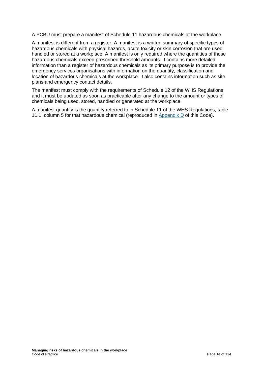A PCBU must prepare a manifest of Schedule 11 hazardous chemicals at the workplace.

A manifest is different from a register. A manifest is a written summary of specific types of hazardous chemicals with physical hazards, acute toxicity or skin corrosion that are used, handled or stored at a workplace. A manifest is only required where the quantities of those hazardous chemicals exceed prescribed threshold amounts. It contains more detailed information than a register of hazardous chemicals as its primary purpose is to provide the emergency services organisations with information on the quantity, classification and location of hazardous chemicals at the workplace. It also contains information such as site plans and emergency contact details.

The manifest must comply with the requirements of Schedule 12 of the WHS Regulations and it must be updated as soon as practicable after any change to the amount or types of chemicals being used, stored, handled or generated at the workplace.

A manifest quantity is the quantity referred to in Schedule 11 of the WHS Regulations, table 11.1, column 5 for that hazardous chemical (reproduced in [Appendix D](#page-69-0) of this Code).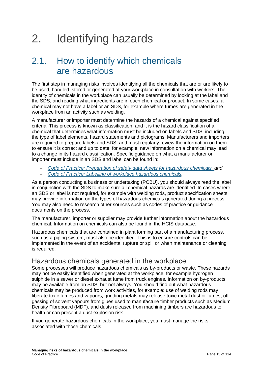# <span id="page-14-0"></span>2. Identifying hazards

# <span id="page-14-1"></span>2.1. How to identify which chemicals are hazardous

The first step in managing risks involves identifying all the chemicals that are or are likely to be used, handled, stored or generated at your workplace in consultation with workers. The identity of chemicals in the workplace can usually be determined by looking at the label and the SDS, and reading what ingredients are in each chemical or product. In some cases, a chemical may not have a label or an SDS, for example where fumes are generated in the workplace from an activity such as welding.

A manufacturer or importer must determine the hazards of a chemical against specified criteria. This process is known as classification, and it is the hazard classification of a chemical that determines what information must be included on labels and SDS, including the type of label elements, hazard statements and pictograms. Manufacturers and importers are required to prepare labels and SDS, and must regularly review the information on them to ensure it is correct and up to date; for example, new information on a chemical may lead to a change in its hazard classification. Specific guidance on what a manufacturer or importer must include in an SDS and label can be found in:

 *[Code of Practice: Preparation of safety data sheets for hazardous chemicals](http://www.safeworkaustralia.gov.au/sites/swa/about/publications/pages/safety-data-sheets-hazardous-chemicals-cop), and [Code of Practice: Labelling of workplace hazardous chemicals.](http://www.safeworkaustralia.gov.au/sites/swa/about/publications/pages/labelling-hazardous-chemicals-cop)* 

As a person conducting a business or undertaking (PCBU), you should always read the label in conjunction with the SDS to make sure all chemical hazards are identified. In cases where an SDS or label is not required, for example with welding rods, product specification sheets may provide information on the types of hazardous chemicals generated during a process. You may also need to research other sources such as codes of practice or guidance documents on the process.

The manufacturer, importer or supplier may provide further information about the hazardous chemical. Information on chemicals can also be found in the HCIS database.

Hazardous chemicals that are contained in plant forming part of a manufacturing process, such as a piping system, must also be identified. This is to ensure controls can be implemented in the event of an accidental rupture or spill or when maintenance or cleaning is required.

# Hazardous chemicals generated in the workplace

Some processes will produce hazardous chemicals as by-products or waste. These hazards may not be easily identified when generated at the workplace, for example hydrogen sulphide in a sewer or diesel exhaust fume from truck engines. Information on by-products may be available from an SDS, but not always. You should find out what hazardous chemicals may be produced from work activities, for example: use of welding rods may liberate toxic fumes and vapours, grinding metals may release toxic metal dust or fumes, offgassing of solvent vapours from glues used to manufacture timber products such as Medium Density Fibreboard (MDF), and dusts released from machining timbers are hazardous to health or can present a dust explosion risk.

If you generate hazardous chemicals in the workplace, you must manage the risks associated with those chemicals.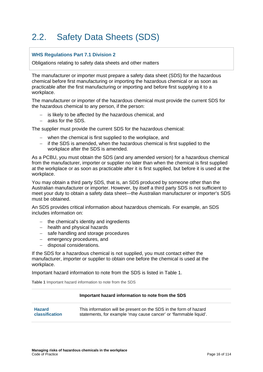# <span id="page-15-0"></span>2.2. Safety Data Sheets (SDS)

#### **WHS Regulations Part 7.1 Division 2**

Obligations relating to safety data sheets and other matters

The manufacturer or importer must prepare a safety data sheet (SDS) for the hazardous chemical before first manufacturing or importing the hazardous chemical or as soon as practicable after the first manufacturing or importing and before first supplying it to a workplace.

The manufacturer or importer of the hazardous chemical must provide the current SDS for the hazardous chemical to any person, if the person:

- $-$  is likely to be affected by the hazardous chemical, and
- asks for the SDS.

The supplier must provide the current SDS for the hazardous chemical:

- when the chemical is first supplied to the workplace, and
- if the SDS is amended, when the hazardous chemical is first supplied to the workplace after the SDS is amended.

As a PCBU, you must obtain the SDS (and any amended version) for a hazardous chemical from the manufacturer, importer or supplier no later than when the chemical is first supplied at the workplace or as soon as practicable after it is first supplied, but before it is used at the workplace.

You may obtain a third party SDS, that is, an SDS produced by someone other than the Australian manufacturer or importer. However, by itself a third party SDS is not sufficient to meet your duty to obtain a safety data sheet—the Australian manufacturer or importer's SDS must be obtained.

An SDS provides critical information about hazardous chemicals. For example, an SDS includes information on:

- $-$  the chemical's identity and ingredients
- $-$  health and physical hazards
- safe handling and storage procedures
- emergency procedures, and
- disposal considerations.

If the SDS for a hazardous chemical is not supplied, you must contact either the manufacturer, importer or supplier to obtain one before the chemical is used at the workplace.

Important hazard information to note from the SDS is listed in Table 1.

**Table 1** Important hazard information to note from the SDS

|                       | Important hazard information to note from the SDS                 |
|-----------------------|-------------------------------------------------------------------|
| <b>Hazard</b>         | This information will be present on the SDS in the form of hazard |
| <b>classification</b> | statements, for example 'may cause cancer' or 'flammable liquid'. |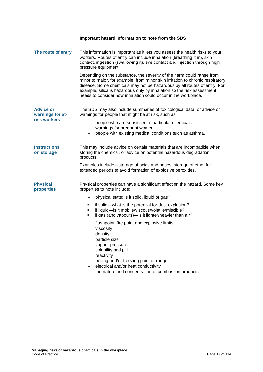|                                                      | Important hazard information to note from the SDS                                                                                                                                                                                                                                                                                                                                                                                                                                                                                                                                                                                               |
|------------------------------------------------------|-------------------------------------------------------------------------------------------------------------------------------------------------------------------------------------------------------------------------------------------------------------------------------------------------------------------------------------------------------------------------------------------------------------------------------------------------------------------------------------------------------------------------------------------------------------------------------------------------------------------------------------------------|
| The route of entry                                   | This information is important as it lets you assess the health risks to your<br>workers. Routes of entry can include inhalation (breathing it in), skin<br>contact, ingestion (swallowing it), eye contact and injection through high<br>pressure equipment.<br>Depending on the substance, the severity of the harm could range from<br>minor to major, for example, from minor skin irritation to chronic respiratory<br>disease. Some chemicals may not be hazardous by all routes of entry. For<br>example, silica is hazardous only by inhalation so the risk assessment<br>needs to consider how inhalation could occur in the workplace. |
| <b>Advice or</b><br>warnings for at-<br>risk workers | The SDS may also include summaries of toxicological data, or advice or<br>warnings for people that might be at risk, such as:<br>people who are sensitised to particular chemicals<br>$\overline{\phantom{m}}$<br>warnings for pregnant women<br>$-$<br>people with existing medical conditions such as asthma.<br>$\qquad \qquad -$                                                                                                                                                                                                                                                                                                            |
| <b>Instructions</b><br>on storage                    | This may include advice on certain materials that are incompatible when<br>storing the chemical, or advice on potential hazardous degradation<br>products.<br>Examples include-storage of acids and bases; storage of ether for<br>extended periods to avoid formation of explosive peroxides.                                                                                                                                                                                                                                                                                                                                                  |
| <b>Physical</b><br>properties                        | Physical properties can have a significant effect on the hazard. Some key<br>properties to note include:<br>physical state: is it solid, liquid or gas?<br>if solid—what is the potential for dust explosion?<br>٠<br>if liquid-is it mobile/viscous/volatile/miscible?<br>٠<br>if gas (and vapours)-is it lighter/heavier than air?<br>٠<br>flashpoint, fire point and explosive limits<br>viscosity<br>density<br>particle size<br>vapour pressure<br>solubility and pH<br>reactivity<br>boiling and/or freezing point or range<br>electrical and/or heat conductivity<br>the nature and concentration of combustion products.                |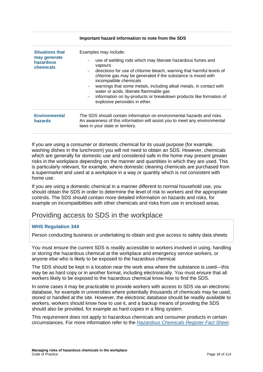| Important hazard information to note from the SDS                |                                                                                                                                                                                                                                                                                                                                                                                                                                                                                                  |  |
|------------------------------------------------------------------|--------------------------------------------------------------------------------------------------------------------------------------------------------------------------------------------------------------------------------------------------------------------------------------------------------------------------------------------------------------------------------------------------------------------------------------------------------------------------------------------------|--|
| <b>Situations that</b><br>may generate<br>hazardous<br>chemicals | Examples may include:<br>use of welding rods which may liberate hazardous fumes and<br>vapours<br>directions for use of chlorine bleach, warning that harmful levels of<br>$-$<br>chlorine gas may be generated if the substance is mixed with<br>incompatible chemicals<br>warnings that some metals, including alkali metals, in contact with<br>water or acids, liberate flammable gas<br>information on by-products or breakdown products like formation of<br>explosive peroxides in ether. |  |
| <b>Environmental</b><br><b>hazards</b>                           | The SDS should contain information on environmental hazards and risks.<br>An awareness of this information will assist you to meet any environmental<br>laws in your state or territory.                                                                                                                                                                                                                                                                                                         |  |

If you are using a consumer or domestic chemical for its usual purpose (for example, washing dishes in the lunchroom) you will not need to obtain an SDS. However, chemicals which are generally for domestic use and considered safe in the home may present greater risks in the workplace depending on the manner and quantities in which they are used. This is particularly relevant, for example, where domestic cleaning chemicals are purchased from a supermarket and used at a workplace in a way or quantity which is not consistent with home use.

If you are using a domestic chemical in a manner different to normal household use, you should obtain the SDS in order to determine the level of risk to workers and the appropriate controls. The SDS should contain more detailed information on hazards and risks, for example on incompatibilities with other chemicals and risks from use in enclosed areas.

## Providing access to SDS in the workplace

#### **WHS Regulation 344**

Person conducting business or undertaking to obtain and give access to safety data sheets

You must ensure the current SDS is readily accessible to workers involved in using, handling or storing the hazardous chemical at the workplace and emergency service workers, or anyone else who is likely to be exposed to the hazardous chemical.

The SDS should be kept in a location near the work area where the substance is used—this may be as hard copy or in another format, including electronically. You must ensure that all workers likely to be exposed to the hazardous chemical know how to find the SDS.

In some cases it may be practicable to provide workers with access to SDS via an electronic database, for example in universities where potentially thousands of chemicals may be used, stored or handled at the site. However, the electronic database should be readily available to workers, workers should know how to use it, and a backup means of providing the SDS should also be provided, for example as hard copies in a filing system.

This requirement does not apply to hazardous chemicals and consumer products in certain circumstances. For more information refer to the *[Hazardous Chemicals Register Fact Sheet](https://www.safeworkaustralia.gov.au/doc/hazardous-chemicals-register-fact-sheet)*.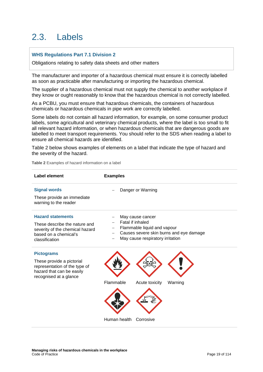# <span id="page-18-0"></span>2.3. Labels

#### **WHS Regulations Part 7.1 Division 2**

Obligations relating to safety data sheets and other matters

The manufacturer and importer of a hazardous chemical must ensure it is correctly labelled as soon as practicable after manufacturing or importing the hazardous chemical.

The supplier of a hazardous chemical must not supply the chemical to another workplace if they know or ought reasonably to know that the hazardous chemical is not correctly labelled.

As a PCBU, you must ensure that hazardous chemicals, the containers of hazardous chemicals or hazardous chemicals in pipe work are correctly labelled.

Some labels do not contain all hazard information, for example, on some consumer product labels, some agricultural and veterinary chemical products, where the label is too small to fit all relevant hazard information, or when hazardous chemicals that are dangerous goods are labelled to meet transport requirements. You should refer to the SDS when reading a label to ensure all chemical hazards are identified.

[Table 2](#page-18-1) below shows examples of elements on a label that indicate the type of hazard and the severity of the hazard.

<span id="page-18-1"></span>**Table 2** Examples of hazard information on a label

| Label element                                                                                                                           | <b>Examples</b>                                                                                                                                    |
|-----------------------------------------------------------------------------------------------------------------------------------------|----------------------------------------------------------------------------------------------------------------------------------------------------|
| <b>Signal words</b><br>These provide an immediate<br>warning to the reader                                                              | Danger or Warning                                                                                                                                  |
| <b>Hazard statements</b><br>These describe the nature and<br>severity of the chemical hazard<br>based on a chemical's<br>classification | May cause cancer<br>Fatal if inhaled<br>Flammable liquid and vapour<br>Causes severe skin burns and eye damage<br>May cause respiratory irritation |
| <b>Pictograms</b><br>These provide a pictorial<br>representation of the type of<br>hazard that can be easily<br>recognised at a glance  | Flammable<br>Acute toxicity<br>Warning                                                                                                             |
|                                                                                                                                         | Human health<br>Corrosive                                                                                                                          |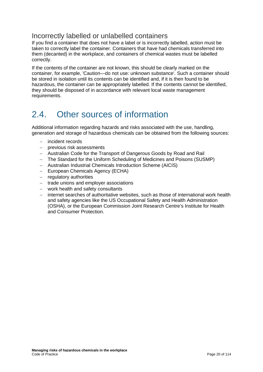# Incorrectly labelled or unlabelled containers

If you find a container that does not have a label or is incorrectly labelled, action must be taken to correctly label the container. Containers that have had chemicals transferred into them (decanted) in the workplace, and containers of chemical wastes must be labelled correctly.

If the contents of the container are not known, this should be clearly marked on the container, for example, 'Caution—do not use: unknown substance'. Such a container should be stored in isolation until its contents can be identified and, if it is then found to be hazardous, the container can be appropriately labelled. If the contents cannot be identified, they should be disposed of in accordance with relevant local waste management requirements.

# <span id="page-19-0"></span>2.4 Other sources of information

Additional information regarding hazards and risks associated with the use, handling, generation and storage of hazardous chemicals can be obtained from the following sources:

- incident records
- previous risk assessments
- Australian Code for the Transport of Dangerous Goods by Road and Rail
- The Standard for the Uniform Scheduling of Medicines and Poisons (SUSMP)
- Australian Industrial Chemicals Introduction Scheme (AICIS)
- European Chemicals Agency (ECHA)
- $-$  regulatory authorities
- trade unions and employer associations
- work health and safety consultants
- internet searches of authoritative websites, such as those of international work health and safety agencies like the US Occupational Safety and Health Administration (OSHA), or the European Commission Joint Research Centre's Institute for Health and Consumer Protection.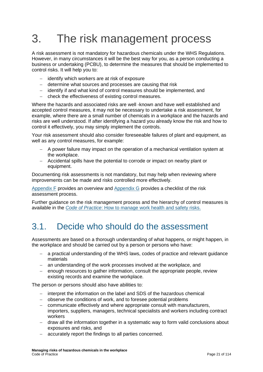# <span id="page-20-0"></span>3. The risk management process

A risk assessment is not mandatory for hazardous chemicals under the WHS Regulations. However, in many circumstances it will be the best way for you, as a person conducting a business or undertaking (PCBU), to determine the measures that should be implemented to control risks. It will help you to:

- identify which workers are at risk of exposure
- determine what sources and processes are causing that risk
- identify if and what kind of control measures should be implemented, and
- check the effectiveness of existing control measures.

Where the hazards and associated risks are well -known and have well established and accepted control measures, it may not be necessary to undertake a risk assessment, for example, where there are a small number of chemicals in a workplace and the hazards and risks are well understood. If after identifying a hazard you already know the risk and how to control it effectively, you may simply implement the controls.

Your risk assessment should also consider foreseeable failures of plant and equipment, as well as any control measures, for example:

- A power failure may impact on the operation of a mechanical ventilation system at the workplace.
- Accidental spills have the potential to corrode or impact on nearby plant or equipment.

Documenting risk assessments is not mandatory, but may help when reviewing where improvements can be made and risks controlled more effectively.

[Appendix F](#page-80-0) provides an overview and [Appendix G](#page-81-0) provides a checklist of the risk assessment process.

Further guidance on the risk management process and the hierarchy of control measures is available in the *Code of Practice*[: How to manage work health and safety risks.](https://www.safeworkaustralia.gov.au/doc/model-code-practice-how-manage-work-health-and-safety-risks)

# <span id="page-20-1"></span>3.1. Decide who should do the assessment

Assessments are based on a thorough understanding of what happens, or might happen, in the workplace and should be carried out by a person or persons who have:

- a practical understanding of the WHS laws, codes of practice and relevant guidance materials
- an understanding of the work processes involved at the workplace, and
- enough resources to gather information, consult the appropriate people, review existing records and examine the workplace.

The person or persons should also have abilities to:

- interpret the information on the label and SDS of the hazardous chemical
- observe the conditions of work, and to foresee potential problems
- communicate effectively and where appropriate consult with manufacturers, importers, suppliers, managers, technical specialists and workers including contract workers
- draw all the information together in a systematic way to form valid conclusions about exposures and risks, and
- accurately report the findings to all parties concerned.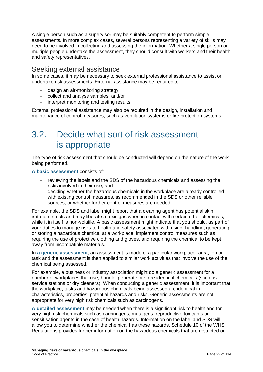A single person such as a supervisor may be suitably competent to perform simple assessments. In more complex cases, several persons representing a variety of skills may need to be involved in collecting and assessing the information. Whether a single person or multiple people undertake the assessment, they should consult with workers and their health and safety representatives.

## Seeking external assistance

In some cases, it may be necessary to seek external professional assistance to assist or undertake risk assessments. External assistance may be required to:

- design an air-monitoring strategy
- collect and analyse samples, and/or
- interpret monitoring and testing results.

External professional assistance may also be required in the design, installation and maintenance of control measures, such as ventilation systems or fire protection systems.

# <span id="page-21-0"></span>3.2. Decide what sort of risk assessment is appropriate

The type of risk assessment that should be conducted will depend on the nature of the work being performed.

#### **A basic assessment** consists of:

- reviewing the labels and the SDS of the hazardous chemicals and assessing the risks involved in their use, and
- deciding whether the hazardous chemicals in the workplace are already controlled with existing control measures, as recommended in the SDS or other reliable sources, or whether further control measures are needed.

For example, the SDS and label might report that a cleaning agent has potential skin irritation effects and may liberate a toxic gas when in contact with certain other chemicals, while it in itself is non-volatile. A basic assessment might indicate that you should, as part of your duties to manage risks to health and safety associated with using, handling, generating or storing a hazardous chemical at a workplace, implement control measures such as requiring the use of protective clothing and gloves, and requiring the chemical to be kept away from incompatible materials.

In **a generic assessment**, an assessment is made of a particular workplace, area, job or task and the assessment is then applied to similar work activities that involve the use of the chemical being assessed.

For example, a business or industry association might do a generic assessment for a number of workplaces that use, handle, generate or store identical chemicals (such as service stations or dry cleaners). When conducting a generic assessment, it is important that the workplace, tasks and hazardous chemicals being assessed are identical in characteristics, properties, potential hazards and risks. Generic assessments are not appropriate for very high risk chemicals such as carcinogens.

**A detailed assessment** may be needed when there is a significant risk to health and for very high risk chemicals such as carcinogens, mutagens, reproductive toxicants or sensitisation agents in the case of health hazards. Information on the label and SDS will allow you to determine whether the chemical has these hazards. Schedule 10 of the WHS Regulations provides further information on the hazardous chemicals that are restricted or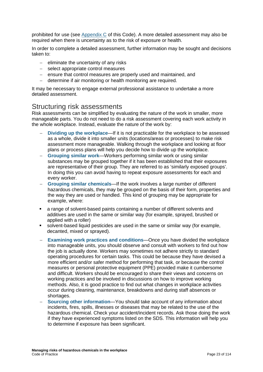prohibited for use (see [Appendix C](#page-65-0) of this Code). A more detailed assessment may also be required when there is uncertainty as to the risk of exposure or health.

In order to complete a detailed assessment, further information may be sought and decisions taken to:

- $-$  eliminate the uncertainty of any risks
- select appropriate control measures
- ensure that control measures are properly used and maintained, and
- determine if air monitoring or health monitoring are required.

It may be necessary to engage external professional assistance to undertake a more detailed assessment.

### Structuring risk assessments

Risk assessments can be simplified by evaluating the nature of the work in smaller, more manageable parts. You do not need to do a risk assessment covering each work activity in the whole workplace. Instead, evaluate the nature of the work by:

- **Dividing up the workplace**—If it is not practicable for the workplace to be assessed as a whole, divide it into smaller units (locations/areas or processes) to make risk assessment more manageable. Walking through the workplace and looking at floor plans or process plans will help you decide how to divide up the workplace.
- **Grouping similar work**—Workers performing similar work or using similar substances may be grouped together if it has been established that their exposures are representative of their group. They are referred to as 'similarly exposed groups'. In doing this you can avoid having to repeat exposure assessments for each and every worker.
- **Grouping similar chemicals**—If the work involves a large number of different hazardous chemicals, they may be grouped on the basis of their form, properties and the way they are used or handled. This kind of grouping may be appropriate for example, where:
- a range of solvent-based paints containing a number of different solvents and additives are used in the same or similar way (for example, sprayed, brushed or applied with a roller)
- solvent-based liquid pesticides are used in the same or similar way (for example, decanted, mixed or sprayed).
- **Examining work practices and conditions**—Once you have divided the workplace into manageable units, you should observe and consult with workers to find out how the job is actually done. Workers may sometimes not adhere strictly to standard operating procedures for certain tasks. This could be because they have devised a more efficient and/or safer method for performing that task, or because the control measures or personal protective equipment (PPE) provided make it cumbersome and difficult. Workers should be encouraged to share their views and concerns on working practices and be involved in discussions on how to improve working methods. Also, it is good practice to find out what changes in workplace activities occur during cleaning, maintenance, breakdowns and during staff absences or shortages.
- **Sourcing other information**—You should take account of any information about incidents, fires, spills, illnesses or diseases that may be related to the use of the hazardous chemical. Check your accident/incident records. Ask those doing the work if they have experienced symptoms listed on the SDS. This information will help you to determine if exposure has been significant.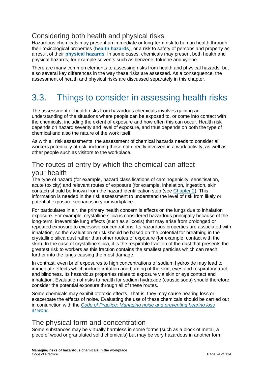# Considering both health and physical risks

Hazardous chemicals may present an immediate or long-term risk to human health through their toxicological properties (**health hazards**), or a risk to safety of persons and property as a result of their **physical hazards**. In some cases, chemicals may present both health and physical hazards, for example solvents such as benzene, toluene and xylene.

There are many common elements to assessing risks from health and physical hazards, but also several key differences in the way these risks are assessed. As a consequence, the assessment of health and physical risks are discussed separately in this chapter.

# <span id="page-23-0"></span>3.3. Things to consider in assessing health risks

The assessment of health risks from hazardous chemicals involves gaining an understanding of the situations where people can be exposed to, or come into contact with the chemicals, including the extent of exposure and how often this can occur. Health risk depends on hazard severity and level of exposure, and thus depends on both the type of chemical and also the nature of the work itself.

As with all risk assessments, the assessment of chemical hazards needs to consider all workers potentially at risk, including those not directly involved in a work activity, as well as other people such as visitors to the workplace.

# The routes of entry by which the chemical can affect your health

The type of hazard (for example, hazard classifications of carcinogenicity, sensitisation, acute toxicity) and relevant routes of exposure (for example, inhalation, ingestion, skin contact) should be known from the hazard identification step (see [Chapter 2\)](#page-14-0). This information is needed in the risk assessment to understand the level of risk from likely or potential exposure scenarios in your workplace.

For particulates in air, the primary health concern is effects on the lungs due to inhalation exposure. For example, crystalline silica is considered hazardous principally because of the long-term, irreversible lung effects (such as silicosis) that may arise from prolonged or repeated exposure to excessive concentrations. Its hazardous properties are associated with inhalation, so the evaluation of risk should be based on the potential for breathing in the crystalline silica dust rather than other routes of exposure (for example, contact with the skin). In the case of crystalline silica, it is the respirable fraction of the dust that presents the greatest risk to workers as this fraction contains the smallest particles which can reach further into the lungs causing the most damage.

In contrast, even brief exposures to high concentrations of sodium hydroxide may lead to immediate effects which include irritation and burning of the skin, eyes and respiratory tract and blindness. Its hazardous properties relate to exposure via skin or eye contact and inhalation. Evaluation of risks to health for sodium hydroxide (caustic soda) should therefore consider the potential exposure through all of these routes.

Some chemicals may exhibit ototoxic effects. That is, they may cause hearing loss or exacerbate the effects of noise. Evaluating the use of these chemicals should be carried out in conjunction with the *[Code of Practice: Managing noise and preventing hearing loss](https://www.safeworkaustralia.gov.au/doc/model-codes-practice-managing-noise-and-preventing-hearing-loss-work)  [at work.](https://www.safeworkaustralia.gov.au/doc/model-codes-practice-managing-noise-and-preventing-hearing-loss-work)* 

# The physical form and concentration

Some substances may be virtually harmless in some forms (such as a block of metal, a piece of wood or granulated solid chemicals) but may be very hazardous in another form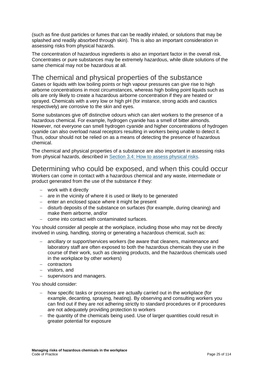(such as fine dust particles or fumes that can be readily inhaled, or solutions that may be splashed and readily absorbed through skin). This is also an important consideration in assessing risks from physical hazards.

The concentration of hazardous ingredients is also an important factor in the overall risk. Concentrates or pure substances may be extremely hazardous, while dilute solutions of the same chemical may not be hazardous at all.

# The chemical and physical properties of the substance

Gases or liquids with low boiling points or high vapour pressures can give rise to high airborne concentrations in most circumstances, whereas high boiling point liquids such as oils are only likely to create a hazardous airborne concentration if they are heated or sprayed. Chemicals with a very low or high pH (for instance, strong acids and caustics respectively) are corrosive to the skin and eyes.

Some substances give off distinctive odours which can alert workers to the presence of a hazardous chemical. For example, hydrogen cyanide has a smell of bitter almonds. However, not everyone can smell hydrogen cyanide and higher concentrations of hydrogen cyanide can also overload nasal receptors resulting in workers being unable to detect it. Thus, odour should not be relied on as a means of detecting the presence of hazardous chemical.

The chemical and physical properties of a substance are also important in assessing risks from physical hazards, described in [Section 3.4: How to assess physical risks.](#page-26-0)

## Determining who could be exposed, and when this could occur

Workers can come in contact with a hazardous chemical and any waste, intermediate or product generated from the use of the substance if they:

- work with it directly
- $-$  are in the vicinity of where it is used or likely to be generated
- $\overline{z}$  enter an enclosed space where it might be present
- disturb deposits of the substance on surfaces (for example, during cleaning) and make them airborne, and/or
- come into contact with contaminated surfaces.

You should consider all people at the workplace, including those who may not be directly involved in using, handling, storing or generating a hazardous chemical, such as:

- ancillary or support/services workers (be aware that cleaners, maintenance and laboratory staff are often exposed to both the hazardous chemicals they use in the course of their work, such as cleaning products, and the hazardous chemicals used in the workplace by other workers)
- contractors
- visitors, and
- supervisors and managers.

You should consider:

- how specific tasks or processes are actually carried out in the workplace (for example, decanting, spraying, heating). By observing and consulting workers you can find out if they are not adhering strictly to standard procedures or if procedures are not adequately providing protection to workers
- the quantity of the chemicals being used. Use of larger quantities could result in greater potential for exposure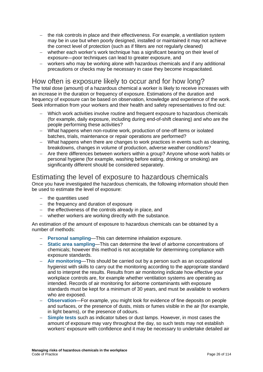- the risk controls in place and their effectiveness. For example, a ventilation system may be in use but when poorly designed, installed or maintained it may not achieve the correct level of protection (such as if filters are not regularly cleaned)
- whether each worker's work technique has a significant bearing on their level of exposure—poor techniques can lead to greater exposure, and
- workers who may be working alone with hazardous chemicals and if any additional precautions or checks may be necessary in case they become incapacitated.

# How often is exposure likely to occur and for how long?

The total dose (amount) of a hazardous chemical a worker is likely to receive increases with an increase in the duration or frequency of exposure. Estimations of the duration and frequency of exposure can be based on observation, knowledge and experience of the work. Seek information from your workers and their health and safety representatives to find out:

- Which work activities involve routine and frequent exposure to hazardous chemicals (for example, daily exposure, including during end-of-shift cleaning) and who are the people performing these activities?
- What happens when non-routine work, production of one-off items or isolated batches, trials, maintenance or repair operations are performed?
- What happens when there are changes to work practices in events such as cleaning, breakdowns, changes in volume of production, adverse weather conditions?
- Are there differences between workers within a group? Anyone whose work habits or personal hygiene (for example, washing before eating, drinking or smoking) are significantly different should be considered separately.

### Estimating the level of exposure to hazardous chemicals

Once you have investigated the hazardous chemicals, the following information should then be used to estimate the level of exposure:

- $-$  the quantities used
- the frequency and duration of exposure
- $-$  the effectiveness of the controls already in place, and
- whether workers are working directly with the substance.

An estimation of the amount of exposure to hazardous chemicals can be obtained by a number of methods:

- **Personal sampling**—This can determine inhalation exposure.
- **Static area sampling**—This can determine the level of airborne concentrations of chemicals; however this method is not acceptable for determining compliance with exposure standards.
- **Air monitoring**—This should be carried out by a person such as an occupational hygienist with skills to carry out the monitoring according to the appropriate standard and to interpret the results. Results from air monitoring indicate how effective your workplace controls are, for example whether ventilation systems are operating as intended. Records of air monitoring for airborne contaminants with exposure standards must be kept for a minimum of 30 years, and must be available to workers who are exposed.
- **Observation**—For example, you might look for evidence of fine deposits on people and surfaces, or the presence of dusts, mists or fumes visible in the air (for example, in light beams), or the presence of odours.
- **Simple tests** such as indicator tubes or dust lamps. However, in most cases the amount of exposure may vary throughout the day, so such tests may not establish workers' exposure with confidence and it may be necessary to undertake detailed air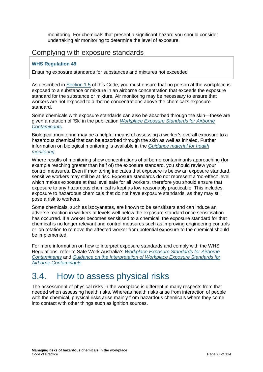monitoring. For chemicals that present a significant hazard you should consider undertaking air monitoring to determine the level of exposure.

## Complying with exposure standards

#### **WHS Regulation 49**

Ensuring exposure standards for substances and mixtures not exceeded

As described in [Section 1.5](#page-11-1) of this Code, you must ensure that no person at the workplace is exposed to a substance or mixture in an airborne concentration that exceeds the exposure standard for the substance or mixture. Air monitoring may be necessary to ensure that workers are not exposed to airborne concentrations above the chemical's exposure standard.

Some chemicals with exposure standards can also be absorbed through the skin—these are given a notation of 'Sk' in the publication *[Workplace Exposure Standards for Airborne](https://www.safeworkaustralia.gov.au/doc/workplace-exposure-standards-airborne-contaminants)  [Contaminants](https://www.safeworkaustralia.gov.au/doc/workplace-exposure-standards-airborne-contaminants)*.

Biological monitoring may be a helpful means of assessing a worker's overall exposure to a hazardous chemical that can be absorbed through the skin as well as inhaled. Further information on biological monitoring is available in the *[Guidance material for health](https://www.safeworkaustralia.gov.au/topics/health-monitoring)  [monitoring](https://www.safeworkaustralia.gov.au/topics/health-monitoring)*.

Where results of monitoring show concentrations of airborne contaminants approaching (for example reaching greater than half of) the exposure standard, you should review your control measures. Even if monitoring indicates that exposure is below an exposure standard, sensitive workers may still be at risk. Exposure standards do not represent a 'no-effect' level which makes exposure at that level safe for all workers, therefore you should ensure that exposure to any hazardous chemical is kept as low reasonably practicable. This includes exposure to hazardous chemicals that do not have exposure standards, as they may still pose a risk to workers.

Some chemicals, such as isocyanates, are known to be sensitisers and can induce an adverse reaction in workers at levels well below the exposure standard once sensitisation has occurred. If a worker becomes sensitised to a chemical, the exposure standard for that chemical is no longer relevant and control measures such as improving engineering controls or job rotation to remove the affected worker from potential exposure to the chemical should be implemented.

[For more information on how to interpret exposure standards and comply with the WHS](https://www.safeworkaustralia.gov.au/doc/workplace-exposure-standards-airborne-contaminants)  Regulations, refer to Safe Work Australia's *[Workplace Exposure Standards for Airborne](https://www.safeworkaustralia.gov.au/doc/workplace-exposure-standards-airborne-contaminants)  Contaminants* and *Guidance on the Interpretation of Workplace Exposure Standards for [Airborne Contaminants](https://www.safeworkaustralia.gov.au/doc/guidance-interpretation-workplace-exposure-standards-airborne-contaminants)*.

# <span id="page-26-0"></span>3.4. How to assess physical risks

The assessment of physical risks in the workplace is different in many respects from that needed when assessing health risks. Whereas health risks arise from interaction of people with the chemical, physical risks arise mainly from hazardous chemicals where they come into contact with other things such as ignition sources.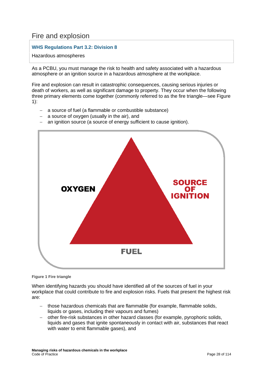# Fire and explosion

#### **WHS Regulations Part 3.2: Division 8**

Hazardous atmospheres

As a PCBU, you must manage the risk to health and safety associated with a hazardous atmosphere or an ignition source in a hazardous atmosphere at the workplace.

Fire and explosion can result in catastrophic consequences, causing serious injuries or death of workers, as well as significant damage to property. They occur when the follo[wing](#page-27-0)  three primary elements come together (commonly referred to as the fire triangle—see Figure 1):

- a source of fuel (a flammable or combustible substance)
- $-$  a source of oxygen (usually in the air), and
- an ignition source (a source of energy sufficient to cause ignition).

<span id="page-27-0"></span>

**Figure 1 Fire triangle** 

When identifying hazards you should have identified all of the sources of fuel in your workplace that could contribute to fire and explosion risks. Fuels that present the highest risk are:

- those hazardous chemicals that are flammable (for example, flammable solids, liquids or gases, including their vapours and fumes)
- other fire-risk substances in other hazard classes (for example, pyrophoric solids, liquids and gases that ignite spontaneously in contact with air, substances that react with water to emit flammable gases), and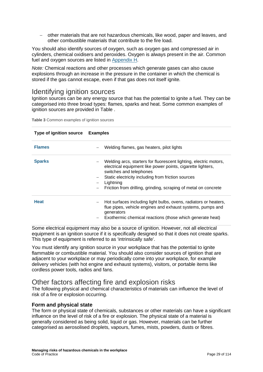other materials that are not hazardous chemicals, like wood, paper and leaves, and other combustible materials that contribute to the fire load.

You should also identify sources of oxygen, such as oxygen gas and compressed air in cylinders, chemical oxidisers and peroxides. Oxygen is always present in the air. Common fuel and oxygen sources are listed in [Appendix H.](#page-83-0)

*Note:* Chemical reactions and other processes which generate gases can also cause explosions through an increase in the pressure in the container in which the chemical is stored if the gas cannot escape, even if that gas does not itself ignite*.*

### Identifying ignition sources

Ignition sources can be any energy source that has the potential to ignite a fuel. They can be categorised into three broad types: flames, sparks and heat. Some common examples of ignition sources are provided in [Table .](#page-28-0)

<span id="page-28-0"></span>**Table 3** Common examples of ignition sources

| Type of ignition source Examples |                                                                                                                                                                                                                                                                                                                        |  |
|----------------------------------|------------------------------------------------------------------------------------------------------------------------------------------------------------------------------------------------------------------------------------------------------------------------------------------------------------------------|--|
| <b>Flames</b>                    | Welding flames, gas heaters, pilot lights                                                                                                                                                                                                                                                                              |  |
| <b>Sparks</b>                    | Welding arcs, starters for fluorescent lighting, electric motors,<br>$\qquad \qquad -$<br>electrical equipment like power points, cigarette lighters,<br>switches and telephones<br>Static electricity including from friction sources<br>Lightning<br>Friction from drilling, grinding, scraping of metal on concrete |  |
| <b>Heat</b>                      | Hot surfaces including light bulbs, ovens, radiators or heaters,<br>$\overline{\phantom{m}}$<br>flue pipes, vehicle engines and exhaust systems, pumps and<br>generators<br>Exothermic chemical reactions (those which generate heat)<br>$\qquad \qquad -$                                                             |  |

Some electrical equipment may also be a source of ignition. However, not all electrical equipment is an ignition source if it is specifically designed so that it does not create sparks. This type of equipment is referred to as 'intrinsically safe'.

You must identify any ignition source in your workplace that has the potential to ignite flammable or combustible material. You should also consider sources of ignition that are adjacent to your workplace or may periodically come into your workplace, for example delivery vehicles (with hot engine and exhaust systems), visitors, or portable items like cordless power tools, radios and fans.

# Other factors affecting fire and explosion risks

The following physical and chemical characteristics of materials can influence the level of risk of a fire or explosion occurring.

#### **Form and physical state**

The form or physical state of chemicals, substances or other materials can have a significant influence on the level of risk of a fire or explosion. The physical state of a material is generally considered as being solid, liquid or gas. However, materials can be further categorised as aerosolised droplets, vapours, fumes, mists, powders, dusts or fibres.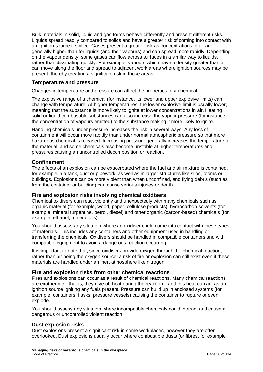Bulk materials in solid, liquid and gas forms behave differently and present different risks. Liquids spread readily compared to solids and have a greater risk of coming into contact with an ignition source if spilled. Gases present a greater risk as concentrations in air are generally higher than for liquids (and their vapours) and can spread more rapidly. Depending on the vapour density, some gases can flow across surfaces in a similar way to liquids, rather than dissipating quickly. For example, vapours which have a density greater than air can move along the floor and spread to adjacent work areas where ignition sources may be present, thereby creating a significant risk in those areas.

#### **Temperature and pressure**

Changes in temperature and pressure can affect the properties of a chemical.

The explosive range of a chemical (for instance, its lower and upper explosive limits) can change with temperature. At higher temperatures, the lower explosive limit is usually lower, meaning that the substance is more likely to ignite at lower concentrations in air. Heating solid or liquid combustible substances can also increase the vapour pressure (for instance, the concentration of vapours emitted) of the substance making it more likely to ignite.

Handling chemicals under pressure increases the risk in several ways. Any loss of containment will occur more rapidly than under normal atmospheric pressure so that more hazardous chemical is released. Increasing pressure generally increases the temperature of the material, and some chemicals also become unstable at higher temperatures and pressures causing an uncontrolled decomposition or reaction.

#### **Confinement**

The effects of an explosion can be exacerbated where the fuel and air mixture is contained, for example in a tank, duct or pipework, as well as in larger structures like silos, rooms or buildings. Explosions can be more violent than when unconfined, and flying debris (such as from the container or building) can cause serious injuries or death.

#### **Fire and explosion risks involving chemical oxidisers**

Chemical oxidisers can react violently and unexpectedly with many chemicals such as organic material (for example, wood, paper, cellulose products), hydrocarbon solvents (for example, mineral turpentine, petrol, diesel) and other organic (carbon-based) chemicals (for example, ethanol, mineral oils).

You should assess any situation where an oxidiser could come into contact with these types of materials. This includes any containers and other equipment used in handling or transferring the chemicals. Oxidisers should be handled in compatible containers and with compatible equipment to avoid a dangerous reaction occurring.

It is important to note that, since oxidisers provide oxygen through the chemical reaction, rather than air being the oxygen source, a risk of fire or explosion can still exist even if these materials are handled under an inert atmosphere like nitrogen.

#### **Fire and explosion risks from other chemical reactions**

Fires and explosions can occur as a result of chemical reactions. Many chemical reactions are exothermic—that is, they give off heat during the reaction—and this heat can act as an ignition source igniting any fuels present. Pressure can build up in enclosed systems (for example, containers, flasks, pressure vessels) causing the container to rupture or even explode.

You should assess any situation where incompatible chemicals could interact and cause a dangerous or uncontrolled violent reaction.

#### **Dust explosion risks**

Dust explosions present a significant risk in some workplaces, however they are often overlooked. Dust explosions usually occur where combustible dusts (or fibres, for example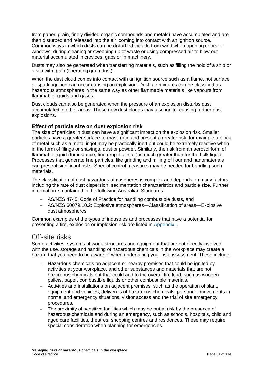from paper, grain, finely divided organic compounds and metals) have accumulated and are then disturbed and released into the air, coming into contact with an ignition source. Common ways in which dusts can be disturbed include from wind when opening doors or windows, during cleaning or sweeping up of waste or using compressed air to blow out material accumulated in crevices, gaps or in machinery.

Dusts may also be generated when transferring materials, such as filling the hold of a ship or a silo with grain (liberating grain dust).

When the dust cloud comes into contact with an ignition source such as a flame, hot surface or spark, ignition can occur causing an explosion. Dust–air mixtures can be classified as hazardous atmospheres in the same way as other flammable materials like vapours from flammable liquids and gases.

Dust clouds can also be generated when the pressure of an explosion disturbs dust accumulated in other areas. These new dust clouds may also ignite, causing further dust explosions.

#### **Effect of particle size on dust explosion risk**

The size of particles in dust can have a significant impact on the explosion risk. Smaller particles have a greater surface-to-mass ratio and present a greater risk, for example a block of metal such as a metal ingot may be practically inert but could be extremely reactive when in the form of filings or shavings, dust or powder. Similarly, the risk from an aerosol form of flammable liquid (for instance, fine droplets in air) is much greater than for the bulk liquid. Processes that generate fine particles, like grinding and milling of flour and nanomaterials can present significant risks. Special control measures may be needed for handling such materials.

The classification of dust hazardous atmospheres is complex and depends on many factors, including the rate of dust dispersion, sedimentation characteristics and particle size. Further information is contained in the following Australian Standards:

- AS/NZS 4745: Code of Practice for handling combustible dusts, and
- AS/NZS 60079.10.2: Explosive atmospheres—Classification of areas—Explosive dust atmospheres.

Common examples of the types of industries and processes that have a potential for presenting a fire, explosion or implosion risk are listed in [Appendix I.](#page-85-0)

## Off-site risks

Some activities, systems of work, structures and equipment that are not directly involved with the use, storage and handling of hazardous chemicals in the workplace may create a hazard that you need to be aware of when undertaking your risk assessment. These include:

- Hazardous chemicals on adjacent or nearby premises that could be ignited by activities at your workplace, and other substances and materials that are not hazardous chemicals but that could add to the overall fire load, such as wooden pallets, paper, combustible liquids or other combustible materials.
- Activities and installations on adjacent premises, such as the operation of plant, equipment and vehicles, deliveries of hazardous chemicals, personnel movements in normal and emergency situations, visitor access and the trial of site emergency procedures.
- The proximity of sensitive facilities which may be put at risk by the presence of hazardous chemicals and during an emergency, such as schools, hospitals, child and aged care facilities, theatres, shopping centres and residences. These may require special consideration when planning for emergencies.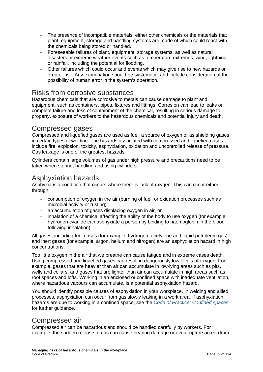- The presence of incompatible materials, either other chemicals or the materials that plant, equipment, storage and handling systems are made of which could react with the chemicals being stored or handled.
- Foreseeable failures of plant, equipment, storage systems, as well as natural disasters or extreme weather events such as temperature extremes, wind, lightning or rainfall, including the potential for flooding.
- Other failures which could occur and events which may give rise to new hazards or greater risk. Any examination should be systematic, and include consideration of the possibility of human error in the system's operation.

### Risks from corrosive substances

Hazardous chemicals that are corrosive to metals can cause damage to plant and equipment, such as containers, pipes, fixtures and fittings. Corrosion can lead to leaks or complete failure and loss of containment of the chemical, resulting in serious damage to property, exposure of workers to the hazardous chemicals and potential injury and death.

## Compressed gases

Compressed and liquefied gases are used as fuel, a source of oxygen or as shielding gases in certain types of welding. The hazards associated with compressed and liquefied gases include fire, explosion, toxicity, asphyxiation, oxidation and uncontrolled release of pressure. Gas leakage is one of the greatest hazards.

Cylinders contain large volumes of gas under high pressure and precautions need to be taken when storing, handling and using cylinders.

### Asphyxiation hazards

Asphyxia is a condition that occurs where there is lack of oxygen. This can occur either through:

- consumption of oxygen in the air (burning of fuel, or oxidation processes such as microbial activity or rusting)
- an accumulation of gases displacing oxygen in air, or
- $-$  inhalation of a chemical affecting the ability of the body to use oxygen (for example, hydrogen cyanide can asphyxiate a person by binding to haemoglobin in the blood following inhalation).

All gases, including fuel gases (for example, hydrogen, acetylene and liquid petroleum gas) and inert gases (for example, argon, helium and nitrogen) are an asphyxiation hazard in high concentrations.

Too little oxygen in the air that we breathe can cause fatigue and in extreme cases death. Using compressed and liquefied gases can result in dangerously low levels of oxygen. For example, gases that are heavier than air can accumulate in low-lying areas such as pits, wells and cellars, and gases that are lighter than air can accumulate in high areas such as roof spaces and lofts. Working in an enclosed or confined space with inadequate ventilation, where hazardous vapours can accumulate, is a potential asphyxiation hazard.

You should identify possible causes of asphyxiation in your workplace. In welding and allied processes, asphyxiation can occur from gas slowly leaking in a work area. If asphyxiation hazards are due to working in a confined space, see the *[Code of Practice: Confined spaces](https://www.safeworkaustralia.gov.au/doc/model-code-practice-confined-spaces)* for further guidance.

# Compressed air

Compressed air can be hazardous and should be handled carefully by workers. For example, the sudden release of gas can cause hearing damage or even rupture an eardrum.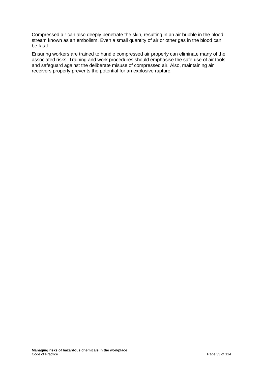Compressed air can also deeply penetrate the skin, resulting in an air bubble in the blood stream known as an embolism. Even a small quantity of air or other gas in the blood can be fatal.

Ensuring workers are trained to handle compressed air properly can eliminate many of the associated risks. Training and work procedures should emphasise the safe use of air tools and safeguard against the deliberate misuse of compressed air. Also, maintaining air receivers properly prevents the potential for an explosive rupture.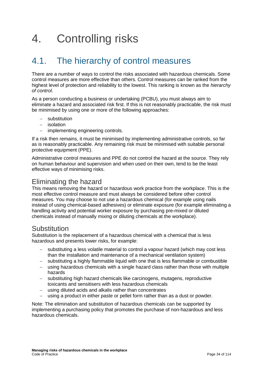# <span id="page-33-0"></span>4. Controlling risks

# <span id="page-33-1"></span>4.1. The hierarchy of control measures

There are a number of ways to control the risks associated with hazardous chemicals. Some control measures are more effective than others. Control measures can be ranked from the highest level of protection and reliability to the lowest. This ranking is known as the *hierarchy of control*.

As a person conducting a business or undertaking (PCBU), you must always aim to eliminate a hazard and associated risk first. If this is not reasonably practicable, the risk must be minimised by using one or more of the following approaches:

- substitution
- isolation
- implementing engineering controls.

If a risk then remains, it must be minimised by implementing administrative controls, so far as is reasonably practicable. Any remaining risk must be minimised with suitable personal protective equipment (PPE).

Administrative control measures and PPE do not control the hazard at the source. They rely on human behaviour and supervision and when used on their own, tend to be the least effective ways of minimising risks.

# Eliminating the hazard

This means removing the hazard or hazardous work practice from the workplace. This is the most effective control measure and must always be considered before other control measures. You may choose to not use a hazardous chemical (for example using nails instead of using chemical-based adhesives) or eliminate exposure (for example eliminating a handling activity and potential worker exposure by purchasing pre-mixed or diluted chemicals instead of manually mixing or diluting chemicals at the workplace).

# **Substitution**

Substitution is the replacement of a hazardous chemical with a chemical that is less hazardous and presents lower risks, for example:

- substituting a less volatile material to control a vapour hazard (which may cost less than the installation and maintenance of a mechanical ventilation system)
- substituting a highly flammable liquid with one that is less flammable or combustible
- using hazardous chemicals with a single hazard class rather than those with multiple hazards
- substituting high hazard chemicals like carcinogens, mutagens, reproductive toxicants and sensitisers with less hazardous chemicals
- using diluted acids and alkalis rather than concentrates
- using a product in either paste or pellet form rather than as a dust or powder.

Note: The elimination and substitution of hazardous chemicals can be supported by implementing a purchasing policy that promotes the purchase of non-hazardous and less hazardous chemicals.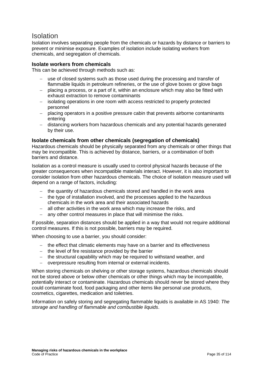# Isolation

Isolation involves separating people from the chemicals or hazards by distance or barriers to prevent or minimise exposure. Examples of isolation include isolating workers from chemicals, and segregation of chemicals.

#### **Isolate workers from chemicals**

This can be achieved through methods such as:

- use of closed systems such as those used during the processing and transfer of flammable liquids in petroleum refineries, or the use of glove boxes or glove bags
- $-$  placing a process, or a part of it, within an enclosure which may also be fitted with exhaust extraction to remove contaminants
- isolating operations in one room with access restricted to properly protected personnel
- placing operators in a positive pressure cabin that prevents airborne contaminants entering
- distancing workers from hazardous chemicals and any potential hazards generated by their use.

#### **Isolate chemicals from other chemicals (segregation of chemicals)**

Hazardous chemicals should be physically separated from any chemicals or other things that may be incompatible. This is achieved by distance, barriers, or a combination of both barriers and distance.

Isolation as a control measure is usually used to control physical hazards because of the greater consequences when incompatible materials interact. However, it is also important to consider isolation from other hazardous chemicals. The choice of isolation measure used will depend on a range of factors, including:

- the quantity of hazardous chemicals stored and handled in the work area
- the type of installation involved, and the processes applied to the hazardous chemicals in the work area and their associated hazards
- $-$  all other activities in the work area which may increase the risks, and
- any other control measures in place that will minimise the risks.

If possible, separation distances should be applied in a way that would not require additional control measures. If this is not possible, barriers may be required.

When choosing to use a barrier, you should consider:

- the effect that climatic elements may have on a barrier and its effectiveness
- $-$  the level of fire resistance provided by the barrier
- the structural capability which may be required to withstand weather, and
- overpressure resulting from internal or external incidents.

When storing chemicals on shelving or other storage systems, hazardous chemicals should not be stored above or below other chemicals or other things which may be incompatible, potentially interact or contaminate. Hazardous chemicals should never be stored where they could contaminate food, food packaging and other items like personal use products, cosmetics, cigarettes, medication and toiletries.

Information on safely storing and segregating flammable liquids is available in AS 1940: *The storage and handling of flammable and combustible liquids*.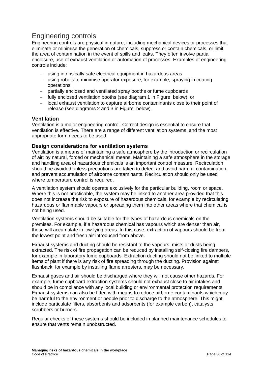# Engineering controls

Engineering controls are physical in nature, including mechanical devices or processes that eliminate or minimise the generation of chemicals, suppress or contain chemicals, or limit the area of contamination in the event of spills and leaks. They often involve partial enclosure, use of exhaust ventilation or automation of processes. Examples of engineering controls include:

- using intrinsically safe electrical equipment in hazardous areas
- using robots to minimise operator exposure, for example, spraying in coating operations
- partially enclosed and ventilated spray booths or fume cupboards
- fully enclosed ventilation booths (see diagram 1 in [Figure](#page-37-0) below), or
- local exhaust ventilation to capture airborne contaminants close to their point of release (see diagrams 2 and 3 in [Figure](#page-37-0) below).

#### **Ventilation**

Ventilation is a major engineering control. Correct design is essential to ensure that ventilation is effective. There are a range of different ventilation systems, and the most appropriate form needs to be used.

#### **Design considerations for ventilation systems**

Ventilation is a means of maintaining a safe atmosphere by the introduction or recirculation of air; by natural, forced or mechanical means. Maintaining a safe atmosphere in the storage and handling area of hazardous chemicals is an important control measure. Recirculation should be avoided unless precautions are taken to detect and avoid harmful contamination, and prevent accumulation of airborne contaminants. Recirculation should only be used where temperature control is required.

A ventilation system should operate exclusively for the particular building, room or space. Where this is not practicable, the system may be linked to another area provided that this does not increase the risk to exposure of hazardous chemicals, for example by recirculating hazardous or flammable vapours or spreading them into other areas where that chemical is not being used.

Ventilation systems should be suitable for the types of hazardous chemicals on the premises. For example, if a hazardous chemical has vapours which are denser than air, these will accumulate in low-lying areas. In this case, extraction of vapours should be from the lowest point and fresh air introduced from above.

Exhaust systems and ducting should be resistant to the vapours, mists or dusts being extracted. The risk of fire propagation can be reduced by installing self-closing fire dampers, for example in laboratory fume cupboards. Extraction ducting should not be linked to multiple items of plant if there is any risk of fire spreading through the ducting. Provision against flashback, for example by installing flame arresters, may be necessary.

Exhaust gases and air should be discharged where they will not cause other hazards. For example, fume cupboard extraction systems should not exhaust close to air intakes and should be in compliance with any local building or environmental protection requirements. Exhaust systems can also be fitted with means to reduce airborne contaminants which may be harmful to the environment or people prior to discharge to the atmosphere. This might include particulate filters, absorbents and adsorbents (for example carbon), catalysts, scrubbers or burners.

Regular checks of these systems should be included in planned maintenance schedules to ensure that vents remain unobstructed.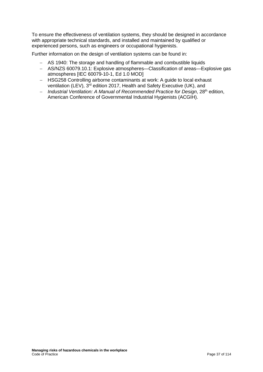To ensure the effectiveness of ventilation systems, they should be designed in accordance with appropriate technical standards, and installed and maintained by qualified or experienced persons, such as engineers or occupational hygienists.

Further information on the design of ventilation systems can be found in:

- AS 1940: The storage and handling of flammable and combustible liquids
- AS/NZS 60079.10.1: Explosive atmospheres—Classification of areas—Explosive gas atmospheres [IEC 60079-10-1, Ed 1.0 MOD]
- HSG258 Controlling airborne contaminants at work: A guide to local exhaust ventilation (LEV), 3rd edition 2017, Health and Safety Executive (UK), and
- *Industrial Ventilation: A Manual of Recommended Practice for Design*, 28th edition, American Conference of Governmental Industrial Hygienists (ACGIH).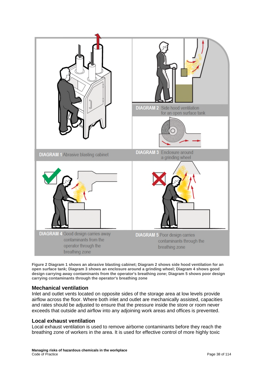

**Figure 2 Diagram 1 shows an abrasive blasting cabinet; Diagram 2 shows side hood ventilation for an open surface tank; Diagram 3 shows an enclosure around a grinding wheel; Diagram 4 shows good design carrying away contaminants from the operator's breathing zone; Diagram 5 shows poor design carrying contaminants through the operator's breathing zone** 

#### **Mechanical ventilation**

Inlet and outlet vents located on opposite sides of the storage area at low levels provide airflow across the floor. Where both inlet and outlet are mechanically assisted, capacities and rates should be adjusted to ensure that the pressure inside the store or room never exceeds that outside and airflow into any adjoining work areas and offices is prevented.

#### **Local exhaust ventilation**

Local exhaust ventilation is used to remove airborne contaminants before they reach the breathing zone of workers in the area. It is used for effective control of more highly toxic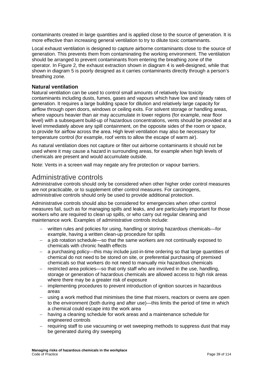contaminants created in large quantities and is applied close to the source of generation. It is more effective than increasing general ventilation to try to dilute toxic contaminants.

Local exhaust ventilation is designed to capture airborne contaminants close to the source of generation. This prevents them from contaminating the working environment. The ventilation should be arranged to prevent contaminants from entering the breathing zone of the operator. In Figure 2, the exhaust extraction shown in diagram 4 is well-designed, while that shown in diagram 5 is poorly designed as it carries contaminants directly through a person's breathing zone.

#### **Natural ventilation**

Natural ventilation can be used to control small amounts of relatively low toxicity contaminants including dusts, fumes, gases and vapours which have low and steady rates of generation. It requires a large building space for dilution and relatively large capacity for airflow through open doors, windows or ceiling exits. For solvent storage or handling areas, where vapours heavier than air may accumulate in lower regions (for example, near floor level) with a subsequent build-up of hazardous concentrations, vents should be provided at a level immediately above any spill containment, on the opposite sides of the room or space, to provide for airflow across the area. High level ventilation may also be necessary for temperature control (for example, roof vents to allow the escape of warm air).

As natural ventilation does not capture or filter out airborne contaminants it should not be used where it may cause a hazard in surrounding areas, for example when high levels of chemicals are present and would accumulate outside.

Note: Vents in a screen wall may negate any fire protection or vapour barriers.

### Administrative controls

Administrative controls should only be considered when other higher order control measures are not practicable, or to supplement other control measures. For carcinogens, administrative controls should only be used to provide additional protection.

Administrative controls should also be considered for emergencies when other control measures fail, such as for managing spills and leaks, and are particularly important for those workers who are required to clean up spills, or who carry out regular cleaning and maintenance work. Examples of administrative controls include:

- written rules and policies for using, handling or storing hazardous chemicals—for example, having a written clean-up procedure for spills
- a job rotation schedule—so that the same workers are not continually exposed to chemicals with chronic health effects
- a purchasing policy—this may include just-in-time ordering so that large quantities of chemical do not need to be stored on site, or preferential purchasing of premixed chemicals so that workers do not need to manually mix hazardous chemicals
- restricted area policies—so that only staff who are involved in the use, handling, storage or generation of hazardous chemicals are allowed access to high risk areas where there may be a greater risk of exposure
- implementing procedures to prevent introduction of ignition sources in hazardous areas
- using a work method that minimises the time that mixers, reactors or ovens are open to the environment (both during and after use)—this limits the period of time in which a chemical could escape into the work area
- having a cleaning schedule for work areas and a maintenance schedule for engineered controls
- $-$  requiring staff to use vacuuming or wet sweeping methods to suppress dust that may be generated during dry sweeping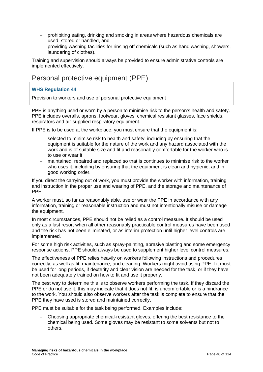- prohibiting eating, drinking and smoking in areas where hazardous chemicals are used, stored or handled, and
- providing washing facilities for rinsing off chemicals (such as hand washing, showers, laundering of clothes).

Training and supervision should always be provided to ensure administrative controls are implemented effectively.

## Personal protective equipment (PPE)

#### **WHS Regulation 44**

Provision to workers and use of personal protective equipment

PPE is anything used or worn by a person to minimise risk to the person's health and safety. PPE includes overalls, aprons, footwear, gloves, chemical resistant glasses, face shields, respirators and air-supplied respiratory equipment.

If PPE is to be used at the workplace, you must ensure that the equipment is:

- selected to minimise risk to health and safety, including by ensuring that the equipment is suitable for the nature of the work and any hazard associated with the work and is of suitable size and fit and reasonably comfortable for the worker who is to use or wear it
- maintained, repaired and replaced so that is continues to minimise risk to the worker who uses it, including by ensuring that the equipment is clean and hygienic, and in good working order.

If you direct the carrying out of work, you must provide the worker with information, training and instruction in the proper use and wearing of PPE, and the storage and maintenance of PPE.

A worker must, so far as reasonably able, use or wear the PPE in accordance with any information, training or reasonable instruction and must not intentionally misuse or damage the equipment.

In most circumstances, PPE should not be relied as a control measure. It should be used only as a last resort when all other reasonably practicable control measures have been used and the risk has not been eliminated, or as interim protection until higher level controls are implemented.

For some high risk activities, such as spray-painting, abrasive blasting and some emergency response actions, PPE should always be used to supplement higher level control measures.

The effectiveness of PPE relies heavily on workers following instructions and procedures correctly, as well as fit, maintenance, and cleaning. Workers might avoid using PPE if it must be used for long periods, if dexterity and clear vision are needed for the task, or if they have not been adequately trained on how to fit and use it properly.

The best way to determine this is to observe workers performing the task. If they discard the PPE or do not use it, this may indicate that it does not fit, is uncomfortable or is a hindrance to the work. You should also observe workers after the task is complete to ensure that the PPE they have used is stored and maintained correctly.

PPE must be suitable for the task being performed. Examples include:

 Choosing appropriate chemical-resistant gloves, offering the best resistance to the chemical being used. Some gloves may be resistant to some solvents but not to others.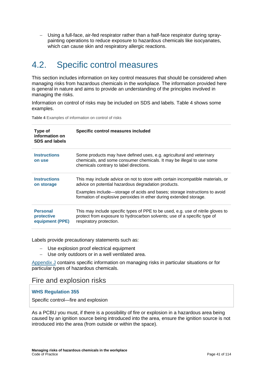Using a full-face, air-fed respirator rather than a half-face respirator during spraypainting operations to reduce exposure to hazardous chemicals like isocyanates, which can cause skin and respiratory allergic reactions.

## 4.2. Specific control measures

This section includes information on key control measures that should be considered when managing risks from hazardous chemicals in the workplace. The information provided here is general in nature and aims to provide an understanding of the principles involved in managing the risks.

Information on control of risks may be included on SDS and labels. Table 4 shows some examples.

**Table 4** Examples of information on control of risks

| Type of<br>information on<br><b>SDS and labels</b> | Specific control measures included                                                                                                                                                        |
|----------------------------------------------------|-------------------------------------------------------------------------------------------------------------------------------------------------------------------------------------------|
| <b>Instructions</b><br>on use                      | Some products may have defined uses, e.g. agricultural and veterinary<br>chemicals, and some consumer chemicals. It may be illegal to use some<br>chemicals contrary to label directions. |
| <b>Instructions</b><br>on storage                  | This may include advice on not to store with certain incompatible materials, or<br>advice on potential hazardous degradation products.                                                    |
|                                                    | Examples include—storage of acids and bases; storage instructions to avoid<br>formation of explosive peroxides in ether during extended storage.                                          |
| <b>Personal</b><br>protective<br>equipment (PPE)   | This may include specific types of PPE to be used, e.g. use of nitrile gloves to<br>protect from exposure to hydrocarbon solvents; use of a specific type of<br>respiratory protection.   |

Labels provide precautionary statements such as:

- Use explosion proof electrical equipment
- Use only outdoors or in a well ventilated area.

[Appendix J](#page-89-0) contains specific information on managing risks in particular situations or for particular types of hazardous chemicals.

### Fire and explosion risks

#### **WHS Regulation 355**

Specific control—fire and explosion

As a PCBU you must, if there is a possibility of fire or explosion in a hazardous area being caused by an ignition source being introduced into the area, ensure the ignition source is not introduced into the area (from outside or within the space).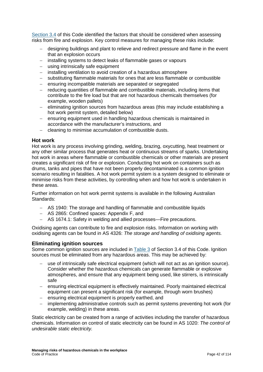[Section 3.4](#page-26-0) of this Code identified the factors that should be considered when assessing risks from fire and explosion. Key control measures for managing these risks include:

- designing buildings and plant to relieve and redirect pressure and flame in the event that an explosion occurs
- installing systems to detect leaks of flammable gases or vapours
- $-$  using intrinsically safe equipment
- installing ventilation to avoid creation of a hazardous atmosphere
- substituting flammable materials for ones that are less flammable or combustible
- ensuring incompatible materials are separated or segregated
- reducing quantities of flammable and combustible materials, including items that contribute to the fire load but that are not hazardous chemicals themselves (for example, wooden pallets)
- eliminating ignition sources from hazardous areas (this may include establishing a hot work permit system, detailed below)
- ensuring equipment used in handling hazardous chemicals is maintained in accordance with the manufacturer's instructions, and
- cleaning to minimise accumulation of combustible dusts.

#### **Hot work**

Hot work is any process involving grinding, welding, brazing, oxycutting, heat treatment or any other similar process that generates heat or continuous streams of sparks. Undertaking hot work in areas where flammable or combustible chemicals or other materials are present creates a significant risk of fire or explosion. Conducting hot work on containers such as drums, tanks and pipes that have not been properly decontaminated is a common ignition scenario resulting in fatalities. A hot work permit system is a system designed to eliminate or minimise risks from these activities, by controlling when and how hot work is undertaken in these areas.

Further information on hot work permit systems is available in the following Australian Standards:

- AS 1940: The storage and handling of flammable and combustible liquids
- AS 2865: Confined spaces: Appendix F, and
- AS 1674.1: Safety in welding and allied processes—Fire precautions.

Oxidising agents can contribute to fire and explosion risks. Information on working with oxidising agents can be found in AS 4326: *The storage and handling of oxidising agents.* 

#### **Eliminating ignition sources**

Some common ignition sources are included in [Table 3](#page-28-0) of Section 3.4 of this Code. Ignition sources must be eliminated from any hazardous areas. This may be achieved by:

- use of intrinsically safe electrical equipment (which will not act as an ignition source). Consider whether the hazardous chemicals can generate flammable or explosive atmospheres, and ensure that any equipment being used, like stirrers, is intrinsically safe
- ensuring electrical equipment is effectively maintained. Poorly maintained electrical equipment can present a significant risk (for example, through worn brushes)
- ensuring electrical equipment is properly earthed, and
- implementing administrative controls such as permit systems preventing hot work (for example, welding) in these areas.

Static electricity can be created from a range of activities including the transfer of hazardous chemicals. Information on control of static electricity can be found in AS 1020: *The control of undesirable static electricity.*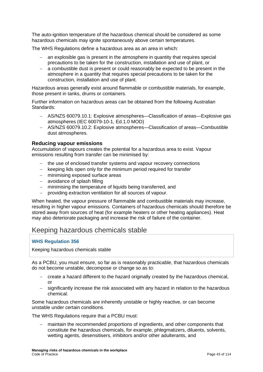The auto-ignition temperature of the hazardous chemical should be considered as some hazardous chemicals may ignite spontaneously above certain temperatures.

The WHS Regulations define a hazardous area as an area in which:

- an explosible gas is present in the atmosphere in quantity that requires special precautions to be taken for the construction, installation and use of plant, or
- a combustible dust is present or could reasonably be expected to be present in the atmosphere in a quantity that requires special precautions to be taken for the construction, installation and use of plant.

Hazardous areas generally exist around flammable or combustible materials, for example, those present in tanks, drums or containers.

Further information on hazardous areas can be obtained from the following Australian Standards:

- AS/NZS 60079.10.1: Explosive atmospheres—Classification of areas—Explosive gas atmospheres (IEC 60079-10-1, Ed.1.0 MOD)
- AS/NZS 60079.10.2: Explosive atmospheres—Classification of areas—Combustible dust atmospheres.

#### **Reducing vapour emissions**

Accumulation of vapours creates the potential for a hazardous area to exist. Vapour emissions resulting from transfer can be minimised by:

- the use of enclosed transfer systems and vapour recovery connections
- $-$  keeping lids open only for the minimum period required for transfer
- minimising exposed surface areas
- avoidance of splash filling
- minimising the temperature of liquids being transferred, and
- providing extraction ventilation for all sources of vapour.

When heated, the vapour pressure of flammable and combustible materials may increase, resulting in higher vapour emissions. Containers of hazardous chemicals should therefore be stored away from sources of heat (for example heaters or other heating appliances). Heat may also deteriorate packaging and increase the risk of failure of the container.

### Keeping hazardous chemicals stable

#### **WHS Regulation 356**

Keeping hazardous chemicals stable

As a PCBU, you must ensure, so far as is reasonably practicable, that hazardous chemicals do not become unstable, decompose or change so as to:

- create a hazard different to the hazard originally created by the hazardous chemical, or
- significantly increase the risk associated with any hazard in relation to the hazardous chemical.

Some hazardous chemicals are inherently unstable or highly reactive, or can become unstable under certain conditions.

The WHS Regulations require that a PCBU must:

 maintain the recommended proportions of ingredients, and other components that constitute the hazardous chemicals, for example, phlegmatizers, diluents, solvents, wetting agents, desensitisers, inhibitors and/or other adulterants, and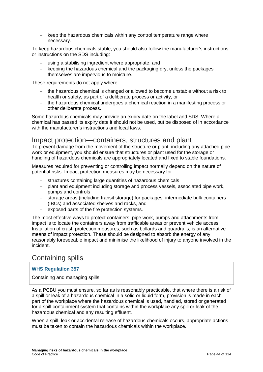$-$  keep the hazardous chemicals within any control temperature range where necessary.

To keep hazardous chemicals stable, you should also follow the manufacturer's instructions or instructions on the SDS including:

- using a stabilising ingredient where appropriate, and
- $-$  keeping the hazardous chemical and the packaging dry, unless the packages themselves are impervious to moisture.

These requirements do not apply where:

- the hazardous chemical is changed or allowed to become unstable without a risk to health or safety, as part of a deliberate process or activity, or
- the hazardous chemical undergoes a chemical reaction in a manifesting process or other deliberate process.

Some hazardous chemicals may provide an expiry date on the label and SDS. Where a chemical has passed its expiry date it should not be used, but be disposed of in accordance with the manufacturer's instructions and local laws.

### Impact protection—containers, structures and plant

To prevent damage from the movement of the structure or plant, including any attached pipe work or equipment, you should ensure that structures or plant used for the storage or handling of hazardous chemicals are appropriately located and fixed to stable foundations.

Measures required for preventing or controlling impact normally depend on the nature of potential risks. Impact protection measures may be necessary for:

- structures containing large quantities of hazardous chemicals
- plant and equipment including storage and process vessels, associated pipe work, pumps and controls
- storage areas (including transit storage) for packages, intermediate bulk containers (IBCs) and associated shelves and racks, and
- exposed parts of the fire protection systems.

The most effective ways to protect containers, pipe work, pumps and attachments from impact is to locate the containers away from trafficable areas or prevent vehicle access. Installation of crash protection measures, such as bollards and guardrails, is an alternative means of impact protection. These should be designed to absorb the energy of any reasonably foreseeable impact and minimise the likelihood of injury to anyone involved in the incident.

### Containing spills

#### **WHS Regulation 357**

Containing and managing spills

As a PCBU you must ensure, so far as is reasonably practicable, that where there is a risk of a spill or leak of a hazardous chemical in a solid or liquid form, provision is made in each part of the workplace where the hazardous chemical is used, handled, stored or generated for a spill containment system that contains within the workplace any spill or leak of the hazardous chemical and any resulting effluent.

When a spill, leak or accidental release of hazardous chemicals occurs, appropriate actions must be taken to contain the hazardous chemicals within the workplace.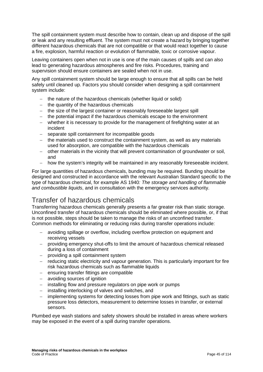The spill containment system must describe how to contain, clean up and dispose of the spill or leak and any resulting effluent. The system must not create a hazard by bringing together different hazardous chemicals that are not compatible or that would react together to cause a fire, explosion, harmful reaction or evolution of flammable, toxic or corrosive vapour.

Leaving containers open when not in use is one of the main causes of spills and can also lead to generating hazardous atmospheres and fire risks. Procedures, training and supervision should ensure containers are sealed when not in use.

Any spill containment system should be large enough to ensure that all spills can be held safely until cleaned up. Factors you should consider when designing a spill containment system include:

- the nature of the hazardous chemicals (whether liquid or solid)
- $-$  the quantity of the hazardous chemicals
- the size of the largest container or reasonably foreseeable largest spill
- $-$  the potential impact if the hazardous chemicals escape to the environment
- whether it is necessary to provide for the management of firefighting water at an incident
- separate spill containment for incompatible goods
- the materials used to construct the containment system, as well as any materials used for absorption, are compatible with the hazardous chemicals
- other materials in the vicinity that will prevent contamination of groundwater or soil, and
- how the system's integrity will be maintained in any reasonably foreseeable incident.

For large quantities of hazardous chemicals, bunding may be required. Bunding should be designed and constructed in accordance with the relevant Australian Standard specific to the type of hazardous chemical, for example AS 1940*: The storage and handling of flammable and combustible liquids*, and in consultation with the emergency services authority.

### Transfer of hazardous chemicals

Transferring hazardous chemicals generally presents a far greater risk than static storage. Unconfined transfer of hazardous chemicals should be eliminated where possible, or, if that is not possible, steps should be taken to manage the risks of an unconfined transfer. Common methods for eliminating or reducing risks during transfer operations include:

- avoiding spillage or overflow, including overflow protection on equipment and receiving vessels
- providing emergency shut-offs to limit the amount of hazardous chemical released during a loss of containment
- providing a spill containment system
- reducing static electricity and vapour generation. This is particularly important for fire risk hazardous chemicals such as flammable liquids
- ensuring transfer fittings are compatible
- avoiding sources of ignition
- installing flow and pressure regulators on pipe work or pumps
- installing interlocking of valves and switches, and
- implementing systems for detecting losses from pipe work and fittings, such as static pressure loss detectors, measurement to determine losses in transfer, or external sensors.

Plumbed eye wash stations and safety showers should be installed in areas where workers may be exposed in the event of a spill during transfer operations.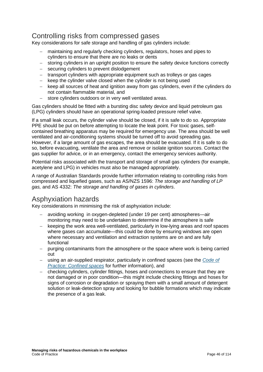## Controlling risks from compressed gases

Key considerations for safe storage and handling of gas cylinders include:

- maintaining and regularly checking cylinders, regulators, hoses and pipes to cylinders to ensure that there are no leaks or dents
- storing cylinders in an upright position to ensure the safety device functions correctly
- securing cylinders to prevent dislodgement
- transport cylinders with appropriate equipment such as trolleys or gas cages
- $-$  keep the cylinder valve closed when the cylinder is not being used
- keep all sources of heat and ignition away from gas cylinders, even if the cylinders do not contain flammable material, and
- store cylinders outdoors or in very well ventilated areas.

Gas cylinders should be fitted with a bursting disc safety device and liquid petroleum gas (LPG) cylinders should have an operational spring-loaded pressure relief valve.

If a small leak occurs, the cylinder valve should be closed, if it is safe to do so. Appropriate PPE should be put on before attempting to locate the leak point. For toxic gases, selfcontained breathing apparatus may be required for emergency use. The area should be well ventilated and air-conditioning systems should be turned off to avoid spreading gas. However, if a large amount of gas escapes, the area should be evacuated. If it is safe to do so, before evacuating, ventilate the area and remove or isolate ignition sources. Contact the gas supplier for advice, or in an emergency, contact the emergency services authority.

Potential risks associated with the transport and storage of small gas cylinders (for example, acetylene and LPG) in vehicles must also be managed appropriately.

A range of Australian Standards provide further information relating to controlling risks from compressed and liquefied gases, such as AS/NZS 1596: *The storage and handling of LP gas,* and AS 4332: *The storage and handling of gases in cylinders*.

## Asphyxiation hazards

Key considerations in minimising the risk of asphyxiation include:

- avoiding working in oxygen-depleted (under 19 per cent) atmospheres—air monitoring may need to be undertaken to determine if the atmosphere is safe
- $-$  keeping the work area well-ventilated, particularly in low-lying areas and roof spaces where gases can accumulate—this could be done by ensuring windows are open where necessary and ventilation and extraction systems are on and are fully functional
- purging contaminants from the atmosphere or the space where work is being carried out
- using an air-supplied respirator, particularly in confined spaces (see the *[Code of](https://www.safeworkaustralia.gov.au/doc/model-code-practice-confined-spaces)  Practice: Confined spaces* [for further information\), and](https://www.safeworkaustralia.gov.au/doc/model-code-practice-confined-spaces)
- checking cylinders, cylinder fittings, hoses and connections to ensure that they are not damaged or in poor condition—this might include checking fittings and hoses for signs of corrosion or degradation or spraying them with a small amount of detergent solution or leak-detection spray and looking for bubble formations which may indicate the presence of a gas leak.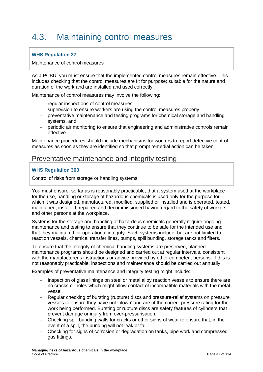## 4.3. Maintaining control measures

#### **WHS Regulation 37**

Maintenance of control measures

As a PCBU, you must ensure that the implemented control measures remain effective. This includes checking that the control measures are fit for purpose; suitable for the nature and duration of the work and are installed and used correctly.

Maintenance of control measures may involve the following:

- regular inspections of control measures
- supervision to ensure workers are using the control measures properly
- preventative maintenance and testing programs for chemical storage and handling systems, and
- periodic air monitoring to ensure that engineering and administrative controls remain effective.

Maintenance procedures should include mechanisms for workers to report defective control measures as soon as they are identified so that prompt remedial action can be taken.

### Preventative maintenance and integrity testing

#### **WHS Regulation 363**

Control of risks from storage or handling systems

You must ensure, so far as is reasonably practicable, that a system used at the workplace for the use, handling or storage of hazardous chemicals is used only for the purpose for which it was designed, manufactured, modified, supplied or installed and is operated, tested, maintained, installed, repaired and decommissioned having regard to the safety of workers and other persons at the workplace.

Systems for the storage and handling of hazardous chemicals generally require ongoing maintenance and testing to ensure that they continue to be safe for the intended use and that they maintain their operational integrity. Such systems include, but are not limited to, reaction vessels, chemical transfer lines, pumps, spill bunding, storage tanks and filters.

To ensure that the integrity of chemical handling systems are preserved, planned maintenance programs should be designed and carried out at regular intervals, consistent with the manufacturer's instructions or advice provided by other competent persons. If this is not reasonably practicable, inspections and maintenance should be carried out annually.

Examples of preventative maintenance and integrity testing might include:

- Inspection of glass linings on steel or metal alloy reaction vessels to ensure there are no cracks or holes which might allow contact of incompatible materials with the metal vessel.
- Regular checking of bursting (rupture) discs and pressure-relief systems on pressure vessels to ensure they have not 'blown' and are of the correct pressure rating for the work being performed. Bursting or rupture discs are safety features of cylinders that prevent damage or injury from over-pressurisation.
- Checking spill bunding walls for cracks or other signs of wear to ensure that, in the event of a spill, the bunding will not leak or fail.
- Checking for signs of corrosion or degradation on tanks, pipe work and compressed gas fittings.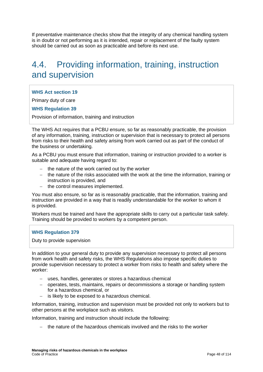If preventative maintenance checks show that the integrity of any chemical handling system is in doubt or not performing as it is intended, repair or replacement of the faulty system should be carried out as soon as practicable and before its next use.

## 4.4. Providing information, training, instruction and supervision

**WHS Act section 19**

Primary duty of care

**WHS Regulation 39** 

Provision of information, training and instruction

The WHS Act requires that a PCBU ensure, so far as reasonably practicable, the provision of any information, training, instruction or supervision that is necessary to protect all persons from risks to their health and safety arising from work carried out as part of the conduct of the business or undertaking.

As a PCBU you must ensure that information, training or instruction provided to a worker is suitable and adequate having regard to:

- $-$  the nature of the work carried out by the worker
- $-$  the nature of the risks associated with the work at the time the information, training or instruction is provided, and
- $-$  the control measures implemented.

You must also ensure, so far as is reasonably practicable, that the information, training and instruction are provided in a way that is readily understandable for the worker to whom it is provided.

Workers must be trained and have the appropriate skills to carry out a particular task safely. Training should be provided to workers by a competent person.

#### **WHS Regulation 379**

Duty to provide supervision

In addition to your general duty to provide any supervision necessary to protect all persons from work health and safety risks, the WHS Regulations also impose specific duties to provide supervision necessary to protect a worker from risks to health and safety where the worker:

- uses, handles, generates or stores a hazardous chemical
- operates, tests, maintains, repairs or decommissions a storage or handling system for a hazardous chemical, or
- $-$  is likely to be exposed to a hazardous chemical.

Information, training, instruction and supervision must be provided not only to workers but to other persons at the workplace such as visitors.

Information, training and instruction should include the following:

the nature of the hazardous chemicals involved and the risks to the worker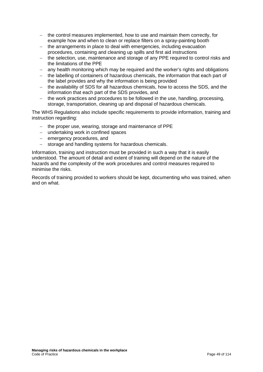- the control measures implemented, how to use and maintain them correctly, for example how and when to clean or replace filters on a spray-painting booth
- the arrangements in place to deal with emergencies, including evacuation procedures, containing and cleaning up spills and first aid instructions
- the selection, use, maintenance and storage of any PPE required to control risks and the limitations of the PPE
- any health monitoring which may be required and the worker's rights and obligations
- the labelling of containers of hazardous chemicals, the information that each part of the label provides and why the information is being provided
- the availability of SDS for all hazardous chemicals, how to access the SDS, and the information that each part of the SDS provides, and
- the work practices and procedures to be followed in the use, handling, processing, storage, transportation, cleaning up and disposal of hazardous chemicals.

The WHS Regulations also include specific requirements to provide information, training and instruction regarding:

- the proper use, wearing, storage and maintenance of PPE
- undertaking work in confined spaces
- emergency procedures, and
- storage and handling systems for hazardous chemicals.

Information, training and instruction must be provided in such a way that it is easily understood. The amount of detail and extent of training will depend on the nature of the hazards and the complexity of the work procedures and control measures required to minimise the risks.

Records of training provided to workers should be kept, documenting who was trained, when and on what.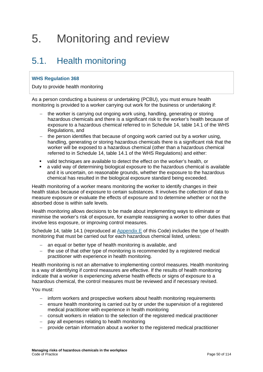# 5. Monitoring and review

## 5.1. Health monitoring

#### **WHS Regulation 368**

#### Duty to provide health monitoring

As a person conducting a business or undertaking (PCBU), you must ensure health monitoring is provided to a worker carrying out work for the business or undertaking if:

- the worker is carrying out ongoing work using, handling, generating or storing hazardous chemicals and there is a significant risk to the worker's health because of exposure to a hazardous chemical referred to in Schedule 14, table 14.1 of the WHS Regulations, and
- $-$  the person identifies that because of ongoing work carried out by a worker using, handling, generating or storing hazardous chemicals there is a significant risk that the worker will be exposed to a hazardous chemical (other than a hazardous chemical referred to in Schedule 14, table 14.1 of the WHS Regulations) and either:
- valid techniques are available to detect the effect on the worker's health, or
- a valid way of determining biological exposure to the hazardous chemical is available and it is uncertain, on reasonable grounds, whether the exposure to the hazardous chemical has resulted in the biological exposure standard being exceeded.

Health monitoring of a worker means monitoring the worker to identify changes in their health status because of exposure to certain substances. It involves the collection of data to measure exposure or evaluate the effects of exposure and to determine whether or not the absorbed dose is within safe levels.

Health monitoring allows decisions to be made about implementing ways to eliminate or minimise the worker's risk of exposure, for example reassigning a worker to other duties that involve less exposure, or improving control measures.

Schedule 14, table 14.1 (reproduced at [Appendix E](#page-77-0) of this Code) includes the type of health monitoring that must be carried out for each hazardous chemical listed, unless:

- an equal or better type of health monitoring is available, and
- $-$  the use of that other type of monitoring is recommended by a registered medical practitioner with experience in health monitoring.

Health monitoring is not an alternative to implementing control measures. Health monitoring is a way of identifying if control measures are effective. If the results of health monitoring indicate that a worker is experiencing adverse health effects or signs of exposure to a hazardous chemical, the control measures must be reviewed and if necessary revised.

You must:

- inform workers and prospective workers about health monitoring requirements
- ensure health monitoring is carried out by or under the supervision of a registered medical practitioner with experience in health monitoring
- consult workers in relation to the selection of the registered medical practitioner
- pay all expenses relating to health monitoring
- provide certain information about a worker to the registered medical practitioner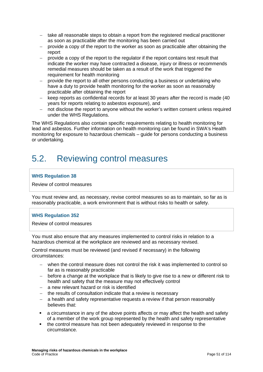- $-$  take all reasonable steps to obtain a report from the registered medical practitioner as soon as practicable after the monitoring has been carried out
- provide a copy of the report to the worker as soon as practicable after obtaining the report
- $-$  provide a copy of the report to the regulator if the report contains test result that indicate the worker may have contracted a disease, injury or illness or recommends remedial measures should be taken as a result of the work that triggered the requirement for health monitoring
- provide the report to all other persons conducting a business or undertaking who have a duty to provide health monitoring for the worker as soon as reasonably practicable after obtaining the report
- $-$  keep reports as confidential records for at least 30 years after the record is made (40 years for reports relating to asbestos exposure), and
- not disclose the report to anyone without the worker's written consent unless required under the WHS Regulations.

The WHS Regulations also contain specific requirements relating to health monitoring for lead and asbestos. Further information on health monitoring can be found in SWA's [Health](https://www.safeworkaustralia.gov.au/doc/health-monitoring-exposure-hazardous-chemicals-guide-persons-conducting-business-or-undertaking)  [monitoring for exposure to hazardous chemicals – guide for persons conducting a business](https://www.safeworkaustralia.gov.au/doc/health-monitoring-exposure-hazardous-chemicals-guide-persons-conducting-business-or-undertaking)  [or undertaking](https://www.safeworkaustralia.gov.au/doc/health-monitoring-exposure-hazardous-chemicals-guide-persons-conducting-business-or-undertaking)*.*

## 5.2. Reviewing control measures

#### **WHS Regulation 38**

Review of control measures

You must review and, as necessary, revise control measures so as to maintain, so far as is reasonably practicable, a work environment that is without risks to health or safety.

#### **WHS Regulation 352**

Review of control measures

You must also ensure that any measures implemented to control risks in relation to a hazardous chemical at the workplace are reviewed and as necessary revised.

Control measures must be reviewed (and revised if necessary) in the following circumstances:

- when the control measure does not control the risk it was implemented to control so far as is reasonably practicable
- before a change at the workplace that is likely to give rise to a new or different risk to health and safety that the measure may not effectively control
- a new relevant hazard or risk is identified
- the results of consultation indicate that a review is necessary
- a health and safety representative requests a review if that person reasonably believes that:
- a circumstance in any of the above points affects or may affect the health and safety of a member of the work group represented by the health and safety representative
- the control measure has not been adequately reviewed in response to the circumstance.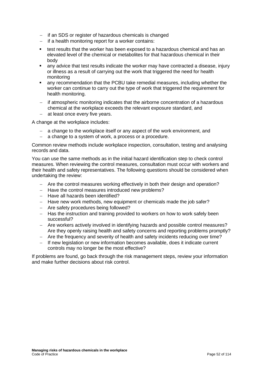- if an SDS or register of hazardous chemicals is changed
- $-$  if a health monitoring report for a worker contains:
- test results that the worker has been exposed to a hazardous chemical and has an elevated level of the chemical or metabolites for that hazardous chemical in their body
- any advice that test results indicate the worker may have contracted a disease, injury or illness as a result of carrying out the work that triggered the need for health monitoring
- any recommendation that the PCBU take remedial measures, including whether the worker can continue to carry out the type of work that triggered the requirement for health monitoring.
- if atmospheric monitoring indicates that the airborne concentration of a hazardous chemical at the workplace exceeds the relevant exposure standard, and
- at least once every five years.

A change at the workplace includes:

- a change to the workplace itself or any aspect of the work environment, and
- a change to a system of work, a process or a procedure.

Common review methods include workplace inspection, consultation, testing and analysing records and data.

You can use the same methods as in the initial hazard identification step to check control measures. When reviewing the control measures, consultation must occur with workers and their health and safety representatives. The following questions should be considered when undertaking the review:

- Are the control measures working effectively in both their design and operation?
- Have the control measures introduced new problems?
- Have all hazards been identified?
- $-$  Have new work methods, new equipment or chemicals made the job safer?
- Are safety procedures being followed?
- Has the instruction and training provided to workers on how to work safely been successful?
- Are workers actively involved in identifying hazards and possible control measures? Are they openly raising health and safety concerns and reporting problems promptly?
- Are the frequency and severity of health and safety incidents reducing over time?
- If new legislation or new information becomes available, does it indicate current controls may no longer be the most effective?

If problems are found, go back through the risk management steps, review your information and make further decisions about risk control.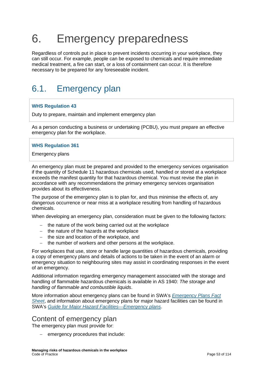# 6. Emergency preparedness

Regardless of controls put in place to prevent incidents occurring in your workplace, they can still occur. For example, people can be exposed to chemicals and require immediate medical treatment, a fire can start, or a loss of containment can occur. It is therefore necessary to be prepared for any foreseeable incident.

## 6.1. Emergency plan

#### **WHS Regulation 43**

Duty to prepare, maintain and implement emergency plan

As a person conducting a business or undertaking (PCBU), you must prepare an effective emergency plan for the workplace.

#### **WHS Regulation 361**

Emergency plans

An emergency plan must be prepared and provided to the emergency services organisation if the quantity of Schedule 11 hazardous chemicals used, handled or stored at a workplace exceeds the manifest quantity for that hazardous chemical. You must revise the plan in accordance with any recommendations the primary emergency services organisation provides about its effectiveness.

The purpose of the emergency plan is to plan for, and thus minimise the effects of, any dangerous occurrence or near miss at a workplace resulting from handling of hazardous chemicals.

When developing an emergency plan, consideration must be given to the following factors:

- $-$  the nature of the work being carried out at the workplace
- $-$  the nature of the hazards at the workplace
- $-$  the size and location of the workplace, and
- the number of workers and other persons at the workplace.

For workplaces that use, store or handle large quantities of hazardous chemicals, providing a copy of emergency plans and details of actions to be taken in the event of an alarm or emergency situation to neighbouring sites may assist in coordinating responses in the event of an emergency.

Additional information regarding emergency management associated with the storage and handling of flammable hazardous chemicals is available in AS 1940: *The storage and handling of flammable and combustible liquids*.

More information about emergency plans can be found in SWA's *[Emergency Plans Fact](https://www.safeworkaustralia.gov.au/doc/emergency-plans-fact-sheet)  Sheet*[, and information about emergency plans for major hazard facilities can be found in](https://www.safeworkaustralia.gov.au/doc/emergency-plans-fact-sheet)  SWA's *[Guide for Major Hazard Facilities—Emergency plans](https://www.safeworkaustralia.gov.au/doc/guide-major-hazard-facilities-emergency-plans)*.

## Content of emergency plan

The emergency plan must provide for:

emergency procedures that include: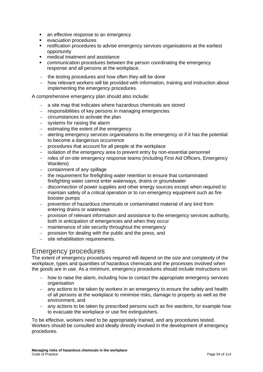- an effective response to an emergency
- **EXECUTE:** evacuation procedures
- notification procedures to advise emergency services organisations at the earliest opportunity
- medical treatment and assistance
- communication procedures between the person coordinating the emergency response and all persons at the workplace.
- $-$  the testing procedures and how often they will be done
- how relevant workers will be provided with information, training and instruction about implementing the emergency procedures.

A comprehensive emergency plan should also include:

- a site map that indicates where hazardous chemicals are stored
- responsibilities of key persons in managing emergencies
- $-$  circumstances to activate the plan
- systems for raising the alarm
- $-$  estimating the extent of the emergency
- alerting emergency services organisations to the emergency or if it has the potential to become a dangerous occurrence
- procedures that account for all people at the workplace
- isolation of the emergency area to prevent entry by non-essential personnel
- roles of on-site emergency response teams (including First Aid Officers, Emergency Wardens)
- containment of any spillage
- the requirement for firefighting water retention to ensure that contaminated firefighting water cannot enter waterways, drains or groundwater
- disconnection of power supplies and other energy sources except when required to maintain safety of a critical operation or to run emergency equipment such as fire booster pumps
- prevention of hazardous chemicals or contaminated material of any kind from entering drains or waterways
- $-$  provision of relevant information and assistance to the emergency services authority, both in anticipation of emergencies and when they occur
- maintenance of site security throughout the emergency
- provision for dealing with the public and the press, and
- $-$  site rehabilitation requirements.

### Emergency procedures

The extent of emergency procedures required will depend on the size and complexity of the workplace, types and quantities of hazardous chemicals and the processes involved when the goods are in use. As a minimum, emergency procedures should include instructions on:

- how to raise the alarm, including how to contact the appropriate emergency services organisation
- any actions to be taken by workers in an emergency to ensure the safety and health of all persons at the workplace to minimise risks, damage to property as well as the environment, and
- any actions to be taken by prescribed persons such as fire wardens, for example how to evacuate the workplace or use fire extinguishers.

To be effective, workers need to be appropriately trained, and any procedures tested. Workers should be consulted and ideally directly involved in the development of emergency procedures.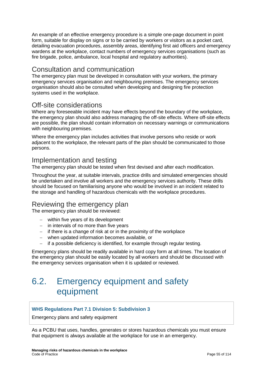An example of an effective emergency procedure is a simple one-page document in point form, suitable for display on signs or to be carried by workers or visitors as a pocket card, detailing evacuation procedures, assembly areas, identifying first aid officers and emergency wardens at the workplace, contact numbers of emergency services organisations (such as fire brigade, police, ambulance, local hospital and regulatory authorities).

## Consultation and communication

The emergency plan must be developed in consultation with your workers, the primary emergency services organisation and neighbouring premises. The emergency services organisation should also be consulted when developing and designing fire protection systems used in the workplace.

### Off-site considerations

Where any foreseeable incident may have effects beyond the boundary of the workplace, the emergency plan should also address managing the off-site effects. Where off-site effects are possible, the plan should contain information on necessary warnings or communications with neighbouring premises.

Where the emergency plan includes activities that involve persons who reside or work adjacent to the workplace, the relevant parts of the plan should be communicated to those persons.

### Implementation and testing

The emergency plan should be tested when first devised and after each modification.

Throughout the year, at suitable intervals, practice drills and simulated emergencies should be undertaken and involve all workers and the emergency services authority. These drills should be focused on familiarising anyone who would be involved in an incident related to the storage and handling of hazardous chemicals with the workplace procedures.

### Reviewing the emergency plan

The emergency plan should be reviewed:

- within five years of its development
- $-$  in intervals of no more than five years
- $\overline{a}$  if there is a change of risk at or in the proximity of the workplace
- when updated information becomes available, or
- $\overline{-}$  if a possible deficiency is identified, for example through regular testing.

Emergency plans should be readily available in hard copy form at all times. The location of the emergency plan should be easily located by all workers and should be discussed with the emergency services organisation when it is updated or reviewed.

## 6.2. Emergency equipment and safety equipment

#### **WHS Regulations Part 7.1 Division 5: Subdivision 3**

Emergency plans and safety equipment

As a PCBU that uses, handles, generates or stores hazardous chemicals you must ensure that equipment is always available at the workplace for use in an emergency.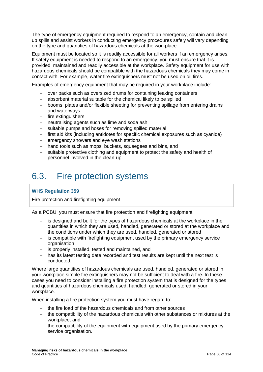The type of emergency equipment required to respond to an emergency, contain and clean up spills and assist workers in conducting emergency procedures safely will vary depending on the type and quantities of hazardous chemicals at the workplace.

Equipment must be located so it is readily accessible for all workers if an emergency arises. If safety equipment is needed to respond to an emergency, you must ensure that it is provided, maintained and readily accessible at the workplace. Safety equipment for use with hazardous chemicals should be compatible with the hazardous chemicals they may come in contact with. For example, water fire extinguishers must not be used on oil fires.

Examples of emergency equipment that may be required in your workplace include:

- over packs such as oversized drums for containing leaking containers
- absorbent material suitable for the chemical likely to be spilled
- booms, plates and/or flexible sheeting for preventing spillage from entering drains and waterways
- $-$  fire extinguishers
- neutralising agents such as lime and soda ash
- suitable pumps and hoses for removing spilled material
- first aid kits (including antidotes for specific chemical exposures such as cyanide)
- $-$  emergency showers and eye wash stations
- hand tools such as mops, buckets, squeegees and bins, and
- suitable protective clothing and equipment to protect the safety and health of personnel involved in the clean-up.

## 6.3. Fire protection systems

#### **WHS Regulation 359**

Fire protection and firefighting equipment

As a PCBU, you must ensure that fire protection and firefighting equipment:

- $\overline{a}$  is designed and built for the types of hazardous chemicals at the workplace in the quantities in which they are used, handled, generated or stored at the workplace and the conditions under which they are used, handled, generated or stored
- is compatible with firefighting equipment used by the primary emergency service organisation
- is properly installed, tested and maintained, and
- has its latest testing date recorded and test results are kept until the next test is conducted.

Where large quantities of hazardous chemicals are used, handled, generated or stored in your workplace simple fire extinguishers may not be sufficient to deal with a fire. In these cases you need to consider installing a fire protection system that is designed for the types and quantities of hazardous chemicals used, handled, generated or stored in your workplace.

When installing a fire protection system you must have regard to:

- the fire load of the hazardous chemicals and from other sources
- $-$  the compatibility of the hazardous chemicals with other substances or mixtures at the workplace, and
- the compatibility of the equipment with equipment used by the primary emergency service organisation.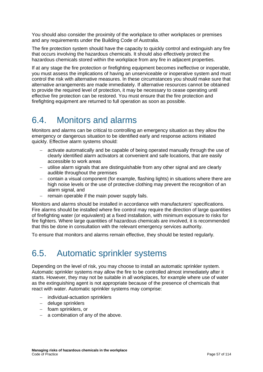You should also consider the proximity of the workplace to other workplaces or premises and any requirements under the Building Code of Australia.

The fire protection system should have the capacity to quickly control and extinguish any fire that occurs involving the hazardous chemicals. It should also effectively protect the hazardous chemicals stored within the workplace from any fire in adjacent properties.

If at any stage the fire protection or firefighting equipment becomes ineffective or inoperable, you must assess the implications of having an unserviceable or inoperative system and must control the risk with alternative measures. In these circumstances you should make sure that alternative arrangements are made immediately. If alternative resources cannot be obtained to provide the required level of protection, it may be necessary to cease operating until effective fire protection can be restored. You must ensure that the fire protection and firefighting equipment are returned to full operation as soon as possible.

## 6.4. Monitors and alarms

Monitors and alarms can be critical to controlling an emergency situation as they allow the emergency or dangerous situation to be identified early and response actions initiated quickly. Effective alarm systems should:

- activate automatically and be capable of being operated manually through the use of clearly identified alarm activators at convenient and safe locations, that are easily accessible to work areas
- utilise alarm signals that are distinguishable from any other signal and are clearly audible throughout the premises
- contain a visual component (for example, flashing lights) in situations where there are high noise levels or the use of protective clothing may prevent the recognition of an alarm signal, and
- $-$  remain operable if the main power supply fails.

Monitors and alarms should be installed in accordance with manufacturers' specifications. Fire alarms should be installed where fire control may require the direction of large quantities of firefighting water (or equivalent) at a fixed installation, with minimum exposure to risks for fire fighters. Where large quantities of hazardous chemicals are involved, it is recommended that this be done in consultation with the relevant emergency services authority.

To ensure that monitors and alarms remain effective, they should be tested regularly.

## 6.5. Automatic sprinkler systems

Depending on the level of risk, you may choose to install an automatic sprinkler system. Automatic sprinkler systems may allow the fire to be controlled almost immediately after it starts. However, they may not be suitable in all workplaces, for example where use of water as the extinguishing agent is not appropriate because of the presence of chemicals that react with water. Automatic sprinkler systems may comprise:

- individual-actuation sprinklers
- deluge sprinklers
- foam sprinklers, or
- $-$  a combination of any of the above.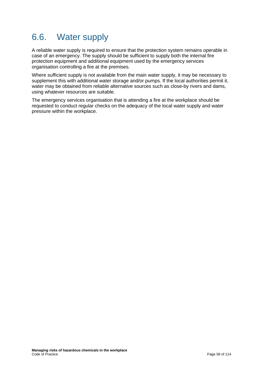## 6.6. Water supply

A reliable water supply is required to ensure that the protection system remains operable in case of an emergency. The supply should be sufficient to supply both the internal fire protection equipment and additional equipment used by the emergency services organisation controlling a fire at the premises.

Where sufficient supply is not available from the main water supply, it may be necessary to supplement this with additional water storage and/or pumps. If the local authorities permit it, water may be obtained from reliable alternative sources such as close-by rivers and dams, using whatever resources are suitable.

The emergency services organisation that is attending a fire at the workplace should be requested to conduct regular checks on the adequacy of the local water supply and water pressure within the workplace.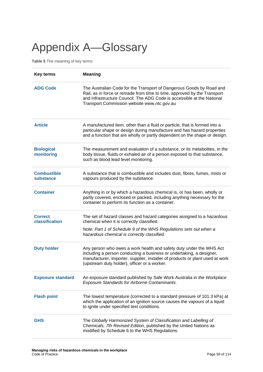# Appendix A—Glossary

**Table 5** The meaning of key terms

| <b>Key terms</b>                 | <b>Meaning</b>                                                                                                                                                                                                                                                               |
|----------------------------------|------------------------------------------------------------------------------------------------------------------------------------------------------------------------------------------------------------------------------------------------------------------------------|
| <b>ADG Code</b>                  | The Australian Code for the Transport of Dangerous Goods by Road and<br>Rail, as in force or remade from time to time, approved by the Transport<br>and Infrastructure Council. The ADG Code is accessible at the National<br>Transport Commission website www.ntc.gov.au    |
| <b>Article</b>                   | A manufactured item, other than a fluid or particle, that is formed into a<br>particular shape or design during manufacture and has hazard properties<br>and a function that are wholly or partly dependent on the shape or design.                                          |
| <b>Biological</b><br>monitoring  | The measurement and evaluation of a substance, or its metabolites, in the<br>body tissue, fluids or exhaled air of a person exposed to that substance,<br>such as blood lead level monitoring.                                                                               |
| <b>Combustible</b><br>substance  | A substance that is combustible and includes dust, fibres, fumes, mists or<br>vapours produced by the substance.                                                                                                                                                             |
| <b>Container</b>                 | Anything in or by which a hazardous chemical is, or has been, wholly or<br>partly covered, enclosed or packed, including anything necessary for the<br>container to perform its function as a container.                                                                     |
| <b>Correct</b><br>classification | The set of hazard classes and hazard categories assigned to a hazardous<br>chemical when it is correctly classified.                                                                                                                                                         |
|                                  | Note: Part 1 of Schedule 9 of the WHS Regulations sets out when a<br>hazardous chemical is correctly classified.                                                                                                                                                             |
| <b>Duty holder</b>               | Any person who owes a work health and safety duty under the WHS Act<br>including a person conducting a business or undertaking, a designer,<br>manufacturer, importer, supplier, installer of products or plant used at work<br>(upstream duty holder), officer or a worker. |
| <b>Exposure standard</b>         | An exposure standard published by Safe Work Australia in the Workplace<br><b>Exposure Standards for Airborne Contaminants.</b>                                                                                                                                               |
| <b>Flash point</b>               | The lowest temperature (corrected to a standard pressure of 101.3 kPa) at<br>which the application of an ignition source causes the vapours of a liquid<br>to ignite under specified test conditions.                                                                        |
| <b>GHS</b>                       | The Globally Harmonized System of Classification and Labelling of<br>Chemicals, 7th Revised Edition, published by the United Nations as<br>modified by Schedule 6 to the WHS Regulations.                                                                                    |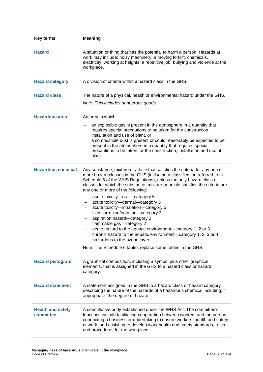| <b>Key terms</b>                      | <b>Meaning</b>                                                                                                                                                                                                                                                                                                                                                                                                                                                                                                        |  |
|---------------------------------------|-----------------------------------------------------------------------------------------------------------------------------------------------------------------------------------------------------------------------------------------------------------------------------------------------------------------------------------------------------------------------------------------------------------------------------------------------------------------------------------------------------------------------|--|
| <b>Hazard</b>                         | A situation or thing that has the potential to harm a person. Hazards at<br>work may include: noisy machinery, a moving forklift, chemicals,<br>electricity, working at heights, a repetitive job, bullying and violence at the<br>workplace.                                                                                                                                                                                                                                                                         |  |
| <b>Hazard category</b>                | A division of criteria within a hazard class in the GHS.                                                                                                                                                                                                                                                                                                                                                                                                                                                              |  |
| <b>Hazard class</b>                   | The nature of a physical, health or environmental hazard under the GHS.                                                                                                                                                                                                                                                                                                                                                                                                                                               |  |
|                                       | Note: This includes dangerous goods.                                                                                                                                                                                                                                                                                                                                                                                                                                                                                  |  |
| <b>Hazardous area</b>                 | An area in which:                                                                                                                                                                                                                                                                                                                                                                                                                                                                                                     |  |
|                                       | an explosible gas is present in the atmosphere in a quantity that<br>requires special precautions to be taken for the construction,<br>installation and use of plant, or<br>a combustible dust is present or could reasonably be expected to be<br>present in the atmosphere in a quantity that requires special<br>precautions to be taken for the construction, installation and use of<br>plant.                                                                                                                   |  |
| <b>Hazardous chemical</b>             | Any substance, mixture or article that satisfies the criteria for any one or<br>more hazard classes in the GHS (including a classification referred to in<br>Schedule 6 of the WHS Regulations), unless the only hazard class or<br>classes for which the substance, mixture or article satisfies the criteria are<br>any one or more of the following:                                                                                                                                                               |  |
|                                       | acute toxicity-oral-category 5<br>$\overline{\phantom{0}}$<br>acute toxicity-dermal-category 5<br>$\qquad \qquad -$<br>acute toxicity-inhalation-category 5<br>$\overline{\phantom{m}}$<br>skin corrosion/irritation-category 3<br>$\overline{\phantom{m}}$<br>aspiration hazard-category 2<br>flammable gas-category 2<br>$\overline{\phantom{m}}$<br>acute hazard to the aquatic environment-category 1, 2 or 3<br>chronic hazard to the aquatic environment-category 1, 2, 3 or 4<br>hazardous to the ozone layer. |  |
|                                       | Note: The Schedule 6 tables replace some tables in the GHS.                                                                                                                                                                                                                                                                                                                                                                                                                                                           |  |
| <b>Hazard pictogram</b>               | A graphical composition, including a symbol plus other graphical<br>elements, that is assigned in the GHS to a hazard class or hazard<br>category.                                                                                                                                                                                                                                                                                                                                                                    |  |
| <b>Hazard statement</b>               | A statement assigned in the GHS to a hazard class or hazard category<br>describing the nature of the hazards of a hazardous chemical including, if<br>appropriate, the degree of hazard.                                                                                                                                                                                                                                                                                                                              |  |
| <b>Health and safety</b><br>committee | A consultative body established under the WHS Act. The committee's<br>functions include facilitating cooperation between workers and the person<br>conducting a business or undertaking to ensure workers' health and safety<br>at work, and assisting to develop work health and safety standards, rules<br>and procedures for the workplace.                                                                                                                                                                        |  |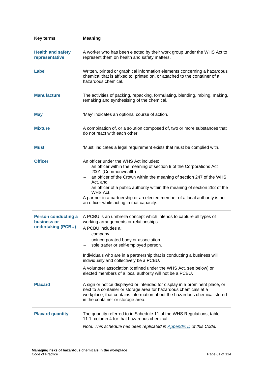| <b>Key terms</b>                                                | <b>Meaning</b>                                                                                                                                                                                                                                                                                                                                                                                                                                                                       |
|-----------------------------------------------------------------|--------------------------------------------------------------------------------------------------------------------------------------------------------------------------------------------------------------------------------------------------------------------------------------------------------------------------------------------------------------------------------------------------------------------------------------------------------------------------------------|
| <b>Health and safety</b><br>representative                      | A worker who has been elected by their work group under the WHS Act to<br>represent them on health and safety matters.                                                                                                                                                                                                                                                                                                                                                               |
| Label                                                           | Written, printed or graphical information elements concerning a hazardous<br>chemical that is affixed to, printed on, or attached to the container of a<br>hazardous chemical.                                                                                                                                                                                                                                                                                                       |
| <b>Manufacture</b>                                              | The activities of packing, repacking, formulating, blending, mixing, making,<br>remaking and synthesising of the chemical.                                                                                                                                                                                                                                                                                                                                                           |
| <b>May</b>                                                      | 'May' indicates an optional course of action.                                                                                                                                                                                                                                                                                                                                                                                                                                        |
| <b>Mixture</b>                                                  | A combination of, or a solution composed of, two or more substances that<br>do not react with each other.                                                                                                                                                                                                                                                                                                                                                                            |
| <b>Must</b>                                                     | 'Must' indicates a legal requirement exists that must be complied with.                                                                                                                                                                                                                                                                                                                                                                                                              |
| <b>Officer</b>                                                  | An officer under the WHS Act includes:<br>an officer within the meaning of section 9 of the Corporations Act<br>2001 (Commonwealth)<br>an officer of the Crown within the meaning of section 247 of the WHS<br>$\overline{\phantom{m}}$<br>Act, and<br>an officer of a public authority within the meaning of section 252 of the<br>$ \,$<br>WHS Act.<br>A partner in a partnership or an elected member of a local authority is not<br>an officer while acting in that capacity.    |
| <b>Person conducting a</b><br>business or<br>undertaking (PCBU) | A PCBU is an umbrella concept which intends to capture all types of<br>working arrangements or relationships.<br>A PCBU includes a:<br>company<br>unincorporated body or association<br>sole trader or self-employed person.<br>Individuals who are in a partnership that is conducting a business will<br>individually and collectively be a PCBU.<br>A volunteer association (defined under the WHS Act, see below) or<br>elected members of a local authority will not be a PCBU. |
| <b>Placard</b>                                                  | A sign or notice displayed or intended for display in a prominent place, or<br>next to a container or storage area for hazardous chemicals at a<br>workplace, that contains information about the hazardous chemical stored<br>in the container or storage area.                                                                                                                                                                                                                     |
| <b>Placard quantity</b>                                         | The quantity referred to in Schedule 11 of the WHS Regulations, table<br>11.1, column 4 for that hazardous chemical.<br>Note: This schedule has been replicated in Appendix D of this Code.                                                                                                                                                                                                                                                                                          |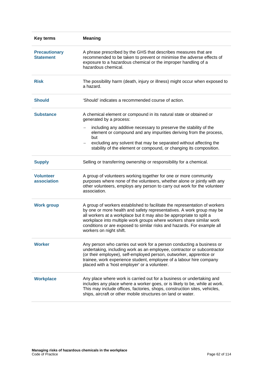| <b>Key terms</b>                         | <b>Meaning</b>                                                                                                                                                                                                                                                                                                                                                                                            |
|------------------------------------------|-----------------------------------------------------------------------------------------------------------------------------------------------------------------------------------------------------------------------------------------------------------------------------------------------------------------------------------------------------------------------------------------------------------|
| <b>Precautionary</b><br><b>Statement</b> | A phrase prescribed by the GHS that describes measures that are<br>recommended to be taken to prevent or minimise the adverse effects of<br>exposure to a hazardous chemical or the improper handling of a<br>hazardous chemical.                                                                                                                                                                         |
| <b>Risk</b>                              | The possibility harm (death, injury or illness) might occur when exposed to<br>a hazard.                                                                                                                                                                                                                                                                                                                  |
| <b>Should</b>                            | 'Should' indicates a recommended course of action.                                                                                                                                                                                                                                                                                                                                                        |
| <b>Substance</b>                         | A chemical element or compound in its natural state or obtained or<br>generated by a process:                                                                                                                                                                                                                                                                                                             |
|                                          | including any additive necessary to preserve the stability of the<br>element or compound and any impurities deriving from the process,<br>but                                                                                                                                                                                                                                                             |
|                                          | excluding any solvent that may be separated without affecting the<br>$\qquad \qquad -$<br>stability of the element or compound, or changing its composition.                                                                                                                                                                                                                                              |
| <b>Supply</b>                            | Selling or transferring ownership or responsibility for a chemical.                                                                                                                                                                                                                                                                                                                                       |
| <b>Volunteer</b><br>association          | A group of volunteers working together for one or more community<br>purposes where none of the volunteers, whether alone or jointly with any<br>other volunteers, employs any person to carry out work for the volunteer<br>association.                                                                                                                                                                  |
| <b>Work group</b>                        | A group of workers established to facilitate the representation of workers<br>by one or more health and safety representatives. A work group may be<br>all workers at a workplace but it may also be appropriate to split a<br>workplace into multiple work groups where workers share similar work<br>conditions or are exposed to similar risks and hazards. For example all<br>workers on night shift. |
| <b>Worker</b>                            | Any person who carries out work for a person conducting a business or<br>undertaking, including work as an employee, contractor or subcontractor<br>(or their employee), self-employed person, outworker, apprentice or<br>trainee, work experience student, employee of a labour hire company<br>placed with a 'host employer' or a volunteer.                                                           |
| <b>Workplace</b>                         | Any place where work is carried out for a business or undertaking and<br>includes any place where a worker goes, or is likely to be, while at work.<br>This may include offices, factories, shops, construction sites, vehicles,<br>ships, aircraft or other mobile structures on land or water.                                                                                                          |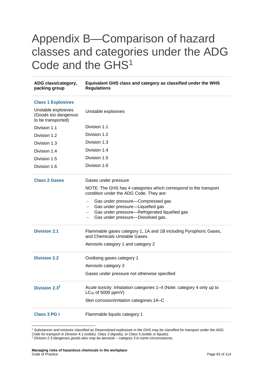# Appendix B—Comparison of hazard [classes and categories under the ADG](#page-62-0)  Code and the GHS<sup>[1](#page-62-0)</sup>

| ADG class/category,<br>packing group                              | Equivalent GHS class and category as classified under the WHS<br><b>Regulations</b>                                                                                              |
|-------------------------------------------------------------------|----------------------------------------------------------------------------------------------------------------------------------------------------------------------------------|
| <b>Class 1 Explosives</b>                                         |                                                                                                                                                                                  |
| Unstable explosives<br>(Goods too dangerous<br>to be transported) | Unstable explosives                                                                                                                                                              |
| Division 1.1                                                      | Division 1.1                                                                                                                                                                     |
| Division 1.2                                                      | Division 1.2                                                                                                                                                                     |
| Division 1.3                                                      | Division 1.3                                                                                                                                                                     |
| Division 1.4                                                      | Division 1.4                                                                                                                                                                     |
| Division 1.5                                                      | Division 1.5                                                                                                                                                                     |
| Division 1.6                                                      | Division 1.6                                                                                                                                                                     |
| <b>Class 2 Gases</b>                                              | Gases under pressure                                                                                                                                                             |
|                                                                   | NOTE: The GHS has 4 categories which correspond to the transport<br>condition under the ADG Code. They are:                                                                      |
|                                                                   | Gas under pressure-Compressed gas<br>Gas under pressure-Liquefied gas<br>Gas under pressure-Refrigerated liquefied gas<br>$\qquad \qquad -$<br>Gas under pressure-Dissolved gas. |
| <b>Division 2.1</b>                                               | Flammable gases category 1, 1A and 1B including Pyrophoric Gases,<br>and Chemicals Unstable Gases.                                                                               |
|                                                                   | Aerosols category 1 and category 2                                                                                                                                               |
| <b>Division 2.2</b>                                               | Oxidising gases category 1                                                                                                                                                       |
|                                                                   | Aerosols category 3                                                                                                                                                              |
|                                                                   | Gases under pressure not otherwise specified                                                                                                                                     |
| Division 2.3 <sup>2</sup>                                         | Acute toxicity: Inhalation categories 1-4 (Note: category 4 only up to<br>$LC_{50}$ of 5000 ppmV)                                                                                |
|                                                                   | Skin corrosion/irritation categories 1A-C                                                                                                                                        |
| <b>Class 3 PG I</b>                                               | Flammable liquids category 1                                                                                                                                                     |

<span id="page-62-0"></span><sup>&</sup>lt;sup>1</sup> Substances and mixtures classified as Desensitized explosives in the GHS may be classified for transport under the ADG

<span id="page-62-1"></span>*Code for transport in Division 4.1 (solids), Class 3 (liquids), or Class 5 (solids or liquids).*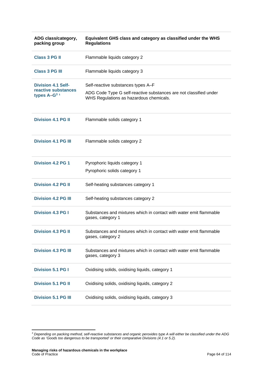| ADG class/category,<br>packing group                              | Equivalent GHS class and category as classified under the WHS<br><b>Regulations</b>                                                                |
|-------------------------------------------------------------------|----------------------------------------------------------------------------------------------------------------------------------------------------|
| <b>Class 3 PG II</b>                                              | Flammable liquids category 2                                                                                                                       |
| <b>Class 3 PG III</b>                                             | Flammable liquids category 3                                                                                                                       |
| <b>Division 4.1 Self-</b><br>reactive substances<br>types $A-G31$ | Self-reactive substances types A-F<br>ADG Code Type G self-reactive substances are not classified under<br>WHS Regulations as hazardous chemicals. |
| <b>Division 4.1 PG II</b>                                         | Flammable solids category 1                                                                                                                        |
| <b>Division 4.1 PG III</b>                                        | Flammable solids category 2                                                                                                                        |
| <b>Division 4.2 PG 1</b>                                          | Pyrophoric liquids category 1<br>Pyrophoric solids category 1                                                                                      |
| <b>Division 4.2 PG II</b>                                         | Self-heating substances category 1                                                                                                                 |
| <b>Division 4.2 PG III</b>                                        | Self-heating substances category 2                                                                                                                 |
| <b>Division 4.3 PG I</b>                                          | Substances and mixtures which in contact with water emit flammable<br>gases, category 1                                                            |
| <b>Division 4.3 PG II</b>                                         | Substances and mixtures which in contact with water emit flammable<br>gases, category 2                                                            |
| <b>Division 4.3 PG III</b>                                        | Substances and mixtures which in contact with water emit flammable<br>gases, category 3                                                            |
| <b>Division 5.1 PG I</b>                                          | Oxidising solids, oxidising liquids, category 1                                                                                                    |
| <b>Division 5.1 PG II</b>                                         | Oxidising solids, oxidising liquids, category 2                                                                                                    |
| <b>Division 5.1 PG III</b>                                        | Oxidising solids, oxidising liquids, category 3                                                                                                    |

<span id="page-63-0"></span>*<sup>3</sup> Depending on packing method, self-reactive substances and organic peroxides type A will either be classified under the ADG Code as 'Goods too dangerous to be transported' or their comparative Divisions (4.1 or 5.2).*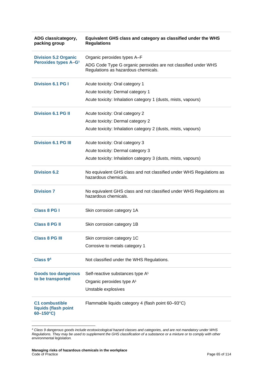| ADG class/category,<br>packing group                            | Equivalent GHS class and category as classified under the WHS<br><b>Regulations</b>                   |
|-----------------------------------------------------------------|-------------------------------------------------------------------------------------------------------|
| <b>Division 5.2 Organic</b>                                     | Organic peroxides types A-F                                                                           |
| Peroxides types A-G1                                            | ADG Code Type G organic peroxides are not classified under WHS<br>Regulations as hazardous chemicals. |
| <b>Division 6.1 PG I</b>                                        | Acute toxicity: Oral category 1                                                                       |
|                                                                 | Acute toxicity: Dermal category 1                                                                     |
|                                                                 | Acute toxicity: Inhalation category 1 (dusts, mists, vapours)                                         |
| <b>Division 6.1 PG II</b>                                       | Acute toxicity: Oral category 2                                                                       |
|                                                                 | Acute toxicity: Dermal category 2                                                                     |
|                                                                 | Acute toxicity: Inhalation category 2 (dusts, mists, vapours)                                         |
| <b>Division 6.1 PG III</b>                                      | Acute toxicity: Oral category 3                                                                       |
|                                                                 | Acute toxicity: Dermal category 3                                                                     |
|                                                                 | Acute toxicity: Inhalation category 3 (dusts, mists, vapours)                                         |
| <b>Division 6.2</b>                                             | No equivalent GHS class and not classified under WHS Regulations as<br>hazardous chemicals.           |
| <b>Division 7</b>                                               | No equivalent GHS class and not classified under WHS Regulations as<br>hazardous chemicals.           |
| <b>Class 8 PG I</b>                                             | Skin corrosion category 1A                                                                            |
| <b>Class 8 PG II</b>                                            | Skin corrosion category 1B                                                                            |
| <b>Class 8 PG III</b>                                           | Skin corrosion category 1C                                                                            |
|                                                                 | Corrosive to metals category 1                                                                        |
| Class 9 <sup>4</sup>                                            | Not classified under the WHS Regulations.                                                             |
| <b>Goods too dangerous</b>                                      | Self-reactive substances type A <sup>1</sup>                                                          |
| to be transported                                               | Organic peroxides type A <sup>1</sup>                                                                 |
|                                                                 | Unstable explosives                                                                                   |
| <b>C1 combustible</b><br>liquids (flash point<br>$60 - 150$ °C) | Flammable liquids category 4 (flash point 60-93°C)                                                    |

<span id="page-64-0"></span>*<sup>4</sup> Class 9 dangerous goods include ecotoxicological hazard classes and categories, and are not mandatory under WHS Regulations. They may be used to supplement the GHS classification of a substance or a mixture or to comply with other environmental legislation.*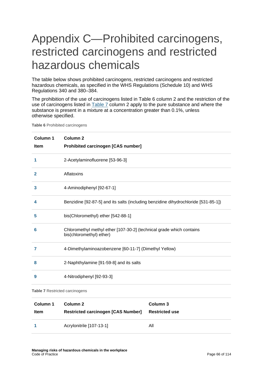# Appendix C—Prohibited carcinogens, restricted carcinogens and restricted hazardous chemicals

The table below shows prohibited carcinogens, restricted carcinogens and restricted hazardous chemicals, as specified in the WHS Regulations (Schedule 10) and WHS Regulations 340 and 380–384.

The prohibition of the use of carcinogens listed in Table 6 column 2 and the restriction of the use of carcinogens listed in [Table 7](#page-65-0) column 2 apply to the pure substance and where the substance is present in a mixture at a concentration greater than 0.1%, unless otherwise specified.

**Table 6** Prohibited carcinogens

| <b>Column 1</b><br><b>Item</b> | Column <sub>2</sub><br><b>Prohibited carcinogen [CAS number]</b>                                 |
|--------------------------------|--------------------------------------------------------------------------------------------------|
| 1                              | 2-Acetylaminofluorene [53-96-3]                                                                  |
| $\mathbf{2}$                   | Aflatoxins                                                                                       |
| 3                              | 4-Aminodiphenyl [92-67-1]                                                                        |
| 4                              | Benzidine [92-87-5] and its salts (including benzidine dihydrochloride [531-85-1])               |
| 5                              | bis(Chloromethyl) ether [542-88-1]                                                               |
| 6                              | Chloromethyl methyl ether [107-30-2] (technical grade which contains<br>bis(chloromethyl) ether) |
| 7                              | 4-Dimethylaminoazobenzene [60-11-7] (Dimethyl Yellow)                                            |
| 8                              | 2-Naphthylamine [91-59-8] and its salts                                                          |
| 9                              | 4-Nitrodiphenyl [92-93-3]                                                                        |
|                                |                                                                                                  |

<span id="page-65-0"></span>**Table 7** Restricted carcinogens

| Column 1    | Column 2                                  | Column 3              |
|-------------|-------------------------------------------|-----------------------|
| <b>Item</b> | <b>Restricted carcinogen [CAS Number]</b> | <b>Restricted use</b> |
|             | Acrylonitrile [107-13-1]                  | All                   |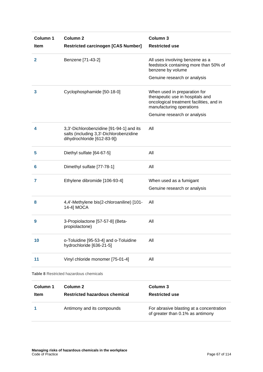| Column 1<br><b>Item</b>                       | <b>Column 2</b><br><b>Restricted carcinogen [CAS Number]</b>                                                       | Column <sub>3</sub><br><b>Restricted use</b>                                                                                             |
|-----------------------------------------------|--------------------------------------------------------------------------------------------------------------------|------------------------------------------------------------------------------------------------------------------------------------------|
| $\mathbf{2}$                                  | Benzene [71-43-2]                                                                                                  | All uses involving benzene as a<br>feedstock containing more than 50% of<br>benzene by volume                                            |
|                                               |                                                                                                                    | Genuine research or analysis                                                                                                             |
| 3                                             | Cyclophosphamide [50-18-0]                                                                                         | When used in preparation for<br>therapeutic use in hospitals and<br>oncological treatment facilities, and in<br>manufacturing operations |
|                                               |                                                                                                                    | Genuine research or analysis                                                                                                             |
| 4                                             | 3,3'-Dichlorobenzidine [91-94-1] and its<br>salts (including 3,3'-Dichlorobenzidine<br>dihydrochloride [612-83-9]) | All                                                                                                                                      |
| 5                                             | Diethyl sulfate [64-67-5]                                                                                          | All                                                                                                                                      |
| 6                                             | Dimethyl sulfate [77-78-1]                                                                                         | All                                                                                                                                      |
| 7                                             | Ethylene dibromide [106-93-4]                                                                                      | When used as a fumigant<br>Genuine research or analysis                                                                                  |
| 8                                             | 4,4'-Methylene bis(2-chloroaniline) [101-<br>14-4] MOCA                                                            | All                                                                                                                                      |
| 9                                             | 3-Propiolactone [57-57-8] (Beta-<br>propiolactone)                                                                 | All                                                                                                                                      |
| 10                                            | o-Toluidine [95-53-4] and o-Toluidine<br>hydrochloride [636-21-5]                                                  | All                                                                                                                                      |
| 11                                            | Vinyl chloride monomer [75-01-4]                                                                                   | All                                                                                                                                      |
| <b>Table 8 Restricted hazardous chemicals</b> |                                                                                                                    |                                                                                                                                          |
| Column 1                                      | Column <sub>2</sub>                                                                                                | Column <sub>3</sub>                                                                                                                      |
| ltem                                          | <b>Restricted hazardous chemical</b>                                                                               | <b>Restricted use</b>                                                                                                                    |
| 1                                             | Antimony and its compounds                                                                                         | For abrasive blasting at a concentration<br>of greater than 0.1% as antimony                                                             |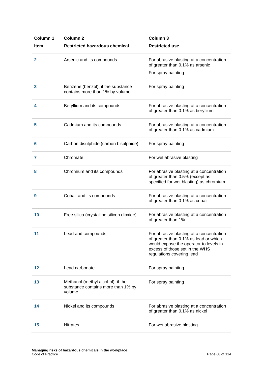| Column 1<br>ltem | Column <sub>2</sub><br><b>Restricted hazardous chemical</b>                       | Column <sub>3</sub><br><b>Restricted use</b>                                                                                                                                               |
|------------------|-----------------------------------------------------------------------------------|--------------------------------------------------------------------------------------------------------------------------------------------------------------------------------------------|
| $\mathbf{2}$     | Arsenic and its compounds                                                         | For abrasive blasting at a concentration<br>of greater than 0.1% as arsenic<br>For spray painting                                                                                          |
| 3                | Benzene (benzol), if the substance<br>contains more than 1% by volume             | For spray painting                                                                                                                                                                         |
| 4                | Beryllium and its compounds                                                       | For abrasive blasting at a concentration<br>of greater than 0.1% as beryllium                                                                                                              |
| 5                | Cadmium and its compounds                                                         | For abrasive blasting at a concentration<br>of greater than 0.1% as cadmium                                                                                                                |
| 6                | Carbon disulphide (carbon bisulphide)                                             | For spray painting                                                                                                                                                                         |
| 7                | Chromate                                                                          | For wet abrasive blasting                                                                                                                                                                  |
| 8                | Chromium and its compounds                                                        | For abrasive blasting at a concentration<br>of greater than 0.5% (except as<br>specified for wet blasting) as chromium                                                                     |
| 9                | Cobalt and its compounds                                                          | For abrasive blasting at a concentration<br>of greater than 0.1% as cobalt                                                                                                                 |
| 10               | Free silica (crystalline silicon dioxide)                                         | For abrasive blasting at a concentration<br>of greater than 1%                                                                                                                             |
| 11               | Lead and compounds                                                                | For abrasive blasting at a concentration<br>of greater than 0.1% as lead or which<br>would expose the operator to levels in<br>excess of those set in the WHS<br>regulations covering lead |
| 12               | Lead carbonate                                                                    | For spray painting                                                                                                                                                                         |
| 13               | Methanol (methyl alcohol), if the<br>substance contains more than 1% by<br>volume | For spray painting                                                                                                                                                                         |
| 14               | Nickel and its compounds                                                          | For abrasive blasting at a concentration<br>of greater than 0.1% as nickel                                                                                                                 |
| 15               | <b>Nitrates</b>                                                                   | For wet abrasive blasting                                                                                                                                                                  |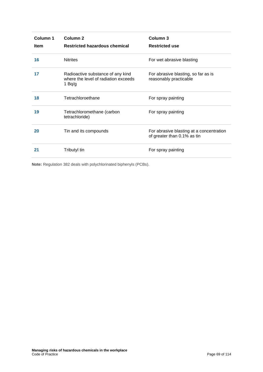| Column 1<br><b>Item</b> | Column <sub>2</sub><br><b>Restricted hazardous chemical</b>                           | Column 3<br><b>Restricted use</b>                                       |
|-------------------------|---------------------------------------------------------------------------------------|-------------------------------------------------------------------------|
| 16                      | <b>Nitrites</b>                                                                       | For wet abrasive blasting                                               |
| 17                      | Radioactive substance of any kind<br>where the level of radiation exceeds<br>1 $Bq/g$ | For abrasive blasting, so far as is<br>reasonably practicable           |
| 18                      | Tetrachloroethane                                                                     | For spray painting                                                      |
| 19                      | Tetrachloromethane (carbon<br>tetrachloride)                                          | For spray painting                                                      |
| 20                      | Tin and its compounds                                                                 | For abrasive blasting at a concentration<br>of greater than 0.1% as tin |
| 21                      | Tributyl tin                                                                          | For spray painting                                                      |

**Note:** Regulation 382 deals with polychlorinated biphenyls (PCBs).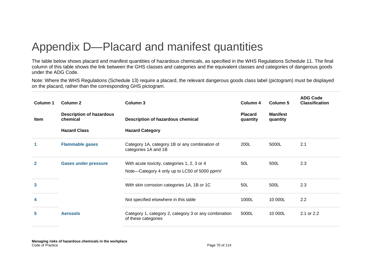# Appendix D—Placard and manifest quantities

The table below shows placard and manifest quantities of hazardous chemicals, as specified in the WHS Regulations Schedule 11. The final column of this table shows the link between the GHS classes and categories and the equivalent classes and categories of dangerous goods under the ADG Code.

Note: Where the WHS Regulations (Schedule 13) require a placard, the relevant dangerous goods class label (pictogram) must be displayed on the placard, rather than the corresponding GHS pictogram.

<span id="page-69-0"></span>

| Column 1     | Column 2                                    | Column 3                                                                                     | Column 4                   | Column 5                    | <b>ADG Code</b><br><b>Classification</b> |
|--------------|---------------------------------------------|----------------------------------------------------------------------------------------------|----------------------------|-----------------------------|------------------------------------------|
| <b>Item</b>  | <b>Description of hazardous</b><br>chemical | Description of hazardous chemical                                                            | <b>Placard</b><br>quantity | <b>Manifest</b><br>quantity |                                          |
|              | <b>Hazard Class</b>                         | <b>Hazard Category</b>                                                                       |                            |                             |                                          |
| 1            | <b>Flammable gases</b>                      | Category 1A, category 1B or any combination of<br>categories 1A and 1B                       | 200L                       | 5000L                       | 2.1                                      |
| $\mathbf{2}$ | <b>Gases under pressure</b>                 | With acute toxicity, categories 1, 2, 3 or 4<br>Note-Category 4 only up to LC50 of 5000 ppmV | 50L                        | 500L                        | 2.3                                      |
| 3            |                                             | With skin corrosion categories 1A, 1B or 1C                                                  | 50L                        | 500L                        | 2.3                                      |
| 4            |                                             | Not specified elsewhere in this table                                                        | 1000L                      | 10 000L                     | 2.2                                      |
| 5            | <b>Aerosols</b>                             | Category 1, category 2, category 3 or any combination<br>of these categories                 | 5000L                      | 10 000L                     | 2.1 or 2.2                               |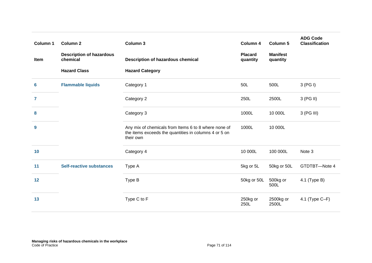| Column 1        | Column <sub>2</sub>                         | Column 3                                                                                                                   | Column 4                   | Column 5                    | <b>ADG Code</b><br><b>Classification</b> |
|-----------------|---------------------------------------------|----------------------------------------------------------------------------------------------------------------------------|----------------------------|-----------------------------|------------------------------------------|
| Item            | <b>Description of hazardous</b><br>chemical | Description of hazardous chemical                                                                                          | <b>Placard</b><br>quantity | <b>Manifest</b><br>quantity |                                          |
|                 | <b>Hazard Class</b>                         | <b>Hazard Category</b>                                                                                                     |                            |                             |                                          |
| $6\phantom{1}6$ | <b>Flammable liquids</b>                    | Category 1                                                                                                                 | 50L                        | 500L                        | 3 (PG I)                                 |
| 7               |                                             | Category 2                                                                                                                 | 250L                       | 2500L                       | 3 (PG II)                                |
| 8               |                                             | Category 3                                                                                                                 | 1000L                      | 10 000L                     | 3 (PG III)                               |
| 9               |                                             | Any mix of chemicals from Items 6 to 8 where none of<br>the items exceeds the quantities in columns 4 or 5 on<br>their own | 1000L                      | 10 000L                     |                                          |
| 10              |                                             | Category 4                                                                                                                 | 10 000L                    | 100 000L                    | Note 3                                   |
| 11              | <b>Self-reactive substances</b>             | Type A                                                                                                                     | 5kg or 5L                  | 50kg or 50L                 | GTDTBT-Note 4                            |
| 12              |                                             | Type B                                                                                                                     | 50kg or 50L                | 500kg or<br>500L            | 4.1 (Type B)                             |
| 13              |                                             | Type C to F                                                                                                                | 250kg or<br>250L           | 2500kg or<br>2500L          | 4.1 (Type C-F)                           |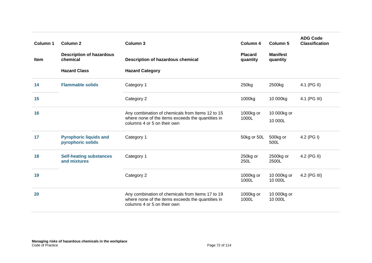| Column <sub>1</sub> | Column <sub>2</sub>                                | Column 3                                                                                                                             | Column 4                   | Column 5                    | <b>ADG Code</b><br><b>Classification</b> |
|---------------------|----------------------------------------------------|--------------------------------------------------------------------------------------------------------------------------------------|----------------------------|-----------------------------|------------------------------------------|
| Item                | <b>Description of hazardous</b><br>chemical        | Description of hazardous chemical                                                                                                    | <b>Placard</b><br>quantity | <b>Manifest</b><br>quantity |                                          |
|                     | <b>Hazard Class</b>                                | <b>Hazard Category</b>                                                                                                               |                            |                             |                                          |
| 14                  | <b>Flammable solids</b>                            | Category 1                                                                                                                           | 250kg                      | 2500kg                      | 4.1 (PG II)                              |
| 15                  |                                                    | Category 2                                                                                                                           | 1000kg                     | 10 000kg                    | 4.1 (PG III)                             |
| 16                  |                                                    | Any combination of chemicals from Items 12 to 15<br>where none of the items exceeds the quantities in<br>columns 4 or 5 on their own | 1000kg or<br>1000L         | 10 000kg or<br>10 000L      |                                          |
| 17                  | <b>Pyrophoric liquids and</b><br>pyrophoric solids | Category 1                                                                                                                           | 50kg or 50L                | 500kg or<br>500L            | 4.2 (PG I)                               |
| 18                  | <b>Self-heating substances</b><br>and mixtures     | Category 1                                                                                                                           | 250kg or<br>250L           | 2500kg or<br>2500L          | 4.2 (PG II)                              |
| 19                  |                                                    | Category 2                                                                                                                           | 1000kg or<br>1000L         | 10 000kg or<br>10 000L      | 4.2 (PG III)                             |
| 20                  |                                                    | Any combination of chemicals from Items 17 to 19<br>where none of the items exceeds the quantities in<br>columns 4 or 5 on their own | 1000kg or<br>1000L         | 10 000kg or<br>10 000L      |                                          |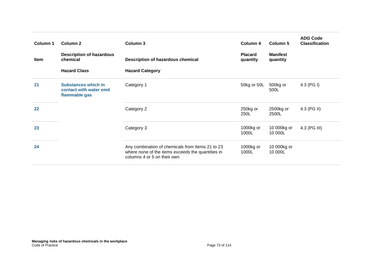| Column 1    | Column 2                                                               | Column 3                                                                                                                             | Column 4                   | Column 5                    | <b>ADG Code</b><br><b>Classification</b> |
|-------------|------------------------------------------------------------------------|--------------------------------------------------------------------------------------------------------------------------------------|----------------------------|-----------------------------|------------------------------------------|
| <b>Item</b> | <b>Description of hazardous</b><br>chemical                            | Description of hazardous chemical                                                                                                    | <b>Placard</b><br>quantity | <b>Manifest</b><br>quantity |                                          |
|             | <b>Hazard Class</b>                                                    | <b>Hazard Category</b>                                                                                                               |                            |                             |                                          |
| 21          | <b>Substances which in</b><br>contact with water emit<br>flammable gas | Category 1                                                                                                                           | 50kg or 50L                | 500kg or<br>500L            | 4.3 (PG I)                               |
| 22          |                                                                        | Category 2                                                                                                                           | 250kg or<br>250L           | 2500kg or<br>2500L          | 4.3 (PG II)                              |
| 23          |                                                                        | Category 3                                                                                                                           | 1000kg or<br>1000L         | 10 000kg or<br>10 000L      | 4.3 (PG III)                             |
| 24          |                                                                        | Any combination of chemicals from Items 21 to 23<br>where none of the items exceeds the quantities in<br>columns 4 or 5 on their own | 1000kg or<br>1000L         | 10 000kg or<br>10 000L      |                                          |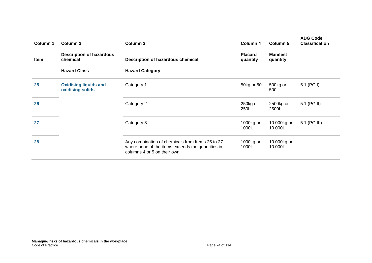| Column 1    | Column 2                                         | Column 3                                                                                                                             | Column 4                   | Column 5                    | <b>ADG Code</b><br><b>Classification</b> |
|-------------|--------------------------------------------------|--------------------------------------------------------------------------------------------------------------------------------------|----------------------------|-----------------------------|------------------------------------------|
| <b>Item</b> | <b>Description of hazardous</b><br>chemical      | Description of hazardous chemical                                                                                                    | <b>Placard</b><br>quantity | <b>Manifest</b><br>quantity |                                          |
|             | <b>Hazard Class</b>                              | <b>Hazard Category</b>                                                                                                               |                            |                             |                                          |
| 25          | <b>Oxidising liquids and</b><br>oxidising solids | Category 1                                                                                                                           | 50kg or 50L                | 500kg or<br>500L            | 5.1 (PG I)                               |
| 26          |                                                  | Category 2                                                                                                                           | 250kg or<br>250L           | 2500kg or<br>2500L          | 5.1 (PG II)                              |
| 27          |                                                  | Category 3                                                                                                                           | 1000kg or<br>1000L         | 10 000kg or<br>10 000L      | 5.1 (PG III)                             |
| 28          |                                                  | Any combination of chemicals from Items 25 to 27<br>where none of the items exceeds the quantities in<br>columns 4 or 5 on their own | 1000kg or<br>1000L         | 10 000kg or<br>10 000L      |                                          |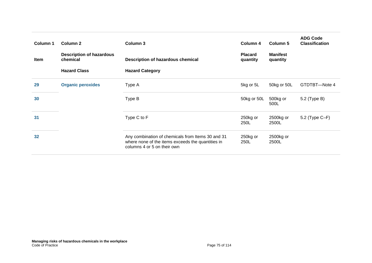| Column 1    | Column 2                                    | Column 3                                                                                                                              | Column 4                   | Column 5                    | <b>ADG Code</b><br><b>Classification</b> |
|-------------|---------------------------------------------|---------------------------------------------------------------------------------------------------------------------------------------|----------------------------|-----------------------------|------------------------------------------|
| <b>Item</b> | <b>Description of hazardous</b><br>chemical | <b>Description of hazardous chemical</b>                                                                                              | <b>Placard</b><br>quantity | <b>Manifest</b><br>quantity |                                          |
|             | <b>Hazard Class</b>                         | <b>Hazard Category</b>                                                                                                                |                            |                             |                                          |
| 29          | <b>Organic peroxides</b>                    | Type A                                                                                                                                | 5kg or 5L                  | 50kg or 50L                 | GTDTBT-Note 4                            |
| 30          |                                             | Type B                                                                                                                                | 50kg or 50L                | 500kg or<br>500L            | 5.2 (Type B)                             |
| 31          |                                             | Type C to F                                                                                                                           | 250kg or<br>250L           | $2500$ kg or<br>2500L       | 5.2 (Type C-F)                           |
| 32          |                                             | Any combination of chemicals from Items 30 and 31<br>where none of the items exceeds the quantities in<br>columns 4 or 5 on their own | 250kg or<br>250L           | 2500kg or<br>2500L          |                                          |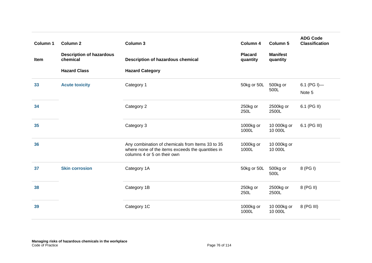| Column 1 | <b>Column 2</b>                             | Column 3                                                                                                                             | Column 4                   | Column 5                    | <b>ADG Code</b><br><b>Classification</b> |
|----------|---------------------------------------------|--------------------------------------------------------------------------------------------------------------------------------------|----------------------------|-----------------------------|------------------------------------------|
| Item     | <b>Description of hazardous</b><br>chemical | Description of hazardous chemical                                                                                                    | <b>Placard</b><br>quantity | <b>Manifest</b><br>quantity |                                          |
|          | <b>Hazard Class</b>                         | <b>Hazard Category</b>                                                                                                               |                            |                             |                                          |
| 33       | <b>Acute toxicity</b>                       | Category 1                                                                                                                           | 50kg or 50L                | 500kg or<br>500L            | 6.1 (PG I) $-$<br>Note 5                 |
| 34       |                                             | Category 2                                                                                                                           | 250kg or<br>250L           | 2500kg or<br>2500L          | 6.1 (PG II)                              |
| 35       |                                             | Category 3                                                                                                                           | 1000kg or<br>1000L         | 10 000kg or<br>10 000L      | 6.1 (PG III)                             |
| 36       |                                             | Any combination of chemicals from Items 33 to 35<br>where none of the items exceeds the quantities in<br>columns 4 or 5 on their own | 1000kg or<br>1000L         | 10 000kg or<br>10 000L      |                                          |
| 37       | <b>Skin corrosion</b>                       | Category 1A                                                                                                                          | 50kg or 50L                | 500kg or<br>500L            | 8 (PG I)                                 |
| 38       |                                             | Category 1B                                                                                                                          | 250kg or<br>250L           | 2500kg or<br>2500L          | 8 (PG II)                                |
| 39       |                                             | Category 1C                                                                                                                          | 1000kg or<br>1000L         | 10 000kg or<br>10 000L      | 8 (PG III)                               |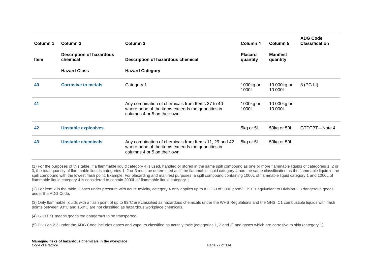| Column 1    | Column <sub>2</sub>                         | Column 3                                                                                                                                  | Column 4                   | Column 5                    | <b>ADG Code</b><br><b>Classification</b> |
|-------------|---------------------------------------------|-------------------------------------------------------------------------------------------------------------------------------------------|----------------------------|-----------------------------|------------------------------------------|
| <b>Item</b> | <b>Description of hazardous</b><br>chemical | <b>Description of hazardous chemical</b>                                                                                                  | <b>Placard</b><br>quantity | <b>Manifest</b><br>quantity |                                          |
|             | <b>Hazard Class</b>                         | <b>Hazard Category</b>                                                                                                                    |                            |                             |                                          |
| 40          | <b>Corrosive to metals</b>                  | Category 1                                                                                                                                | 1000 $kg$ or<br>1000L      | 10 000kg or<br>10 000L      | 8 (PG III)                               |
| 41          |                                             | Any combination of chemicals from Items 37 to 40<br>where none of the items exceeds the quantities in<br>columns 4 or 5 on their own      | 1000 $kg$ or<br>1000L      | 10 000kg or<br>10 000L      |                                          |
| 42          | <b>Unstable explosives</b>                  |                                                                                                                                           | 5kg or 5L                  | 50kg or 50L                 | GTDTBT-Note 4                            |
| 43          | Unstable chemicals                          | Any combination of chemicals from Items 11, 29 and 42<br>where none of the items exceeds the quantities in<br>columns 4 or 5 on their own | 5kg or 5L                  | 50kg or 50L                 |                                          |

(1) For the purposes of this table, if a flammable liquid category 4 is used, handled or stored in the same spill compound as one or more flammable liquids of categories 1, 2 or 3, the total quantity of flammable liquids categories 1, 2 or 3 must be determined as if the flammable liquid category 4 had the same classification as the flammable liquid in the spill compound with the lowest flash point. Example: For placarding and manifest purposes, a spill compound containing 1000L of flammable liquid category 1 and 1000L of flammable liquid category 4 is considered to contain 2000L of flammable liquid category 1.

(2) For item 2 in the table, Gases under pressure with acute toxicity, category 4 only applies up to a LC50 of 5000 ppmV. This is equivalent to Division 2.3 dangerous goods under the ADG Code.

(3) Only flammable liquids with a flash point of up to 93°C are classified as hazardous chemicals under the WHS Regulations and the GHS. C1 combustible liquids with flash points between 93°C and 150°C are not classified as hazardous workplace chemicals.

(4) GTDTBT means goods too dangerous to be transported.

(5) Division 2.3 under the ADG Code includes gases and vapours classified as acutely toxic (categories 1, 2 and 3) and gases which are corrosive to skin (category 1).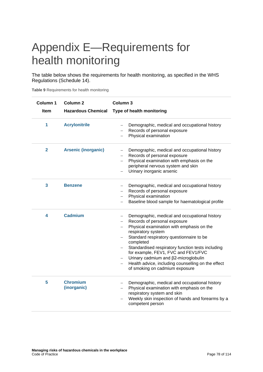# Appendix E—Requirements for health monitoring

The table below shows the requirements for health monitoring, as specified in the WHS Regulations (Schedule 14).

**Table 9** Requirements for health monitoring

| Column 1<br><b>Item</b> | Column <sub>2</sub><br><b>Hazardous Chemical</b> | Column <sub>3</sub><br>Type of health monitoring                                                                                                                                                                                                                                                                                                                                                                                                                                                                                               |
|-------------------------|--------------------------------------------------|------------------------------------------------------------------------------------------------------------------------------------------------------------------------------------------------------------------------------------------------------------------------------------------------------------------------------------------------------------------------------------------------------------------------------------------------------------------------------------------------------------------------------------------------|
| 1                       | <b>Acrylonitrile</b>                             | Demographic, medical and occupational history<br>Records of personal exposure<br>Physical examination<br>$\overline{\phantom{m}}$                                                                                                                                                                                                                                                                                                                                                                                                              |
| $\mathbf{2}$            | <b>Arsenic (inorganic)</b>                       | Demographic, medical and occupational history<br>$\overline{\phantom{0}}$<br>Records of personal exposure<br>$\overline{\phantom{0}}$<br>Physical examination with emphasis on the<br>$\overline{\phantom{m}}$<br>peripheral nervous system and skin<br>Urinary inorganic arsenic<br>$\overline{\phantom{m}}$                                                                                                                                                                                                                                  |
| 3                       | <b>Benzene</b>                                   | Demographic, medical and occupational history<br>Records of personal exposure<br>Physical examination<br>$\overline{\phantom{0}}$<br>Baseline blood sample for haematological profile<br>$\qquad \qquad -$                                                                                                                                                                                                                                                                                                                                     |
| 4                       | Cadmium                                          | Demographic, medical and occupational history<br>$\overline{\phantom{m}}$<br>Records of personal exposure<br>$\overline{\phantom{m}}$<br>Physical examination with emphasis on the<br>respiratory system<br>Standard respiratory questionnaire to be<br>completed<br>Standardised respiratory function tests including<br>$\overline{\phantom{0}}$<br>for example, FEV1, FVC and FEV1/FVC<br>Urinary cadmium and ß2-microglobulin<br>$\qquad \qquad -$<br>Health advice, including counselling on the effect<br>of smoking on cadmium exposure |
| 5                       | <b>Chromium</b><br>(inorganic)                   | Demographic, medical and occupational history<br>Physical examination with emphasis on the<br>respiratory system and skin<br>Weekly skin inspection of hands and forearms by a<br>competent person                                                                                                                                                                                                                                                                                                                                             |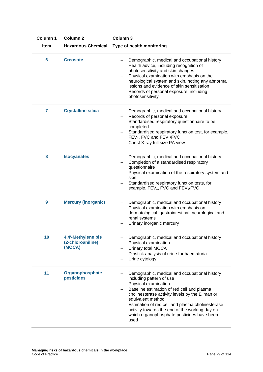| Column 1    | Column <sub>2</sub>                               | Column 3                                                                                                                                                                                                                                                                                                                                                                             |
|-------------|---------------------------------------------------|--------------------------------------------------------------------------------------------------------------------------------------------------------------------------------------------------------------------------------------------------------------------------------------------------------------------------------------------------------------------------------------|
| <b>Item</b> | <b>Hazardous Chemical</b>                         | Type of health monitoring                                                                                                                                                                                                                                                                                                                                                            |
| 6           | <b>Creosote</b>                                   | Demographic, medical and occupational history<br>-<br>Health advice, including recognition of<br>$-$<br>photosensitivity and skin changes<br>Physical examination with emphasis on the<br>$\overline{\phantom{0}}$<br>neurological system and skin, noting any abnormal<br>lesions and evidence of skin sensitisation<br>Records of personal exposure, including<br>photosensitivity |
| 7           | <b>Crystalline silica</b>                         | Demographic, medical and occupational history<br>$\overline{\phantom{0}}$<br>Records of personal exposure<br>$\qquad \qquad -$<br>Standardised respiratory questionnaire to be<br>$\qquad \qquad -$<br>completed<br>Standardised respiratory function test, for example,<br>FEV <sub>1</sub> , FVC and FEV <sub>1</sub> /FVC<br>Chest X-ray full size PA view                        |
| 8           | <b>Isocyanates</b>                                | Demographic, medical and occupational history<br>Completion of a standardised respiratory<br>questionnaire<br>Physical examination of the respiratory system and<br>skin<br>Standardised respiratory function tests, for<br>example, FEV <sub>1</sub> , FVC and FEV <sub>1</sub> /FVC                                                                                                |
| 9           | <b>Mercury (inorganic)</b>                        | Demographic, medical and occupational history<br>Physical examination with emphasis on<br>dermatological, gastrointestinal, neurological and<br>renal systems<br>Urinary inorganic mercury                                                                                                                                                                                           |
| 10          | 4,4'-Methylene bis<br>(2-chloroaniline)<br>(MOCA) | Demographic, medical and occupational history<br>$\overline{\phantom{0}}$<br>Physical examination<br>$\overline{\phantom{0}}$<br>Urinary total MOCA<br>$\overline{\phantom{0}}$<br>Dipstick analysis of urine for haematuria<br>$\overline{\phantom{0}}$<br>Urine cytology                                                                                                           |
| 11          | Organophosphate<br><b>pesticides</b>              | Demographic, medical and occupational history<br>including pattern of use<br>Physical examination<br>Baseline estimation of red cell and plasma<br>cholinesterase activity levels by the Ellman or<br>equivalent method<br>Estimation of red cell and plasma cholinesterase<br>activity towards the end of the working day on<br>which organophosphate pesticides have been<br>used  |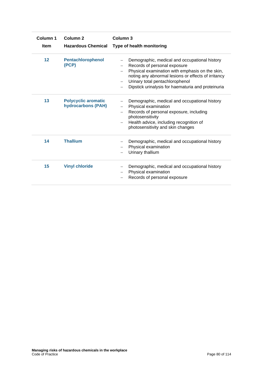| Column 1    | Column <sub>2</sub>                              | Column <sub>3</sub>                                                                                                                                                                                                                                                                                                                      |
|-------------|--------------------------------------------------|------------------------------------------------------------------------------------------------------------------------------------------------------------------------------------------------------------------------------------------------------------------------------------------------------------------------------------------|
| <b>Item</b> | <b>Hazardous Chemical</b>                        | Type of health monitoring                                                                                                                                                                                                                                                                                                                |
| 12          | Pentachlorophenol<br>(PCP)                       | Demographic, medical and occupational history<br>$\overline{\phantom{0}}$<br>Records of personal exposure<br>$\overline{\phantom{0}}$<br>Physical examination with emphasis on the skin,<br>noting any abnormal lesions or effects of irritancy<br>Urinary total pentachlorophenol<br>Dipstick urinalysis for haematuria and proteinuria |
| 13          | <b>Polycyclic aromatic</b><br>hydrocarbons (PAH) | Demographic, medical and occupational history<br>$\overline{\phantom{0}}$<br>Physical examination<br>$\overline{\phantom{m}}$<br>Records of personal exposure, including<br>photosensitivity<br>Health advice, including recognition of<br>—<br>photosensitivity and skin changes                                                        |
| 14          | <b>Thallium</b>                                  | Demographic, medical and occupational history<br>Physical examination<br>$\overline{\phantom{0}}$<br>Urinary thallium                                                                                                                                                                                                                    |
| 15          | <b>Vinyl chloride</b>                            | Demographic, medical and occupational history<br>Physical examination<br>—<br>Records of personal exposure                                                                                                                                                                                                                               |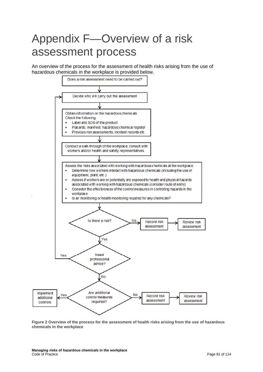# Appendix F—Overview of a risk assessment process

An overview of the process for the assessment of health risks arising from the use of hazardous chemicals in the workplace is provided below.



**Figure 2 Overview of the process for the assessment of health risks arising from the use of hazardous chemicals in the workplace**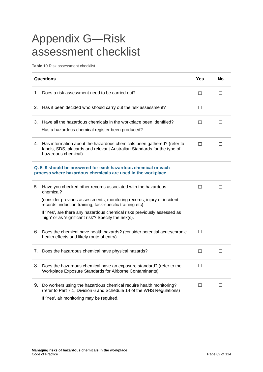# Appendix G—Risk assessment checklist

**Table 10** Risk assessment checklist

| Questions                                                                                                                                                                                                                                                                                                                                                 | <b>Yes</b> | <b>No</b>    |
|-----------------------------------------------------------------------------------------------------------------------------------------------------------------------------------------------------------------------------------------------------------------------------------------------------------------------------------------------------------|------------|--------------|
| 1. Does a risk assessment need to be carried out?                                                                                                                                                                                                                                                                                                         | $\perp$    | $\perp$      |
| Has it been decided who should carry out the risk assessment?<br>2.                                                                                                                                                                                                                                                                                       | П          | $\perp$      |
| 3. Have all the hazardous chemicals in the workplace been identified?<br>Has a hazardous chemical register been produced?                                                                                                                                                                                                                                 | П          | $\perp$      |
| Has information about the hazardous chemicals been gathered? (refer to<br>4.<br>labels, SDS, placards and relevant Australian Standards for the type of<br>hazardous chemical)                                                                                                                                                                            | П          | Ш            |
| Q. 5–9 should be answered for each hazardous chemical or each<br>process where hazardous chemicals are used in the workplace                                                                                                                                                                                                                              |            |              |
| Have you checked other records associated with the hazardous<br>5.<br>chemical?<br>(consider previous assessments, monitoring records, injury or incident<br>records, induction training, task-specific training etc)<br>If 'Yes', are there any hazardous chemical risks previously assessed as<br>'high' or as 'significant risk'? Specify the risk(s). | П          |              |
| 6. Does the chemical have health hazards? (consider potential acute/chronic<br>health effects and likely route of entry)                                                                                                                                                                                                                                  | □          | П            |
| 7. Does the hazardous chemical have physical hazards?                                                                                                                                                                                                                                                                                                     | Ш          | ſΙ           |
| 8. Does the hazardous chemical have an exposure standard? (refer to the<br>Workplace Exposure Standards for Airborne Contaminants)                                                                                                                                                                                                                        | ⊔          | $\mathsf{L}$ |
| 9.<br>Do workers using the hazardous chemical require health monitoring?<br>(refer to Part 7.1, Division 6 and Schedule 14 of the WHS Regulations)<br>If 'Yes', air monitoring may be required.                                                                                                                                                           |            |              |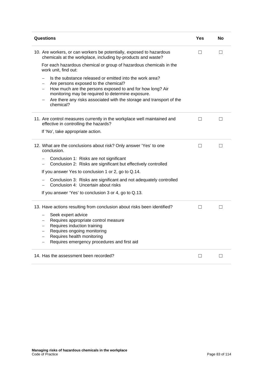| Questions                                                                                                                                                                                                                                                                                                                                | Yes | No           |
|------------------------------------------------------------------------------------------------------------------------------------------------------------------------------------------------------------------------------------------------------------------------------------------------------------------------------------------|-----|--------------|
| 10. Are workers, or can workers be potentially, exposed to hazardous<br>chemicals at the workplace, including by-products and waste?                                                                                                                                                                                                     | П   | П            |
| For each hazardous chemical or group of hazardous chemicals in the<br>work unit, find out:                                                                                                                                                                                                                                               |     |              |
| Is the substance released or emitted into the work area?<br>Are persons exposed to the chemical?<br>$\overline{\phantom{0}}$<br>How much are the persons exposed to and for how long? Air<br>-<br>monitoring may be required to determine exposure.<br>Are there any risks associated with the storage and transport of the<br>chemical? |     |              |
| 11. Are control measures currently in the workplace well maintained and<br>effective in controlling the hazards?                                                                                                                                                                                                                         | П   | П            |
| If 'No', take appropriate action.                                                                                                                                                                                                                                                                                                        |     |              |
| 12. What are the conclusions about risk? Only answer 'Yes' to one<br>conclusion.                                                                                                                                                                                                                                                         | П   | П            |
| Conclusion 1: Risks are not significant<br>Conclusion 2: Risks are significant but effectively controlled                                                                                                                                                                                                                                |     |              |
| If you answer Yes to conclusion 1 or 2, go to Q.14.                                                                                                                                                                                                                                                                                      |     |              |
| Conclusion 3: Risks are significant and not adequately controlled<br>Conclusion 4: Uncertain about risks                                                                                                                                                                                                                                 |     |              |
| If you answer 'Yes' to conclusion 3 or 4, go to Q.13.                                                                                                                                                                                                                                                                                    |     |              |
| 13. Have actions resulting from conclusion about risks been identified?                                                                                                                                                                                                                                                                  | П   | $\mathbf{1}$ |
| Seek expert advice<br>Requires appropriate control measure<br>$\overline{\phantom{0}}$<br>Requires induction training<br>Requires ongoing monitoring<br>$\overline{\phantom{0}}$<br>Requires health monitoring<br>Requires emergency procedures and first aid<br>$\overline{\phantom{0}}$                                                |     |              |
| 14. Has the assessment been recorded?                                                                                                                                                                                                                                                                                                    | □   | □            |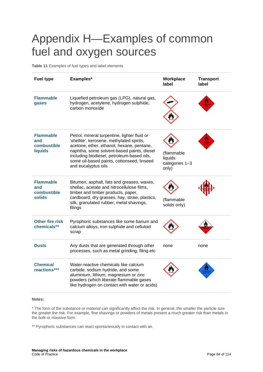# Appendix H—Examples of common fuel and oxygen sources

**Table 11** Examples of fuel types and label elements

| <b>Fuel type</b>                                  | Examples*                                                                                                                                                                                                                                                                                               | Workplace<br>label                               | <b>Transport</b><br>label |
|---------------------------------------------------|---------------------------------------------------------------------------------------------------------------------------------------------------------------------------------------------------------------------------------------------------------------------------------------------------------|--------------------------------------------------|---------------------------|
| <b>Flammable</b><br>qases                         | Liquefied petroleum gas (LPG), natural gas,<br>hydrogen, acetylene, hydrogen sulphide,<br>carbon monoxide                                                                                                                                                                                               |                                                  |                           |
| <b>Flammable</b><br>and<br>combustible<br>liquids | Petrol, mineral turpentine, lighter fluid or<br>'shellite', kerosene, methylated spirits,<br>acetone, ether, ethanol, hexane, pentane,<br>naphtha, some solvent-based paints, diesel<br>including biodiesel, petroleum-based oils,<br>some oil-based paints, cottonseed, linseed<br>and eucalyptus oils | (flammable<br>liquids<br>categories 1-3<br>only) |                           |
| <b>Flammable</b><br>and<br>combustible<br>solids  | Bitumen, asphalt, fats and greases, waxes,<br>shellac, acetate and nitrocellulose films,<br>timber and timber products, paper,<br>cardboard, dry grasses, hay, straw, plastics,<br>silk, granulated rubber, metal shavings,<br>filings                                                                  | (flammable<br>solids only)                       |                           |
| <b>Other fire risk</b><br>chemicals**             | Pyrophoric substances like some barium and<br>calcium alloys, iron sulphide and celluloid<br>scrap                                                                                                                                                                                                      |                                                  |                           |
| <b>Dusts</b>                                      | Any dusts that are generated through other<br>processes, such as metal grinding, filing etc                                                                                                                                                                                                             | none                                             | none                      |
| <b>Chemical</b><br>reactions***                   | Water-reactive chemicals like calcium<br>carbide, sodium hydride, and some<br>aluminium, lithium, magnesium or zinc<br>powders (which liberate flammable gases<br>like hydrogen on contact with water or acids)                                                                                         |                                                  |                           |

#### **Notes:**

\* The form of the substance or material can significantly affect the risk. In general, the smaller the particle size the greater the risk. For example, fine shavings or powders of metals present a much greater risk than metals in the bulk or massive form.

\*\* Pyrophoric substances can react spontaneously in contact with air.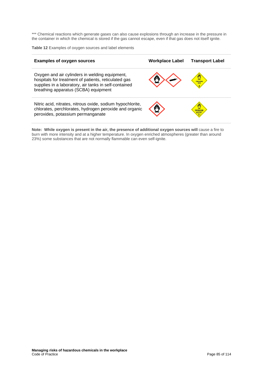\*\*\* Chemical reactions which generate gases can also cause explosions through an increase in the pressure in the container in which the chemical is stored if the gas cannot escape, even if that gas does not itself ignite.

**Table 12** Examples of oxygen sources and label elements

| <b>Examples of oxygen sources</b>                                                                                                                                                                       | <b>Workplace Label</b> | <b>Transport Label</b> |
|---------------------------------------------------------------------------------------------------------------------------------------------------------------------------------------------------------|------------------------|------------------------|
| Oxygen and air cylinders in welding equipment,<br>hospitals for treatment of patients, reticulated gas<br>supplies in a laboratory, air tanks in self-contained<br>breathing apparatus (SCBA) equipment |                        | <b>OXIDIZING</b>       |
| Nitric acid, nitrates, nitrous oxide, sodium hypochlorite,<br>chlorates, perchlorates, hydrogen peroxide and organic<br>peroxides, potassium permanganate                                               |                        |                        |

Note: While oxygen is present in the air, the presence of additional oxygen sources will cause a fire to burn with more intensity and at a higher temperature. In oxygen enriched atmospheres (greater than around 23%) some substances that are not normally flammable can even self-ignite.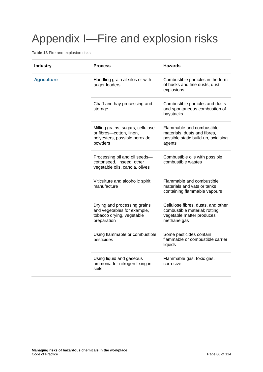# Appendix I—Fire and explosion risks

**Table 13** Fire and explosion risks

| <b>Industry</b>    | <b>Process</b>                                                                                            | <b>Hazards</b>                                                                                                  |
|--------------------|-----------------------------------------------------------------------------------------------------------|-----------------------------------------------------------------------------------------------------------------|
| <b>Agriculture</b> | Handling grain at silos or with<br>auger loaders                                                          | Combustible particles in the form<br>of husks and fine dusts, dust<br>explosions                                |
|                    | Chaff and hay processing and<br>storage                                                                   | Combustible particles and dusts<br>and spontaneous combustion of<br>haystacks                                   |
|                    | Milling grains, sugars, cellulose<br>or fibres-cotton, linen,<br>polyesters, possible peroxide<br>powders | Flammable and combustible<br>materials, dusts and fibres,<br>possible static build-up, oxidising<br>agents      |
|                    | Processing oil and oil seeds-<br>cottonseed, linseed, other<br>vegetable oils, canola, olives             | Combustible oils with possible<br>combustible wastes                                                            |
|                    | Viticulture and alcoholic spirit<br>manufacture                                                           | Flammable and combustible<br>materials and vats or tanks<br>containing flammable vapours                        |
|                    | Drying and processing grains<br>and vegetables for example,<br>tobacco drying, vegetable<br>preparation   | Cellulose fibres, dusts, and other<br>combustible material; rotting<br>vegetable matter produces<br>methane gas |
|                    | Using flammable or combustible<br>pesticides                                                              | Some pesticides contain<br>flammable or combustible carrier<br>liquids                                          |
|                    | Using liquid and gaseous<br>ammonia for nitrogen fixing in<br>soils                                       | Flammable gas, toxic gas,<br>corrosive                                                                          |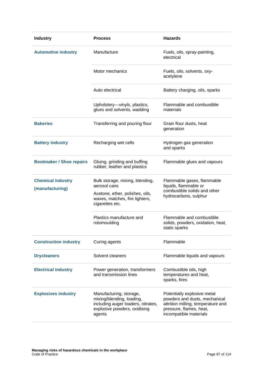| <b>Industry</b>                             | <b>Process</b>                                                                                                                          | <b>Hazards</b>                                                                                                                                          |
|---------------------------------------------|-----------------------------------------------------------------------------------------------------------------------------------------|---------------------------------------------------------------------------------------------------------------------------------------------------------|
| <b>Automotive industry</b>                  | Manufacture                                                                                                                             | Fuels, oils, spray-painting,<br>electrical                                                                                                              |
|                                             | Motor mechanics                                                                                                                         | Fuels, oils, solvents, oxy-<br>acetylene                                                                                                                |
|                                             | Auto electrical                                                                                                                         | Battery charging, oils, sparks                                                                                                                          |
|                                             | Upholstery-vinyls, plastics,<br>glues and solvents, wadding                                                                             | Flammable and combustible<br>materials                                                                                                                  |
| <b>Bakeries</b>                             | Transferring and pouring flour                                                                                                          | Grain flour dusts, heat<br>generation                                                                                                                   |
| <b>Battery industry</b>                     | Recharging wet cells                                                                                                                    | Hydrogen gas generation<br>and sparks                                                                                                                   |
| <b>Bootmaker / Shoe repairs</b>             | Gluing, grinding and buffing<br>rubber, leather and plastics                                                                            | Flammable glues and vapours                                                                                                                             |
| <b>Chemical industry</b><br>(manufacturing) | Bulk storage, mixing, blending,<br>aerosol cans<br>Acetone, ether, polishes, oils,<br>waxes, matches, fire lighters,<br>cigarettes etc. | Flammable gases, flammable<br>liquids, flammable or<br>combustible solids and other<br>hydrocarbons, sulphur                                            |
|                                             | Plastics manufacture and<br>rotomoulding                                                                                                | Flammable and combustible<br>solids, powders, oxidation, heat,<br>static sparks                                                                         |
| <b>Construction industry</b>                | Curing agents                                                                                                                           | Flammable                                                                                                                                               |
| <b>Drycleaners</b>                          | Solvent cleaners                                                                                                                        | Flammable liquids and vapours                                                                                                                           |
| <b>Electrical industry</b>                  | Power generation, transformers<br>and transmission lines                                                                                | Combustible oils, high<br>temperatures and heat,<br>sparks, fires                                                                                       |
| <b>Explosives industry</b>                  | Manufacturing, storage,<br>mixing/blending, loading,<br>including auger loaders, nitrates,<br>explosive powders, oxidising<br>agents    | Potentially explosive metal<br>powders and dusts, mechanical<br>attrition milling, temperature and<br>pressure, flames, heat,<br>incompatible materials |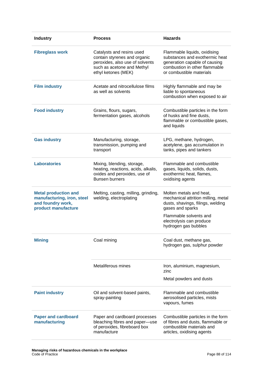| <b>Industry</b>                                                                                       | <b>Process</b>                                                                                                                                    | <b>Hazards</b>                                                                                                                                               |
|-------------------------------------------------------------------------------------------------------|---------------------------------------------------------------------------------------------------------------------------------------------------|--------------------------------------------------------------------------------------------------------------------------------------------------------------|
| <b>Fibreglass work</b>                                                                                | Catalysts and resins used<br>contain styrenes and organic<br>peroxides, also use of solvents<br>such as acetone and Methyl<br>ethyl ketones (MEK) | Flammable liquids, oxidising<br>substances and exothermic heat<br>generation capable of causing<br>combustion in other flammable<br>or combustible materials |
| <b>Film industry</b>                                                                                  | Acetate and nitrocellulose films<br>as well as solvents                                                                                           | Highly flammable and may be<br>liable to spontaneous<br>combustion when exposed to air                                                                       |
| <b>Food industry</b>                                                                                  | Grains, flours, sugars,<br>fermentation gases, alcohols                                                                                           | Combustible particles in the form<br>of husks and fine dusts,<br>flammable or combustible gases,<br>and liquids                                              |
| <b>Gas industry</b>                                                                                   | Manufacturing, storage,<br>transmission, pumping and<br>transport                                                                                 | LPG, methane, hydrogen,<br>acetylene, gas accumulation in<br>tanks, pipes and tankers                                                                        |
| <b>Laboratories</b>                                                                                   | Mixing, blending, storage,<br>heating, reactions, acids, alkalis,<br>oxides and peroxides, use of<br><b>Bunsen burners</b>                        | Flammable and combustible<br>gases, liquids, solids, dusts,<br>exothermic heat, flames,<br>oxidising agents                                                  |
| <b>Metal production and</b><br>manufacturing, iron, steel<br>and foundry work,<br>product manufacture | Melting, casting, milling, grinding,<br>welding, electroplating                                                                                   | Molten metals and heat,<br>mechanical attrition milling, metal<br>dusts, shavings, filings, welding<br>gases and sparks                                      |
|                                                                                                       |                                                                                                                                                   | Flammable solvents and<br>electrolysis can produce<br>hydrogen gas bubbles                                                                                   |
| <b>Mining</b>                                                                                         | Coal mining                                                                                                                                       | Coal dust, methane gas,<br>hydrogen gas, sulphur powder                                                                                                      |
|                                                                                                       | Metaliferous mines                                                                                                                                | Iron, aluminium, magnesium,<br>zinc                                                                                                                          |
|                                                                                                       |                                                                                                                                                   | Metal powders and dusts                                                                                                                                      |
| <b>Paint industry</b>                                                                                 | Oil and solvent-based paints,<br>spray-painting                                                                                                   | Flammable and combustible<br>aerosolised particles, mists<br>vapours, fumes                                                                                  |
| <b>Paper and cardboard</b><br>manufacturing                                                           | Paper and cardboard processes<br>bleaching fibres and paper-use<br>of peroxides, fibreboard box<br>manufacture                                    | Combustible particles in the form<br>of fibres and dusts, flammable or<br>combustible materials and<br>articles, oxidising agents                            |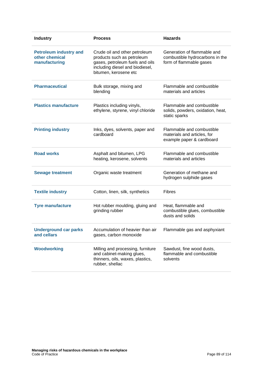| <b>Industry</b>                                                  | <b>Process</b>                                                                                                                                             | <b>Hazards</b>                                                                            |
|------------------------------------------------------------------|------------------------------------------------------------------------------------------------------------------------------------------------------------|-------------------------------------------------------------------------------------------|
| <b>Petroleum industry and</b><br>other chemical<br>manufacturing | Crude oil and other petroleum<br>products such as petroleum<br>gases, petroleum fuels and oils<br>including diesel and biodiesel,<br>bitumen, kerosene etc | Generation of flammable and<br>combustible hydrocarbons in the<br>form of flammable gases |
| <b>Pharmaceutical</b>                                            | Bulk storage, mixing and<br>blending                                                                                                                       | Flammable and combustible<br>materials and articles                                       |
| <b>Plastics manufacture</b>                                      | Plastics including vinyls,<br>ethylene, styrene, vinyl chloride                                                                                            | Flammable and combustible<br>solids, powders, oxidation, heat,<br>static sparks           |
| <b>Printing industry</b>                                         | Inks, dyes, solvents, paper and<br>cardboard                                                                                                               | Flammable and combustible<br>materials and articles, for<br>example paper & cardboard     |
| <b>Road works</b>                                                | Asphalt and bitumen, LPG<br>heating, kerosene, solvents                                                                                                    | Flammable and combustible<br>materials and articles                                       |
| <b>Sewage treatment</b>                                          | Organic waste treatment                                                                                                                                    | Generation of methane and<br>hydrogen sulphide gases                                      |
| <b>Textile industry</b>                                          | Cotton, linen, silk, synthetics                                                                                                                            | <b>Fibres</b>                                                                             |
| <b>Tyre manufacture</b>                                          | Hot rubber moulding, gluing and<br>grinding rubber                                                                                                         | Heat, flammable and<br>combustible glues, combustible<br>dusts and solids                 |
| <b>Underground car parks</b><br>and cellars                      | Accumulation of heavier than air<br>gases, carbon monoxide                                                                                                 | Flammable gas and asphyxiant                                                              |
| <b>Woodworking</b>                                               | Milling and processing, furniture<br>and cabinet-making glues,<br>thinners, oils, waxes, plastics,<br>rubber, shellac                                      | Sawdust, fine wood dusts,<br>flammable and combustible<br>solvents                        |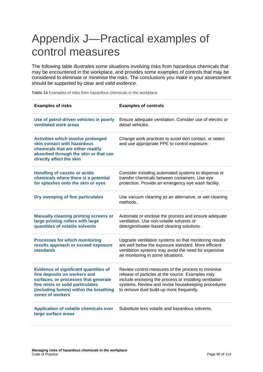# Appendix J—Practical examples of control measures

The following table illustrates some situations involving risks from hazardous chemicals that may be encountered in the workplace, and provides some examples of controls that may be considered to eliminate or minimise the risks. The conclusions you make in your assessment should be supported by clear and valid evidence.

| <b>Examples of risks</b>                                                                                                                                                                                               | <b>Examples of controls</b>                                                                                                                                                                                                                                         |
|------------------------------------------------------------------------------------------------------------------------------------------------------------------------------------------------------------------------|---------------------------------------------------------------------------------------------------------------------------------------------------------------------------------------------------------------------------------------------------------------------|
| Use of petrol-driven vehicles in poorly<br>ventilated work areas                                                                                                                                                       | Ensure adequate ventilation. Consider use of electric or<br>diesel vehicles.                                                                                                                                                                                        |
| <b>Activities which involve prolonged</b><br>skin contact with hazardous<br>chemicals that are either readily<br>absorbed through the skin or that can<br>directly affect the skin                                     | Change work practices to avoid skin contact, or select<br>and use appropriate PPE to control exposure.                                                                                                                                                              |
| <b>Handling of caustic or acidic</b><br>chemicals where there is a potential<br>for splashes onto the skin or eyes                                                                                                     | Consider installing automated systems to dispense or<br>transfer chemicals between containers. Use eye<br>protection. Provide an emergency eye wash facility.                                                                                                       |
| Dry sweeping of fine particulates                                                                                                                                                                                      | Use vacuum cleaning as an alternative, or wet cleaning<br>methods.                                                                                                                                                                                                  |
| <b>Manually cleaning printing screens or</b><br>large printing rollers with large<br>quantities of volatile solvents                                                                                                   | Automate or enclose the process and ensure adequate<br>ventilation. Use non-volatile solvents or<br>detergent/water-based cleaning solutions.                                                                                                                       |
| <b>Processes for which monitoring</b><br>results approach or exceed exposure<br><b>standards</b>                                                                                                                       | Upgrade ventilation systems so that monitoring results<br>are well below the exposure standard. More efficient<br>ventilation systems may avoid the need for expensive<br>air monitoring in some situations.                                                        |
| <b>Evidence of significant quantities of</b><br>fine deposits on workers and<br>surfaces, or processes that generate<br>fine mists or solid particulates<br>(including fumes) within the breathing<br>zones of workers | Review control measures of the process to minimise<br>release of particles at the source. Examples may<br>include enclosing the process or installing ventilation<br>systems. Review and revise housekeeping procedures<br>to remove dust build-up more frequently. |
| <b>Application of volatile chemicals over</b><br>large surface areas                                                                                                                                                   | Substitute less volatile and hazardous solvents.                                                                                                                                                                                                                    |

**Table 14** Examples of risks from hazardous chemicals in the workplace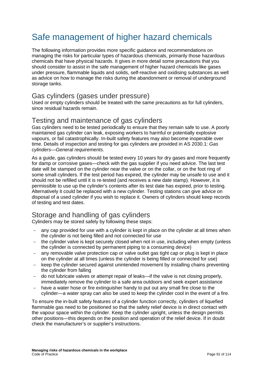## Safe management of higher hazard chemicals

The following information provides more specific guidance and recommendations on managing the risks for particular types of hazardous chemicals, primarily those hazardous chemicals that have physical hazards. It gives in more detail some precautions that you should consider to assist in the safe management of higher hazard chemicals like gases under pressure, flammable liquids and solids, self-reactive and oxidising substances as well as advice on how to manage the risks during the abandonment or removal of underground storage tanks.

#### Gas cylinders (gases under pressure)

Used or empty cylinders should be treated with the same precautions as for full cylinders, since residual hazards remain.

#### Testing and maintenance of gas cylinders

Gas cylinders need to be tested periodically to ensure that they remain safe to use. A poorly maintained gas cylinder can leak, exposing workers to harmful or potentially explosive vapours, or fail catastrophically. In-built safety features may also become inoperable over time. Details of inspection and testing for gas cylinders are provided in AS 2030.1: *Gas cylinders—General requirements*.

As a guide, gas cylinders should be tested every 10 years for dry gases and more frequently for damp or corrosive gases—check with the gas supplier if you need advice. The last test date will be stamped on the cylinder near the valve or on the collar, or on the foot ring of some small cylinders. If the test period has expired, the cylinder may be unsafe to use and it should not be refilled until it is re-tested (and receives a new date stamp). However, it is permissible to use up the cylinder's contents after its test date has expired, prior to testing. Alternatively it could be replaced with a new cylinder. Testing stations can give advice on disposal of a used cylinder if you wish to replace it. Owners of cylinders should keep records of testing and test dates.

### Storage and handling of gas cylinders

Cylinders may be stored safely by following these steps:

- $-$  any cap provided for use with a cylinder is kept in place on the cylinder at all times when the cylinder is not being filled and not connected for use
- $-$  the cylinder valve is kept securely closed when not in use, including when empty (unless the cylinder is connected by permanent piping to a consuming device)
- any removable valve protection cap or valve outlet gas tight cap or plug is kept in place on the cylinder at all times (unless the cylinder is being filled or connected for use)
- keep the cylinder secured against unintended movement by installing chains preventing the cylinder from falling
- do not lubricate valves or attempt repair of leaks—if the valve is not closing properly, immediately remove the cylinder to a safe area outdoors and seek expert assistance
- have a water hose or fire extinguisher handy to put out any small fire close to the cylinder—a water spray can also be used to keep the cylinder cool in the event of a fire.

To ensure the in-built safety features of a cylinder function correctly, cylinders of liquefied flammable gas need to be positioned so that the safety relief device is in direct contact with the vapour space within the cylinder. Keep the cylinder upright, unless the design permits other positions—this depends on the position and operation of the relief device. If in doubt check the manufacturer's or supplier's instructions.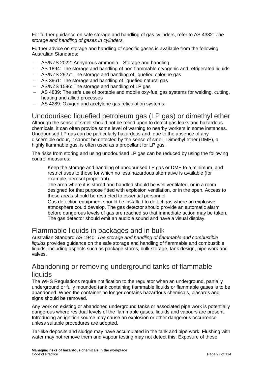For further guidance on safe storage and handling of gas cylinders, refer to AS 4332: *The storage and handling of gases in cylinders.* 

Further advice on storage and handling of specific gases is available from the following Australian Standards:

- AS/NZS 2022: Anhydrous ammonia—Storage and handling
- AS 1894: The storage and handling of non-flammable cryogenic and refrigerated liquids
- AS/NZS 2927: The storage and handling of liquefied chlorine gas
- AS 3961: The storage and handling of liquefied natural gas
- AS/NZS 1596: The storage and handling of LP gas
- AS 4839: The safe use of portable and mobile oxy-fuel gas systems for welding, cutting, heating and allied processes
- AS 4289: Oxygen and acetylene gas reticulation systems.

Unodourised liquefied petroleum gas (LP gas) or dimethyl ether Although the sense of smell should not be relied upon to detect gas leaks and hazardous chemicals, it can often provide some level of warning to nearby workers in some instances. Unodourised LP gas can be particularly hazardous and, due to the absence of any discernible odour, it cannot be detected by the sense of smell. Dimethyl ether (DME), a highly flammable gas, is often used as a propellant for LP gas.

The risks from storing and using unodourised LP gas can be reduced by using the following control measures:

- Keep the storage and handling of unodourised LP gas or DME to a minimum, and restrict uses to those for which no less hazardous alternative is available (for example, aerosol propellant).
- The area where it is stored and handled should be well ventilated, or in a room designed for that purpose fitted with explosion ventilation, or in the open. Access to these areas should be restricted to essential personnel.
- Gas detection equipment should be installed to detect gas where an explosive atmosphere could develop. The gas detector should provide an automatic alarm before dangerous levels of gas are reached so that immediate action may be taken. The gas detector should emit an audible sound and have a visual display.

#### Flammable liquids in packages and in bulk

Australian Standard AS 1940: *The storage and handling of flammable and combustible liquids* provides guidance on the safe storage and handling of flammable and combustible liquids, including aspects such as package stores, bulk storage, tank design, pipe work and valves.

### Abandoning or removing underground tanks of flammable **liquids**

The WHS Regulations require notification to the regulator when an underground, partially underground or fully mounded tank containing flammable liquids or flammable gases is to be abandoned. When the container no longer contains hazardous chemicals, placards and signs should be removed.

Any work on existing or abandoned underground tanks or associated pipe work is potentially dangerous where residual levels of the flammable gases, liquids and vapours are present. Introducing an ignition source may cause an explosion or other dangerous occurrence unless suitable procedures are adopted.

Tar-like deposits and sludge may have accumulated in the tank and pipe work. Flushing with water may not remove them and vapour testing may not detect this. Exposure of these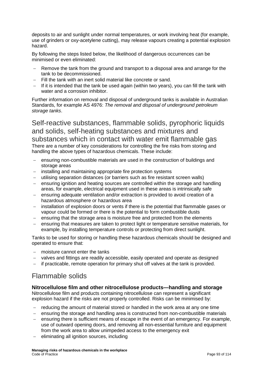deposits to air and sunlight under normal temperatures, or work involving heat (for example, use of grinders or oxy-acetylene cutting), may release vapours creating a potential explosion hazard.

By following the steps listed below, the likelihood of dangerous occurrences can be minimised or even eliminated:

- Remove the tank from the ground and transport to a disposal area and arrange for the tank to be decommissioned.
- Fill the tank with an inert solid material like concrete or sand.
- $-I$  If it is intended that the tank be used again (within two years), you can fill the tank with water and a corrosion inhibitor.

Further information on removal and disposal of underground tanks is available in Australian Standards, for example AS 4976: *The removal and disposal of underground petroleum storage tanks*.

Self-reactive substances, flammable solids, pyrophoric liquids and solids, self-heating substances and mixtures and substances which in contact with water emit flammable gas There are a number of key considerations for controlling the fire risks from storing and handling the above types of hazardous chemicals. These include:

- ensuring non-combustible materials are used in the construction of buildings and storage areas
- installing and maintaining appropriate fire protection systems
- utilising separation distances (or barriers such as fire resistant screen walls)
- ensuring ignition and heating sources are controlled within the storage and handling areas, for example, electrical equipment used in these areas is intrinsically safe
- ensuring adequate ventilation and/or extraction is provided to avoid creation of a hazardous atmosphere or hazardous area
- installation of explosion doors or vents if there is the potential that flammable gases or vapour could be formed or there is the potential to form combustible dusts
- ensuring that the storage area is moisture free and protected from the elements
- ensuring that measures are taken to protect light or temperature sensitive materials, for example, by installing temperature controls or protecting from direct sunlight.

Tanks to be used for storing or handling these hazardous chemicals should be designed and operated to ensure that:

- moisture cannot enter the tanks
- valves and fittings are readily accessible, easily operated and operate as designed
- if practicable, remote operation for primary shut off valves at the tank is provided.

#### Flammable solids

**Nitrocellulose film and other nitrocellulose products—handling and storage**  Nitrocellulose film and products containing nitrocellulose can represent a significant explosion hazard if the risks are not properly controlled. Risks can be minimised by:

- reducing the amount of material stored or handled in the work area at any one time
- ensuring the storage and handling area is constructed from non-combustible materials
- ensuring there is sufficient means of escape in the event of an emergency. For example, use of outward opening doors, and removing all non-essential furniture and equipment from the work area to allow unimpeded access to the emergency exit
- eliminating all ignition sources, including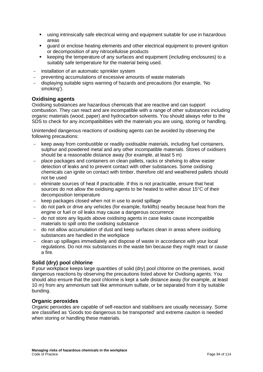- using intrinsically safe electrical wiring and equipment suitable for use in hazardous areas
- guard or enclose heating elements and other electrical equipment to prevent ignition or decomposition of any nitrocellulose products
- keeping the temperature of any surfaces and equipment (including enclosures) to a suitably safe temperature for the material being used.
- installation of an automatic sprinkler system
- preventing accumulations of excessive amounts of waste materials
- displaying suitable signs warning of hazards and precautions (for example, 'No smoking').

#### **Oxidising agents**

Oxidising substances are hazardous chemicals that are reactive and can support combustion. They can react and are incompatible with a range of other substances including organic materials (wood, paper) and hydrocarbon solvents. You should always refer to the SDS to check for any incompatibilities with the materials you are using, storing or handling.

Unintended dangerous reactions of oxidising agents can be avoided by observing the following precautions:

- keep away from combustible or readily oxidisable materials, including fuel containers, sulphur and powdered metal and any other incompatible materials. Stores of oxidisers should be a reasonable distance away (for example, at least 5 m)
- place packages and containers on clean pallets, racks or shelving to allow easier detection of leaks and to prevent contact with other substances. Some oxidising chemicals can ignite on contact with timber, therefore old and weathered pallets should not be used
- eliminate sources of heat if practicable. If this is not practicable, ensure that heat sources do not allow the oxidising agents to be heated to within about 15°C of their decomposition temperature
- keep packages closed when not in use to avoid spillage
- do not park or drive any vehicles (for example, forklifts) nearby because heat from the engine or fuel or oil leaks may cause a dangerous occurrence
- do not store any liquids above oxidising agents in case leaks cause incompatible materials to spill onto the oxidising substance
- do not allow accumulation of dust and keep surfaces clean in areas where oxidising substances are handled in the workplace
- clean up spillages immediately and dispose of waste in accordance with your local regulations. Do not mix substances in the waste bin because they might react or cause a fire.

#### **Solid (dry) pool chlorine**

If your workplace keeps large quantities of solid (dry) pool chlorine on the premises, avoid dangerous reactions by observing the precautions listed above for Oxidising agents. You should also ensure that the pool chlorine is kept a safe distance away (for example, at least 10 m) from any ammonium salt like ammonium sulfate, or be separated from it by suitable bunding.

#### **Organic peroxides**

Organic peroxides are capable of self-reaction and stabilisers are usually necessary. Some are classified as 'Goods too dangerous to be transported' and extreme caution is needed when storing or handling these materials.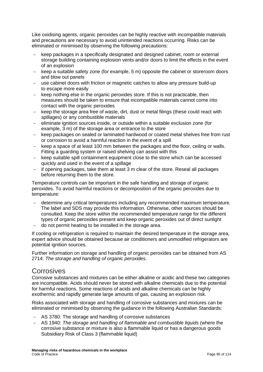Like oxidising agents, organic peroxides can be highly reactive with incompatible materials and precautions are necessary to avoid unintended reactions occurring. Risks can be eliminated or minimised by observing the following precautions:

- keep packages in a specifically designated and designed cabinet, room or external storage building containing explosion vents and/or doors to limit the effects in the event of an explosion
- keep a suitable safety zone (for example, 5 m) opposite the cabinet or storeroom doors and blow out panels
- use cabinet doors with friction or magnetic catches to allow any pressure build-up to escape more easily
- $-$  keep nothing else in the organic peroxides store. If this is not practicable, then measures should be taken to ensure that incompatible materials cannot come into contact with the organic peroxides
- keep the storage area free of waste, dirt, dust or metal filings (these could react with spillages) or any combustible materials
- eliminate ignition sources inside, or outside within a suitable exclusion zone (for example, 3 m) of the storage area or entrance to the store
- keep packages on sealed or laminated hardwood or coated metal shelves free from rust or corrosion to avoid a harmful reaction in the event of a spill
- keep a space of at least 100 mm between the packages and the floor, ceiling or walls. Fitting a guarding system or raised shelving can assist with this
- keep suitable spill containment equipment close to the store which can be accessed quickly and used in the event of a spillage
- $-$  if opening packages, take them at least 3 m clear of the store. Reseal all packages before returning them to the store.

Temperature controls can be important in the safe handling and storage of organic peroxides. To avoid harmful reactions or decomposition of the organic peroxides due to temperature:

- determine any critical temperatures including any recommended maximum temperature. The label and SDS may provide this information. Otherwise, other sources should be consulted. Keep the store within the recommended temperature range for the different types of organic peroxides present and keep organic peroxides out of direct sunlight
- do not permit heating to be installed in the storage area.

If cooling or refrigeration is required to maintain the desired temperature in the storage area, expert advice should be obtained because air conditioners and unmodified refrigerators are potential ignition sources.

Further information on storage and handling of organic peroxides can be obtained from AS 2714: *The storage and handling of organic peroxides*.

#### **Corrosives**

Corrosive substances and mixtures can be either alkaline or acidic and these two categories are incompatible. Acids should never be stored with alkaline chemicals due to the potential for harmful reactions. Some reactions of acids and alkaline chemicals can be highly exothermic and rapidly generate large amounts of gas, causing an explosion risk.

Risks associated with storage and handling of corrosive substances and mixtures can be eliminated or minimised by observing the guidance in the following Australian Standards:

- AS 3780: The storage and handling of corrosive substances
- AS 1940: *The storage and handling of flammable and combustible liquids* (where the corrosive substance or mixture is also a flammable liquid or has a dangerous goods Subsidiary Risk of Class 3 (flammable liquid)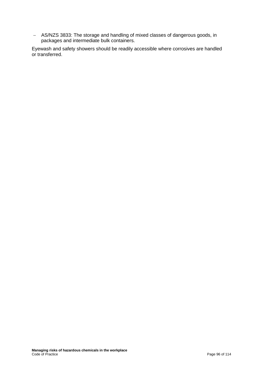AS/NZS 3833: The storage and handling of mixed classes of dangerous goods, in packages and intermediate bulk containers.

Eyewash and safety showers should be readily accessible where corrosives are handled or transferred.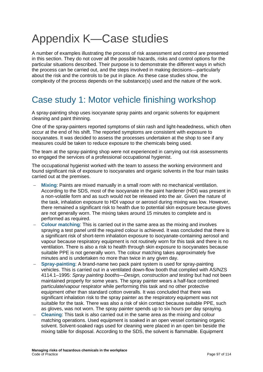# Appendix K—Case studies

A number of examples illustrating the process of risk assessment and control are presented in this section. They do not cover all the possible hazards, risks and control options for the particular situations described. Their purpose is to demonstrate the different ways in which the process can be carried out, and the steps involved in making decisions—particularly about the risk and the controls to be put in place. As these case studies show, the complexity of the process depends on the substance(s) used and the nature of the work.

## Case study 1: Motor vehicle finishing workshop

A spray-painting shop uses isocyanate spray paints and organic solvents for equipment cleaning and paint thinning.

One of the spray-painters reported symptoms of skin rash and light-headedness, which often occur at the end of his shift. The reported symptoms are consistent with exposure to isocyanates. It was decided to assess the processes undertaken at the shop to see if any measures could be taken to reduce exposure to the chemicals being used.

The team at the spray-painting shop were not experienced in carrying out risk assessments so engaged the services of a professional occupational hygienist.

The occupational hygienist worked with the team to assess the working environment and found significant risk of exposure to isocyanates and organic solvents in the four main tasks carried out at the premises.

- **Mixing**: Paints are mixed manually in a small room with no mechanical ventilation. According to the SDS, most of the isocyanate in the paint hardener (HDI) was present in a non-volatile form and as such would not be released into the air. Given the nature of the task, inhalation exposure to HDI vapour or aerosol during mixing was low. However, there remained a significant risk to health due to potential skin exposure because gloves are not generally worn. The mixing takes around 15 minutes to complete and is performed as required.
- **Colour matching**: This is carried out in the same area as the mixing and involves spraying a test panel until the required colour is achieved. It was concluded that there is a significant risk of short-term inhalation exposure to isocyanate-containing aerosol and vapour because respiratory equipment is not routinely worn for this task and there is no ventilation. There is also a risk to health through skin exposure to isocyanates because suitable PPE is not generally worn. The colour matching takes approximately five minutes and is undertaken no more than twice in any given day.
- **Spray-painting**: A brand-name two pack paint system is used for spray-painting vehicles. This is carried out in a ventilated down-flow booth that complied with AS/NZS 4114.1–1995: *Spray painting booths—Design, construction and testing* but had not been maintained properly for some years. The spray painter wears a half-face combined particulate/vapour respirator while performing this task and no other protective equipment other than standard cotton overalls. It was concluded that there was significant inhalation risk to the spray painter as the respiratory equipment was not suitable for the task. There was also a risk of skin contact because suitable PPE, such as gloves, was not worn. The spray painter spends up to six hours per day spraying.
- **Cleaning**: This task is also carried out in the same area as the mixing and colour matching operations. Used equipment is soaked in an open vessel containing organic solvent. Solvent-soaked rags used for cleaning were placed in an open bin beside the mixing table for disposal. According to the SDS, the solvent is flammable. Equipment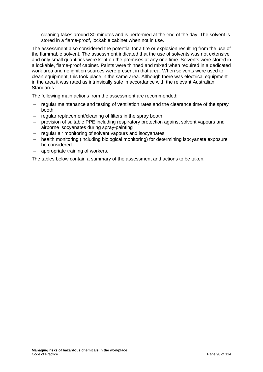cleaning takes around 30 minutes and is performed at the end of the day. The solvent is stored in a flame-proof, lockable cabinet when not in use.

The assessment also considered the potential for a fire or explosion resulting from the use of the flammable solvent. The assessment indicated that the use of solvents was not extensive and only small quantities were kept on the premises at any one time. Solvents were stored in a lockable, flame-proof cabinet. Paints were thinned and mixed when required in a dedicated work area and no ignition sources were present in that area. When solvents were used to clean equipment, this took place in the same area. Although there was electrical equipment in the area it was rated as intrinsically safe in accordance with the relevant Australian Standards.'

The following main actions from the assessment are recommended:

- regular maintenance and testing of ventilation rates and the clearance time of the spray booth
- regular replacement/cleaning of filters in the spray booth
- provision of suitable PPE including respiratory protection against solvent vapours and airborne isocyanates during spray-painting
- regular air monitoring of solvent vapours and isocyanates
- health monitoring (including biological monitoring) for determining isocyanate exposure be considered
- appropriate training of workers.

The tables below contain a summary of the assessment and actions to be taken.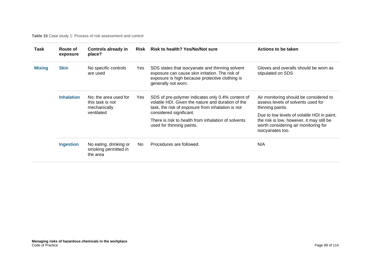**Table 15** Case study 1: Process of risk assessment and control

| Task          | Route of<br>exposure | <b>Controls already in</b><br>place?                       | Risk | <b>Risk to health? Yes/No/Not sure</b>                                                                                                                                       | <b>Actions to be taken</b>                                                                                                                           |
|---------------|----------------------|------------------------------------------------------------|------|------------------------------------------------------------------------------------------------------------------------------------------------------------------------------|------------------------------------------------------------------------------------------------------------------------------------------------------|
| <b>Mixing</b> | <b>Skin</b>          | No specific controls<br>are used                           | Yes. | SDS states that isocyanate and thinning solvent<br>exposure can cause skin irritation. The risk of<br>exposure is high because protective clothing is<br>generally not worn. | Gloves and overalls should be worn as<br>stipulated on SDS                                                                                           |
|               | <b>Inhalation</b>    | No; the area used for<br>this task is not<br>mechanically  | Yes  | SDS of pre-polymer indicates only 0.4% content of<br>volatile HDI. Given the nature and duration of the<br>task, the risk of exposure from inhalation is not                 | Air monitoring should be considered to<br>assess levels of solvents used for<br>thinning paints.                                                     |
|               |                      | ventilated                                                 |      | considered significant.<br>There is risk to health from inhalation of solvents<br>used for thinning paints.                                                                  | Due to low levels of volatile HDI in paint,<br>the risk is low, however, it may still be<br>worth considering air monitoring for<br>isocyanates too. |
|               | <b>Ingestion</b>     | No eating, drinking or<br>smoking permitted in<br>the area | No.  | Procedures are followed.                                                                                                                                                     | N/A                                                                                                                                                  |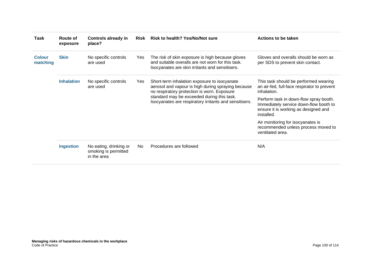| Task                      | Route of<br>exposure | Controls already in<br>place?                                 | <b>Risk</b>                                                                                          | Risk to health? Yes/No/Not sure                                                                                                                          | Actions to be taken                                                                                 |
|---------------------------|----------------------|---------------------------------------------------------------|------------------------------------------------------------------------------------------------------|----------------------------------------------------------------------------------------------------------------------------------------------------------|-----------------------------------------------------------------------------------------------------|
| <b>Colour</b><br>matching | <b>Skin</b>          | No specific controls<br>are used                              | Yes:                                                                                                 | The risk of skin exposure is high because gloves<br>and suitable overalls are not worn for this task.<br>Isocyanates are skin irritants and sensitisers. | Gloves and overalls should be worn as<br>per SDS to prevent skin contact.                           |
|                           | <b>Inhalation</b>    | No specific controls<br>are used                              | Yes                                                                                                  | Short-term inhalation exposure to isocyanate<br>aerosol and vapour is high during spraying because<br>no respiratory protection is worn. Exposure        | This task should be performed wearing<br>an air-fed, full-face respirator to prevent<br>inhalation. |
|                           |                      |                                                               | standard may be exceeded during this task.<br>Isocyanates are respiratory irritants and sensitisers. | Perform task in down-flow spray booth.<br>Immediately service down-flow booth to<br>ensure it is working as designed and<br>installed.                   |                                                                                                     |
|                           |                      |                                                               |                                                                                                      |                                                                                                                                                          | Air monitoring for isocyanates is<br>recommended unless process moved to<br>ventilated area.        |
|                           | <b>Ingestion</b>     | No eating, drinking or<br>smoking is permitted<br>in the area | No.                                                                                                  | Procedures are followed                                                                                                                                  | N/A                                                                                                 |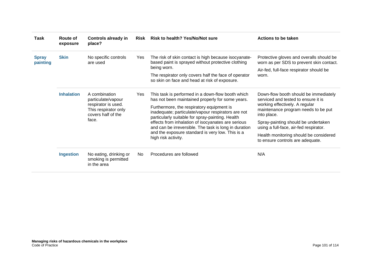| Task                                                                                    | Route of<br>exposure                                                                                   | <b>Controls already in</b><br>place?                                                                  | Risk                                             | Risk to health? Yes/No/Not sure                                                                                           | Actions to be taken                                                                                            |
|-----------------------------------------------------------------------------------------|--------------------------------------------------------------------------------------------------------|-------------------------------------------------------------------------------------------------------|--------------------------------------------------|---------------------------------------------------------------------------------------------------------------------------|----------------------------------------------------------------------------------------------------------------|
| <b>Spray</b><br>painting                                                                | <b>Skin</b>                                                                                            | No specific controls<br>are used                                                                      | Yes                                              | The risk of skin contact is high because isocyanate-<br>based paint is sprayed without protective clothing<br>being worn. | Protective gloves and overalls should be<br>worn as per SDS to prevent skin contact.                           |
|                                                                                         |                                                                                                        | The respirator only covers half the face of operator<br>so skin on face and head at risk of exposure. | Air-fed, full-face respirator should be<br>worn. |                                                                                                                           |                                                                                                                |
|                                                                                         | <b>Inhalation</b>                                                                                      | A combination<br>particulate/vapour<br>respirator is used.                                            | Yes                                              | This task is performed in a down-flow booth which<br>has not been maintained properly for some years.                     | Down-flow booth should be immediately<br>serviced and tested to ensure it is<br>working effectively. A regular |
| Furthermore, the respiratory equipment is<br>This respirator only<br>covers half of the | inadequate; particulate/vapour respirators are not<br>particularly suitable for spray-painting. Health | maintenance program needs to be put<br>into place.                                                    |                                                  |                                                                                                                           |                                                                                                                |
|                                                                                         |                                                                                                        | face.                                                                                                 |                                                  | effects from inhalation of isocyanates are serious<br>and can be irreversible. The task is long in duration               | Spray-painting should be undertaken<br>using a full-face, air-fed respirator.                                  |
|                                                                                         |                                                                                                        |                                                                                                       |                                                  | and the exposure standard is very low. This is a<br>high risk activity.                                                   | Health monitoring should be considered<br>to ensure controls are adequate.                                     |
|                                                                                         | <b>Ingestion</b>                                                                                       | No eating, drinking or<br>smoking is permitted<br>in the area                                         | No                                               | Procedures are followed                                                                                                   | N/A                                                                                                            |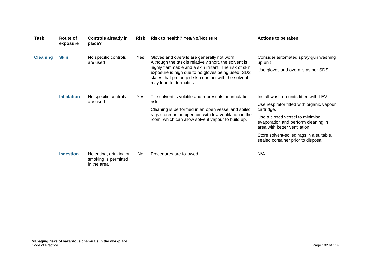| Task            | Route of<br>exposure | <b>Controls already in</b><br>place?                          | <b>Risk</b> | Risk to health? Yes/No/Not sure                                                                                                                                                                                                                                                                       | Actions to be taken                                                                                                                                                                                                                                                                             |
|-----------------|----------------------|---------------------------------------------------------------|-------------|-------------------------------------------------------------------------------------------------------------------------------------------------------------------------------------------------------------------------------------------------------------------------------------------------------|-------------------------------------------------------------------------------------------------------------------------------------------------------------------------------------------------------------------------------------------------------------------------------------------------|
| <b>Cleaning</b> | <b>Skin</b>          | No specific controls<br>are used                              | Yes         | Gloves and overalls are generally not worn.<br>Although the task is relatively short, the solvent is<br>highly flammable and a skin irritant. The risk of skin<br>exposure is high due to no gloves being used. SDS<br>states that prolonged skin contact with the solvent<br>may lead to dermatitis. | Consider automated spray-gun washing<br>up unit<br>Use gloves and overalls as per SDS                                                                                                                                                                                                           |
|                 | <b>Inhalation</b>    | No specific controls<br>are used                              | Yes         | The solvent is volatile and represents an inhalation<br>risk.<br>Cleaning is performed in an open vessel and soiled<br>rags stored in an open bin with low ventilation in the<br>room, which can allow solvent vapour to build up.                                                                    | Install wash-up units fitted with LEV.<br>Use respirator fitted with organic vapour<br>cartridge.<br>Use a closed vessel to minimise<br>evaporation and perform cleaning in<br>area with better ventilation.<br>Store solvent-soiled rags in a suitable,<br>sealed container prior to disposal. |
|                 | <b>Ingestion</b>     | No eating, drinking or<br>smoking is permitted<br>in the area | No.         | Procedures are followed                                                                                                                                                                                                                                                                               | N/A                                                                                                                                                                                                                                                                                             |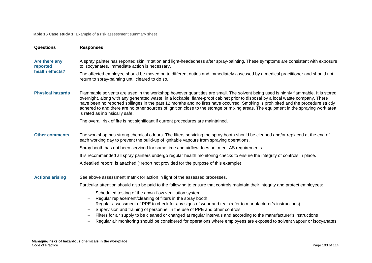**Table 16 Case study 1:** Example of a risk assessment summary sheet

| Questions                 | <b>Responses</b>                                                                                                                                                                                                                                                                                                                                                                                                                                                                                                                                                                      |
|---------------------------|---------------------------------------------------------------------------------------------------------------------------------------------------------------------------------------------------------------------------------------------------------------------------------------------------------------------------------------------------------------------------------------------------------------------------------------------------------------------------------------------------------------------------------------------------------------------------------------|
| Are there any<br>reported | A spray painter has reported skin irritation and light-headedness after spray-painting. These symptoms are consistent with exposure<br>to isocyanates. Immediate action is necessary.                                                                                                                                                                                                                                                                                                                                                                                                 |
| health effects?           | The affected employee should be moved on to different duties and immediately assessed by a medical practitioner and should not<br>return to spray-painting until cleared to do so.                                                                                                                                                                                                                                                                                                                                                                                                    |
| <b>Physical hazards</b>   | Flammable solvents are used in the workshop however quantities are small. The solvent being used is highly flammable. It is stored<br>overnight, along with any generated waste, in a lockable, flame-proof cabinet prior to disposal by a local waste company. There<br>have been no reported spillages in the past 12 months and no fires have occurred. Smoking is prohibited and the procedure strictly<br>adhered to and there are no other sources of ignition close to the storage or mixing areas. The equipment in the spraying work area<br>is rated as intrinsically safe. |
|                           | The overall risk of fire is not significant if current procedures are maintained.                                                                                                                                                                                                                                                                                                                                                                                                                                                                                                     |
| <b>Other comments</b>     | The workshop has strong chemical odours. The filters servicing the spray booth should be cleaned and/or replaced at the end of<br>each working day to prevent the build-up of ignitable vapours from spraying operations.                                                                                                                                                                                                                                                                                                                                                             |
|                           | Spray booth has not been serviced for some time and airflow does not meet AS requirements.                                                                                                                                                                                                                                                                                                                                                                                                                                                                                            |
|                           | It is recommended all spray painters undergo regular health monitoring checks to ensure the integrity of controls in place.                                                                                                                                                                                                                                                                                                                                                                                                                                                           |
|                           | A detailed report* is attached (*report not provided for the purpose of this example)                                                                                                                                                                                                                                                                                                                                                                                                                                                                                                 |
| <b>Actions arising</b>    | See above assessment matrix for action in light of the assessed processes.                                                                                                                                                                                                                                                                                                                                                                                                                                                                                                            |
|                           | Particular attention should also be paid to the following to ensure that controls maintain their integrity and protect employees:                                                                                                                                                                                                                                                                                                                                                                                                                                                     |
|                           | Scheduled testing of the down-flow ventilation system<br>$\overline{\phantom{m}}$                                                                                                                                                                                                                                                                                                                                                                                                                                                                                                     |
|                           | Regular replacement/cleaning of filters in the spray booth<br>Regular assessment of PPE to check for any signs of wear and tear (refer to manufacturer's instructions)<br>$\overline{\phantom{0}}$                                                                                                                                                                                                                                                                                                                                                                                    |
|                           | Supervision and training of personnel in the use of PPE and other controls                                                                                                                                                                                                                                                                                                                                                                                                                                                                                                            |
|                           | Filters for air supply to be cleaned or changed at regular intervals and according to the manufacturer's instructions                                                                                                                                                                                                                                                                                                                                                                                                                                                                 |
|                           | Regular air monitoring should be considered for operations where employees are exposed to solvent vapour or isocyanates.                                                                                                                                                                                                                                                                                                                                                                                                                                                              |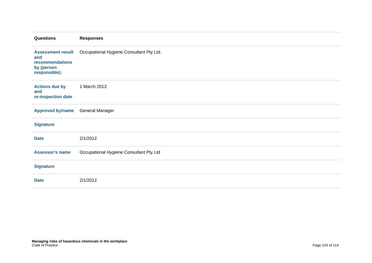| <b>Questions</b>                                                                  | <b>Responses</b>                         |
|-----------------------------------------------------------------------------------|------------------------------------------|
| <b>Assessment result</b><br>and<br>recommendations<br>by (person<br>responsible): | Occupational Hygiene Consultant Pty Ltd. |
| <b>Actions due by</b><br>and<br>re-inspection date                                | 1 March 2012                             |
| <b>Approved by/name</b>                                                           | <b>General Manager</b>                   |
| <b>Signature</b>                                                                  |                                          |
| <b>Date</b>                                                                       | 2/1/2012                                 |
| <b>Assessor's name</b>                                                            | Occupational Hygiene Consultant Pty Ltd  |
| <b>Signature</b>                                                                  |                                          |
| <b>Date</b>                                                                       | 2/1/2012                                 |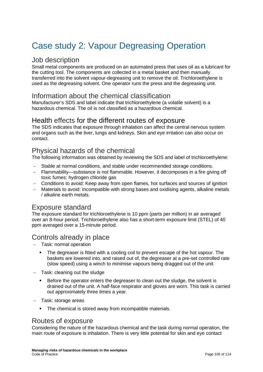## Case study 2: Vapour Degreasing Operation

#### Job description

Small metal components are produced on an automated press that uses oil as a lubricant for the cutting tool. The components are collected in a metal basket and then manually transferred into the solvent vapour-degreasing unit to remove the oil. Trichloroethylene is used as the degreasing solvent. One operator runs the press and the degreasing unit.

#### Information about the chemical classification

Manufacturer's SDS and label indicate that trichloroethylene (a volatile solvent) is a hazardous chemical. The oil is not classified as a hazardous chemical.

#### Health effects for the different routes of exposure

The SDS indicates that exposure through inhalation can affect the central nervous system and organs such as the liver, lungs and kidneys. Skin and eye irritation can also occur on contact.

#### Physical hazards of the chemical

The following information was obtained by reviewing the SDS and label of trichloroethylene:

- Stable at normal conditions, and stable under recommended storage conditions.
- Flammability—substance is not flammable. However, it decomposes in a fire giving off toxic fumes: hydrogen chloride gas
- Conditions to avoid: Keep away from open flames, hot surfaces and sources of ignition
- Materials to avoid: Incompatible with strong bases and oxidising agents, alkaline metals / alkaline earth metals.

#### Exposure standard

The exposure standard for trichloroethylene is 10 ppm (parts per million) in air averaged over an 8-hour period. Trichloroethylene also has a short-term exposure limit (STEL) of 40 ppm averaged over a 15-minute period.

### Controls already in place

- Task: normal operation
	- The degreaser is fitted with a cooling coil to prevent escape of the hot vapour. The baskets are lowered into, and raised out of, the degreaser at a pre-set controlled rate (slow speed) using a winch to minimise vapours being dragged out of the unit.
- Task: cleaning out the sludge
	- Before the operator enters the degreaser to clean out the sludge, the solvent is drained out of the unit. A half-face respirator and gloves are worn. This task is carried out approximately three times a year.
- Task: storage areas
	- The chemical is stored away from incompatible materials.

#### Routes of exposure

Considering the nature of the hazardous chemical and the task during normal operation, the main route of exposure is inhalation. There is very little potential for skin and eye contact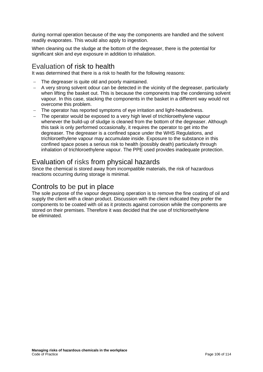during normal operation because of the way the components are handled and the solvent readily evaporates. This would also apply to ingestion.

When cleaning out the sludge at the bottom of the degreaser, there is the potential for significant skin and eye exposure in addition to inhalation.

### Evaluation of risk to health

It was determined that there is a risk to health for the following reasons:

- The degreaser is quite old and poorly maintained.
- A very strong solvent odour can be detected in the vicinity of the degreaser, particularly when lifting the basket out. This is because the components trap the condensing solvent vapour. In this case, stacking the components in the basket in a different way would not overcome this problem.
- The operator has reported symptoms of eye irritation and light-headedness.
- The operator would be exposed to a very high level of trichloroethylene vapour whenever the build-up of sludge is cleaned from the bottom of the degreaser. Although this task is only performed occasionally, it requires the operator to get into the degreaser. The degreaser is a confined space under the WHS Regulations, and trichloroethylene vapour may accumulate inside. Exposure to the substance in this confined space poses a serious risk to health (possibly death) particularly through inhalation of trichloroethylene vapour. The PPE used provides inadequate protection.

#### Evaluation of risks from physical hazards

Since the chemical is stored away from incompatible materials, the risk of hazardous reactions occurring during storage is minimal.

#### Controls to be put in place

The sole purpose of the vapour degreasing operation is to remove the fine coating of oil and supply the client with a clean product. Discussion with the client indicated they prefer the components to be coated with oil as it protects against corrosion while the components are stored on their premises. Therefore it was decided that the use of trichloroethylene be eliminated.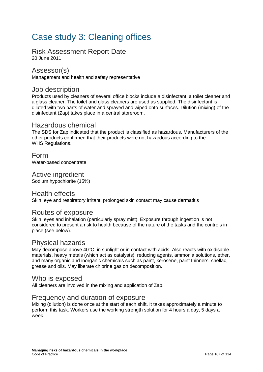## Case study 3: Cleaning offices

### Risk Assessment Report Date

20 June 2011

#### Assessor(s)

Management and health and safety representative

#### Job description

Products used by cleaners of several office blocks include a disinfectant, a toilet cleaner and a glass cleaner. The toilet and glass cleaners are used as supplied. The disinfectant is diluted with two parts of water and sprayed and wiped onto surfaces. Dilution (mixing) of the disinfectant (Zap) takes place in a central storeroom.

#### Hazardous chemical

The SDS for Zap indicated that the product is classified as hazardous. Manufacturers of the other products confirmed that their products were not hazardous according to the WHS Regulations.

Form Water-based concentrate

Active ingredient Sodium hypochlorite (15%)

#### Health effects

Skin, eye and respiratory irritant; prolonged skin contact may cause dermatitis

#### Routes of exposure

Skin, eyes and inhalation (particularly spray mist). Exposure through ingestion is not considered to present a risk to health because of the nature of the tasks and the controls in place (see below).

#### Physical hazards

May decompose above 40°C, in sunlight or in contact with acids. Also reacts with oxidisable materials, heavy metals (which act as catalysts), reducing agents, ammonia solutions, ether, and many organic and inorganic chemicals such as paint, kerosene, paint thinners, shellac, grease and oils. May liberate chlorine gas on decomposition.

#### Who is exposed

All cleaners are involved in the mixing and application of Zap.

#### Frequency and duration of exposure

Mixing (dilution) is done once at the start of each shift. It takes approximately a minute to perform this task. Workers use the working strength solution for 4 hours a day, 5 days a week.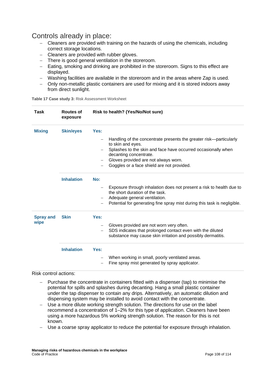### Controls already in place:

- Cleaners are provided with training on the hazards of using the chemicals, including correct storage locations.
- Cleaners are provided with rubber gloves.
- There is good general ventilation in the storeroom.
- Eating, smoking and drinking are prohibited in the storeroom. Signs to this effect are displayed.
- Washing facilities are available in the storeroom and in the areas where Zap is used.
- Only non-metallic plastic containers are used for mixing and it is stored indoors away from direct sunlight.

**Table 17 Case study 3:** Risk Assessment Worksheet

| Task                     | <b>Routes of</b><br>exposure | Risk to health? (Yes/No/Not sure)                                                                                                                                                                                                                                         |
|--------------------------|------------------------------|---------------------------------------------------------------------------------------------------------------------------------------------------------------------------------------------------------------------------------------------------------------------------|
| <b>Mixing</b>            | <b>Skin/eyes</b>             | Yes:<br>Handling of the concentrate presents the greater risk—particularly<br>$\qquad \qquad -$<br>to skin and eyes.<br>Splashes to the skin and face have occurred occasionally when<br>decanting concentrate.<br>Gloves provided are not always worn.                   |
|                          | <b>Inhalation</b>            | Goggles or a face shield are not provided.<br>No:<br>Exposure through inhalation does not present a risk to health due to<br>the short duration of the task.<br>Adequate general ventilation.<br>Potential for generating fine spray mist during this task is negligible. |
| <b>Spray and</b><br>wipe | <b>Skin</b>                  | Yes:<br>Gloves provided are not worn very often.<br>SDS indicates that prolonged contact even with the diluted<br>$\qquad \qquad -$<br>substance may cause skin irritation and possibly dermatitis.                                                                       |
|                          | <b>Inhalation</b>            | Yes:<br>When working in small, poorly ventilated areas.<br>Fine spray mist generated by spray applicator.                                                                                                                                                                 |

#### Risk control actions:

- Purchase the concentrate in containers fitted with a dispenser (tap) to minimise the potential for spills and splashes during decanting. Hang a small plastic container under the tap dispenser to contain any drips. Alternatively, an automatic dilution and dispensing system may be installed to avoid contact with the concentrate.
- Use a more dilute working strength solution. The directions for use on the label recommend a concentration of 1–2% for this type of application. Cleaners have been using a more hazardous 5% working strength solution. The reason for this is not known.
- Use a coarse spray applicator to reduce the potential for exposure through inhalation.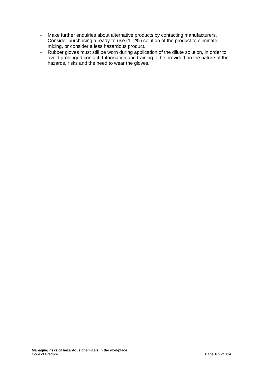- Make further enquiries about alternative products by contacting manufacturers. Consider purchasing a ready-to-use (1–2%) solution of the product to eliminate mixing, or consider a less hazardous product.
- Rubber gloves must still be worn during application of the dilute solution, in order to avoid prolonged contact. Information and training to be provided on the nature of the hazards, risks and the need to wear the gloves.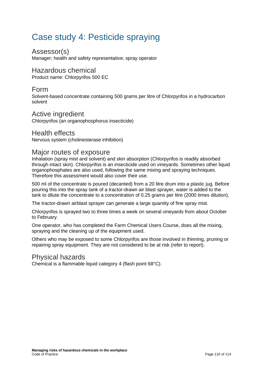## Case study 4: Pesticide spraying

Assessor(s) Manager; health and safety representative; spray operator

Hazardous chemical Product name: Chlorpyrifos 500 EC

#### Form

Solvent-based concentrate containing 500 grams per litre of Chlorpyrifos in a hydrocarbon solvent

### Active ingredient

Chlorpyrifos (an organophosphorus insecticide)

#### Health effects

Nervous system (cholinesterase inhibition)

#### Major routes of exposure

Inhalation (spray mist and solvent) and skin absorption (Chlorpyrifos is readily absorbed through intact skin). Chlorpyrifos is an insecticide used on vineyards. Sometimes other liquid organophosphates are also used, following the same mixing and spraying techniques. Therefore this assessment would also cover their use.

500 ml of the concentrate is poured (decanted) from a 20 litre drum into a plastic jug. Before pouring this into the spray tank of a tractor-drawn air blast sprayer, water is added to the tank to dilute the concentrate to a concentration of 0.25 grams per litre (2000 times dilution).

The tractor-drawn airblast sprayer can generate a large quantity of fine spray mist.

Chlorpyrifos is sprayed two to three times a week on several vineyards from about October to February.

One operator, who has completed the Farm Chemical Users Course, does all the mixing, spraying and the cleaning up of the equipment used.

Others who may be exposed to some Chlorpyrifos are those involved in thinning, pruning or repairing spray equipment. They are not considered to be at risk (refer to report).

#### Physical hazards

Chemical is a flammable liquid category 4 (flash point 68°C).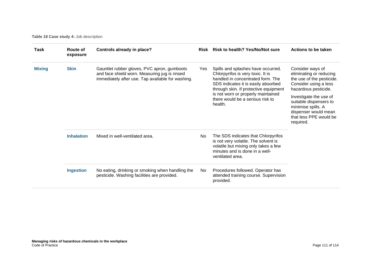**Table 18 Case study 4:** Job description

| Task          | Route of<br>exposure | Controls already in place?                                                                                                                        |     | Risk Risk to health? Yes/No/Not sure                                                                                                                                                                                                                                              | Actions to be taken                                                                                                                                                                                                                                                |
|---------------|----------------------|---------------------------------------------------------------------------------------------------------------------------------------------------|-----|-----------------------------------------------------------------------------------------------------------------------------------------------------------------------------------------------------------------------------------------------------------------------------------|--------------------------------------------------------------------------------------------------------------------------------------------------------------------------------------------------------------------------------------------------------------------|
| <b>Mixing</b> | <b>Skin</b>          | Gauntlet rubber gloves, PVC apron, gumboots<br>and face shield worn. Measuring jug is rinsed<br>immediately after use. Tap available for washing. | Yes | Spills and splashes have occurred.<br>Chlorpyrifos is very toxic. It is<br>handled in concentrated form. The<br>SDS indicates it is easily absorbed<br>through skin. If protective equipment<br>is not worn or properly maintained<br>there would be a serious risk to<br>health. | Consider ways of<br>eliminating or reducing<br>the use of the pesticide.<br>Consider using a less<br>hazardous pesticide.<br>Investigate the use of<br>suitable dispensers to<br>minimise spills. A<br>dispenser would mean<br>that less PPE would be<br>required. |
|               | <b>Inhalation</b>    | Mixed in well-ventilated area.                                                                                                                    | No. | The SDS indicates that Chlorpyrifos<br>is not very volatile. The solvent is<br>volatile but mixing only takes a few<br>minutes and is done in a well-<br>ventilated area.                                                                                                         |                                                                                                                                                                                                                                                                    |
|               | <b>Ingestion</b>     | No eating, drinking or smoking when handling the<br>pesticide. Washing facilities are provided.                                                   | No. | Procedures followed. Operator has<br>attended training course. Supervision<br>provided.                                                                                                                                                                                           |                                                                                                                                                                                                                                                                    |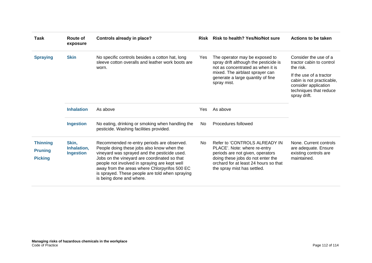| Task                                                | Route of<br>exposure                     | Controls already in place?                                                                                                                                                                                                                                                                                                                                                |     | Risk Risk to health? Yes/No/Not sure                                                                                                                                                                           | Actions to be taken                                                                                                    |
|-----------------------------------------------------|------------------------------------------|---------------------------------------------------------------------------------------------------------------------------------------------------------------------------------------------------------------------------------------------------------------------------------------------------------------------------------------------------------------------------|-----|----------------------------------------------------------------------------------------------------------------------------------------------------------------------------------------------------------------|------------------------------------------------------------------------------------------------------------------------|
| <b>Spraying</b>                                     | <b>Skin</b>                              | No specific controls besides a cotton hat, long<br>sleeve cotton overalls and leather work boots are<br>worn.                                                                                                                                                                                                                                                             | Yes | The operator may be exposed to<br>spray drift although the pesticide is<br>not as concentrated as when it is<br>mixed. The airblast sprayer can<br>generate a large quantity of fine<br>spray mist.            | Consider the use of a<br>tractor cabin to control<br>the risk.                                                         |
|                                                     |                                          |                                                                                                                                                                                                                                                                                                                                                                           |     |                                                                                                                                                                                                                | If the use of a tractor<br>cabin is not practicable,<br>consider application<br>techniques that reduce<br>spray drift. |
|                                                     | <b>Inhalation</b>                        | As above                                                                                                                                                                                                                                                                                                                                                                  | Yes | As above                                                                                                                                                                                                       |                                                                                                                        |
|                                                     | <b>Ingestion</b>                         | No eating, drinking or smoking when handling the<br>pesticide. Washing facilities provided.                                                                                                                                                                                                                                                                               | No. | Procedures followed                                                                                                                                                                                            |                                                                                                                        |
| <b>Thinning</b><br><b>Pruning</b><br><b>Picking</b> | Skin,<br>Inhalation,<br><b>Ingestion</b> | Recommended re-entry periods are observed.<br>People doing these jobs also know when the<br>vineyard was sprayed and the pesticide used.<br>Jobs on the vineyard are coordinated so that<br>people not involved in spraying are kept well<br>away from the areas where Chlorpyrifos 500 EC<br>is sprayed. These people are told when spraying<br>is being done and where. | No. | Refer to 'CONTROLS ALREADY IN<br>PLACE'. Note: where re-entry<br>periods are not given, operators<br>doing these jobs do not enter the<br>orchard for at least 24 hours so that<br>the spray mist has settled. | None. Current controls<br>are adequate. Ensure<br>existing controls are<br>maintained.                                 |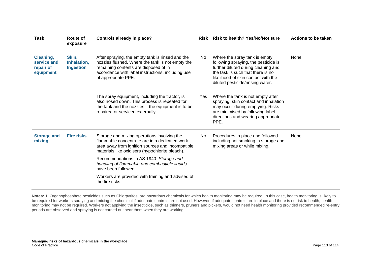| <b>Task</b>                                        | Route of<br>exposure                     | Controls already in place?                                                                                                                                                                                                |      | Risk Risk to health? Yes/No/Not sure                                                                                                                                                                                         | Actions to be taken |
|----------------------------------------------------|------------------------------------------|---------------------------------------------------------------------------------------------------------------------------------------------------------------------------------------------------------------------------|------|------------------------------------------------------------------------------------------------------------------------------------------------------------------------------------------------------------------------------|---------------------|
| Cleaning,<br>service and<br>repair of<br>equipment | Skin,<br>Inhalation,<br><b>Ingestion</b> | After spraying, the empty tank is rinsed and the<br>nozzles flushed. Where the tank is not empty the<br>remaining contents are disposed of in<br>accordance with label instructions, including use<br>of appropriate PPE. | No   | Where the spray tank is empty<br>following spraying, the pesticide is<br>further diluted during cleaning and<br>the task is such that there is no<br>likelihood of skin contact with the<br>diluted pesticide/rinsing water. | None                |
|                                                    |                                          | The spray equipment, including the tractor, is<br>also hosed down. This process is repeated for<br>the tank and the nozzles if the equipment is to be<br>repaired or serviced externally.                                 | Yes: | Where the tank is not empty after<br>spraying, skin contact and inhalation<br>may occur during emptying. Risks<br>are minimised by following label<br>directions and wearing appropriate<br>PPE.                             |                     |
| <b>Storage and</b><br>mixing                       | <b>Fire risks</b>                        | Storage and mixing operations involving the<br>flammable concentrate are in a dedicated work<br>area away from ignition sources and incompatible<br>materials like oxidisers (hypochlorite bleach).                       | No.  | Procedures in place and followed<br>including not smoking in storage and<br>mixing areas or while mixing.                                                                                                                    | None                |
|                                                    |                                          | Recommendations in AS 1940: Storage and<br>handling of flammable and combustible liquids<br>have been followed.                                                                                                           |      |                                                                                                                                                                                                                              |                     |
|                                                    |                                          | Workers are provided with training and advised of<br>the fire risks.                                                                                                                                                      |      |                                                                                                                                                                                                                              |                     |

**Notes:** 1. Organophosphate pesticides such as Chlorpyrifos, are hazardous chemicals for which health monitoring may be required. In this case, health monitoring is likely to be required for workers spraying and mixing the chemical if adequate controls are not used. However, if adequate controls are in place and there is no risk to health, health monitoring may not be required. Workers not applying the insecticide, such as thinners, pruners and pickers, would not need health monitoring provided recommended re-entry periods are observed and spraying is not carried out near them when they are working.